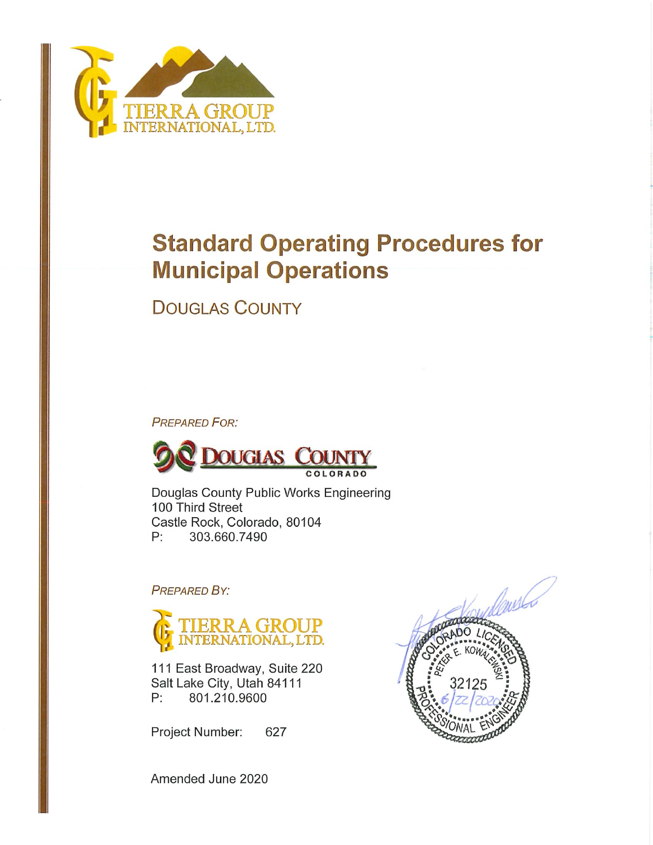

# **Standard Operating Procedures for Municipal Operations**

**DOUGLAS COUNTY** 

**PREPARED FOR:** 



Douglas County Public Works Engineering 100 Third Street Castle Rock, Colorado, 80104 303.660.7490  $P:$ 

**PREPARED BY:** 



111 East Broadway, Suite 220 Salt Lake City, Utah 84111  $P:$ 801.210.9600

Project Number: 627



Amended June 2020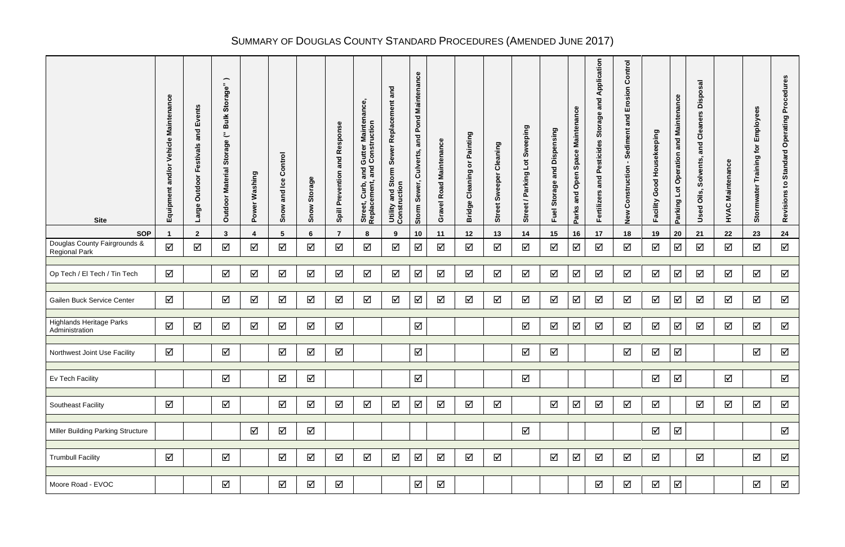# SUMMARY OF DOUGLAS COUNTY STANDARD PROCEDURES (AMENDED JUNE 2017)

| <b>Site</b>                                          | Maintenance<br>Vehicle<br>and/or<br>Equipmen | ents<br>ΔĎ<br>and<br>stivals<br>نة<br>Lĭ.<br>Outdoor<br>Φ<br>စ္ခ<br><u>م</u> | $\overline{\phantom{m}}$<br>$\mathbf{e}$<br>Storag<br>$\equiv$<br>$\boldsymbol{\omega}$<br>$\ddot{\phantom{a}}$<br>Storage<br><b>Material</b><br>Outdoor | Washing<br>Power | Control<br><b>lce</b><br>and<br>Snow | Storage<br>Snow      | Response<br>and<br>Prevention<br>Spill | Maintenance<br><b>Gutter Mainter</b><br>I Construction<br>and<br>and<br>Curb,<br>ement,<br>Street,<br>Replace | and<br>Replacement<br>Sewer<br>Utility and Storm<br>Construction | Maintenance<br>Pond<br>and<br>Culverts,<br>Sewer,<br>Storm | Maintenance<br>avel Road<br>O | Painting<br>$\overleftarrow{\mathbf{o}}$<br>Cleaning<br><b>Bridge</b> | Cleaning<br>reeper<br>₹<br>ဖာ<br>Street | Sweeping<br>$\overline{5}$<br>Parking<br>Street / | Dispensing<br>and<br><b>Storage</b><br>Fuel | <b>Maintenance</b><br>Space<br>Open<br>and<br>Parks | Application<br>and<br>Storage<br>Pesticides<br>and<br>Fertilizers | Control<br>osion<br>山<br>and<br>Sediment<br>Construction<br>New | Housekeeping<br>Good<br>Facility | <b>Maintenance</b><br>and<br>Operation<br>$\overline{\mathsf{I}}$<br>Parking | sal<br>Dispo:<br>ers<br>Clean<br>and<br>Solvents,<br>Oils,<br>Used | Maintenance<br>HVAC | Employees<br>for<br>Training<br>Stormwater | Procedures<br>Operating<br>Standard<br>$\mathbf{S}$<br>Revisions |
|------------------------------------------------------|----------------------------------------------|------------------------------------------------------------------------------|----------------------------------------------------------------------------------------------------------------------------------------------------------|------------------|--------------------------------------|----------------------|----------------------------------------|---------------------------------------------------------------------------------------------------------------|------------------------------------------------------------------|------------------------------------------------------------|-------------------------------|-----------------------------------------------------------------------|-----------------------------------------|---------------------------------------------------|---------------------------------------------|-----------------------------------------------------|-------------------------------------------------------------------|-----------------------------------------------------------------|----------------------------------|------------------------------------------------------------------------------|--------------------------------------------------------------------|---------------------|--------------------------------------------|------------------------------------------------------------------|
| <b>SOP</b>                                           |                                              | $\mathbf{2}$                                                                 | 3                                                                                                                                                        |                  | 5                                    | 6                    | $\overline{7}$                         | 8                                                                                                             | 9                                                                | 10                                                         | 11                            | 12                                                                    | 13                                      | 14                                                | 15                                          | 16                                                  | 17                                                                | 18                                                              | 19                               | 20                                                                           | 21                                                                 | 22                  | 23                                         | 24                                                               |
| Douglas County Fairgrounds &<br><b>Regional Park</b> | ☑                                            | ☑                                                                            | ☑                                                                                                                                                        | ☑                | ☑                                    | $\Delta$             | ☑                                      | ☑                                                                                                             | ☑                                                                | ☑                                                          | ☑                             | $\Delta$                                                              | ☑                                       | ☑                                                 | $\Delta$                                    | ☑                                                   | ☑                                                                 | ☑                                                               | ☑                                | $\Delta$                                                                     | ☑                                                                  | ☑                   | ☑                                          | ☑                                                                |
| Op Tech / El Tech / Tin Tech                         | ☑                                            |                                                                              | $\triangledown$                                                                                                                                          | ☑                | ☑                                    | $\blacktriangledown$ | ☑                                      | ☑                                                                                                             | ☑                                                                | ☑                                                          | $\Delta$                      | $\Delta$                                                              | ☑                                       | $\Delta$                                          | ☑                                           | ☑                                                   | $\Delta$                                                          | ☑                                                               | $\blacktriangledown$             | ☑                                                                            | ☑                                                                  | $\Delta$            | ☑                                          | ☑                                                                |
| Gailen Buck Service Center                           | $\Delta$                                     |                                                                              | ☑                                                                                                                                                        | ☑                | ☑                                    | $\Delta$             | ☑                                      | ☑                                                                                                             | $\Delta$                                                         | ☑                                                          | $\Delta$                      | $\Delta$                                                              | $\Delta$                                | $\Delta$                                          | ☑                                           | ☑                                                   | $\Delta$                                                          | ☑                                                               | $\blacktriangledown$             | ☑                                                                            | ☑                                                                  | $\Delta$            | ☑                                          | ☑                                                                |
| <b>Highlands Heritage Parks</b><br>Administration    | ☑                                            | ☑                                                                            | ☑                                                                                                                                                        | ☑                | ☑                                    | $\blacktriangledown$ | ☑                                      |                                                                                                               |                                                                  | ☑                                                          |                               |                                                                       |                                         | $\Delta$                                          | $\Delta$                                    | ☑                                                   | $\Delta$                                                          | $\blacktriangledown$                                            | $\blacktriangledown$             | ☑                                                                            | $\Delta$                                                           | ☑                   | ☑                                          | ☑                                                                |
| Northwest Joint Use Facility                         | ☑                                            |                                                                              | ☑                                                                                                                                                        |                  | $\blacktriangledown$                 | $\Delta$             | $\Delta$                               |                                                                                                               |                                                                  | $\triangledown$                                            |                               |                                                                       |                                         | ☑                                                 | $\blacktriangledown$                        |                                                     |                                                                   | $\Delta$                                                        | $\blacktriangledown$             | ☑                                                                            |                                                                    |                     | ☑                                          | ☑                                                                |
| Ev Tech Facility                                     |                                              |                                                                              | ☑                                                                                                                                                        |                  | ☑                                    | $\Delta$             |                                        |                                                                                                               |                                                                  | ☑                                                          |                               |                                                                       |                                         | $\Delta$                                          |                                             |                                                     |                                                                   |                                                                 | $\blacktriangledown$             | ☑                                                                            |                                                                    | ☑                   |                                            | ☑                                                                |
| <b>Southeast Facility</b>                            | ☑                                            |                                                                              | $\Delta$                                                                                                                                                 |                  | ☑                                    | $\blacktriangledown$ | ☑                                      | $\Delta$                                                                                                      | ☑                                                                | $\Delta$                                                   | $\Delta$                      | ☑                                                                     | ☑                                       |                                                   | ☑                                           | $\Delta$                                            | $\Delta$                                                          | ☑                                                               | $\Delta$                         |                                                                              | ☑                                                                  | ☑                   | ☑                                          | ☑                                                                |
| <b>Miller Building Parking Structure</b>             |                                              |                                                                              |                                                                                                                                                          | ☑                | $\Delta$                             | $\Delta$             |                                        |                                                                                                               |                                                                  |                                                            |                               |                                                                       |                                         | $\Delta$                                          |                                             |                                                     |                                                                   |                                                                 | $\blacktriangledown$             | $\Delta$                                                                     |                                                                    |                     |                                            | $\Delta$                                                         |
| <b>Trumbull Facility</b>                             | ☑                                            |                                                                              | $\Delta$                                                                                                                                                 |                  | $\Delta$                             | $\Delta$             | ☑                                      | ☑                                                                                                             | ☑                                                                | $\Delta$                                                   | ☑                             | $\Delta$                                                              | ☑                                       |                                                   | ☑                                           | $\Delta$                                            | $\Delta$                                                          | ☑                                                               | $\Delta$                         |                                                                              | ☑                                                                  |                     | ☑                                          | ☑                                                                |
| Moore Road - EVOC                                    |                                              |                                                                              | $\Delta$                                                                                                                                                 |                  | $\Delta$                             | $\Delta$             | $\Delta$                               |                                                                                                               |                                                                  | $\Delta$                                                   | ☑                             |                                                                       |                                         |                                                   |                                             |                                                     | $\Delta$                                                          | ☑                                                               | $\Delta$                         | $\Delta$                                                                     |                                                                    |                     | $\Delta$                                   | ☑                                                                |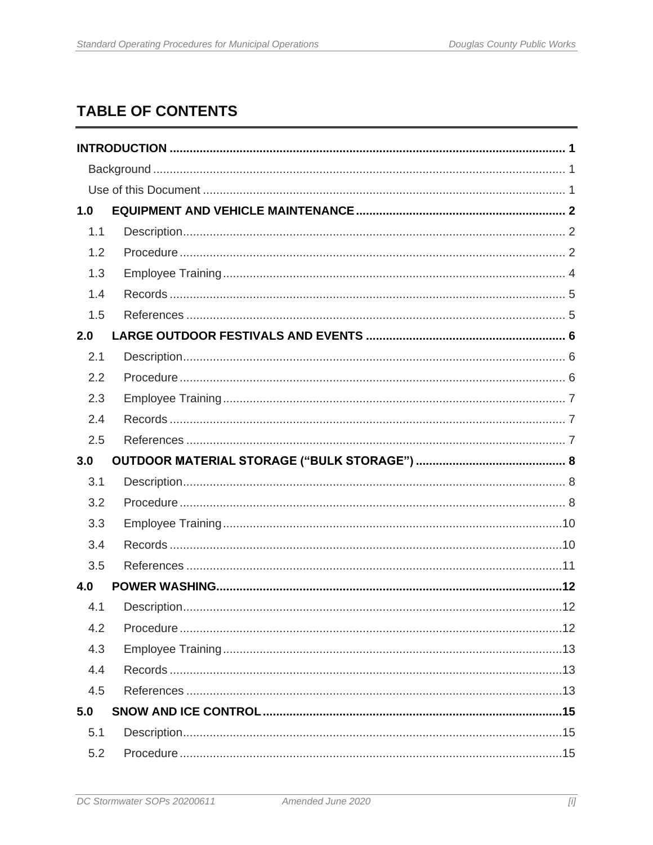## **TABLE OF CONTENTS**

| 1.0 |  |
|-----|--|
| 1.1 |  |
| 1.2 |  |
| 1.3 |  |
| 1.4 |  |
| 1.5 |  |
| 2.0 |  |
| 2.1 |  |
| 2.2 |  |
| 2.3 |  |
| 2.4 |  |
| 2.5 |  |
|     |  |
| 3.0 |  |
| 3.1 |  |
| 3.2 |  |
| 3.3 |  |
| 3.4 |  |
| 3.5 |  |
| 4.0 |  |
| 4.1 |  |
| 4.2 |  |
| 4.3 |  |
| 4.4 |  |
| 4.5 |  |
| 5.0 |  |
| 5.1 |  |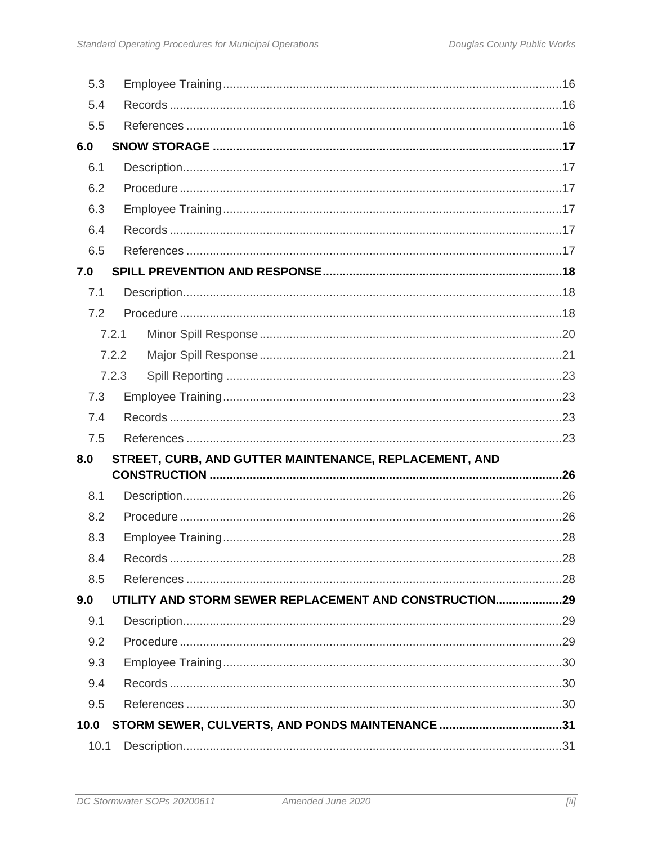| 5.3          |       |                                                        |  |
|--------------|-------|--------------------------------------------------------|--|
| 5.4          |       |                                                        |  |
| 5.5          |       |                                                        |  |
| 6.0          |       |                                                        |  |
| 6.1          |       |                                                        |  |
| 6.2          |       |                                                        |  |
| 6.3          |       |                                                        |  |
| 6.4          |       |                                                        |  |
| 6.5          |       |                                                        |  |
| 7.0          |       |                                                        |  |
| 7.1          |       |                                                        |  |
| 7.2          |       |                                                        |  |
|              | 7.2.1 |                                                        |  |
|              | 7.2.2 |                                                        |  |
|              | 7.2.3 |                                                        |  |
| 7.3          |       |                                                        |  |
| 7.4          |       |                                                        |  |
| 7.5          |       |                                                        |  |
| 8.0          |       | STREET, CURB, AND GUTTER MAINTENANCE, REPLACEMENT, AND |  |
|              |       |                                                        |  |
| 8.1          |       |                                                        |  |
| 8.2          |       |                                                        |  |
| 8.3          |       |                                                        |  |
|              |       |                                                        |  |
| 8.4          |       |                                                        |  |
| 8.5          |       |                                                        |  |
| 9.0          |       | UTILITY AND STORM SEWER REPLACEMENT AND CONSTRUCTION29 |  |
| 9.1          |       |                                                        |  |
| 9.2          |       |                                                        |  |
| 9.3          |       |                                                        |  |
| 9.4          |       |                                                        |  |
| 9.5          |       |                                                        |  |
| 10.0<br>10.1 |       | STORM SEWER, CULVERTS, AND PONDS MAINTENANCE 31        |  |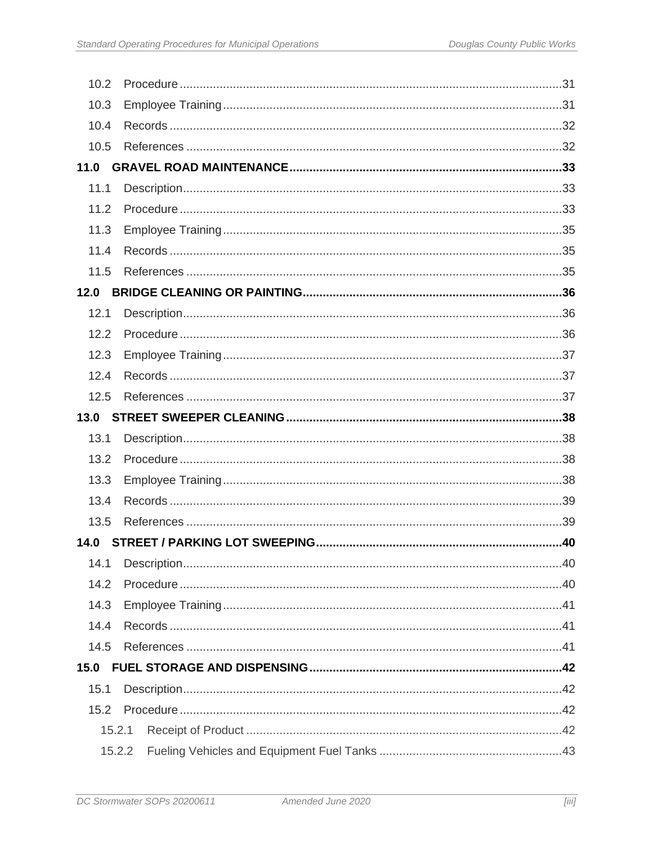| 10.2   |  |
|--------|--|
| 10.3   |  |
| 10.4   |  |
| 10.5   |  |
| 11.0   |  |
| 11.1   |  |
| 11.2   |  |
| 11.3   |  |
| 11.4   |  |
| 11.5   |  |
| 12.0   |  |
| 12.1   |  |
| 12.2   |  |
| 12.3   |  |
| 12.4   |  |
| 12.5   |  |
| 13.0   |  |
| 13.1   |  |
| 13.2   |  |
| 13.3   |  |
| 13.4   |  |
| 13.5   |  |
| 14.0   |  |
| 14.1   |  |
| 14.2   |  |
| 14.3   |  |
| 14.4   |  |
| 14.5   |  |
| 15.0   |  |
| 15.1   |  |
| 15.2   |  |
| 15.2.1 |  |
|        |  |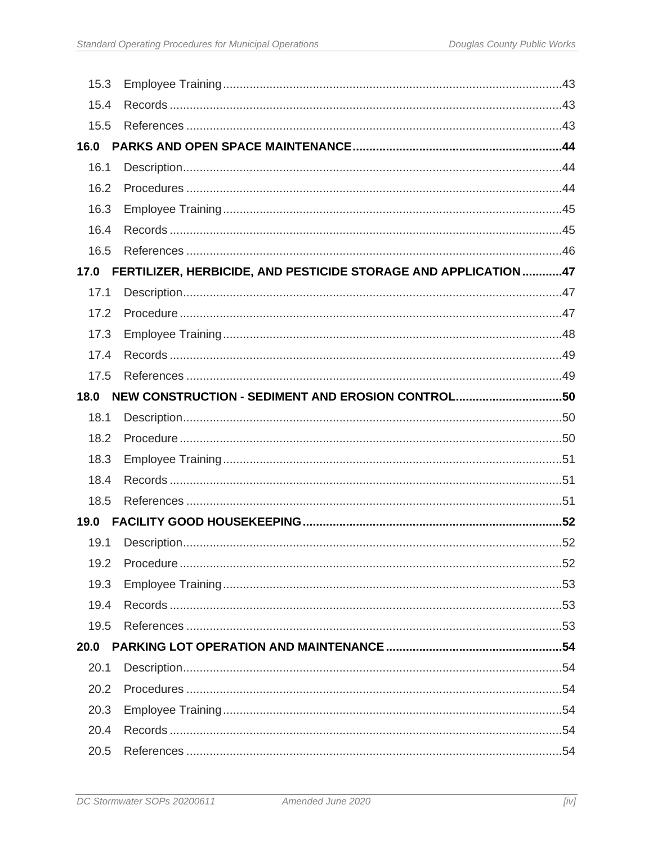| 15.3 |                                                                 |  |
|------|-----------------------------------------------------------------|--|
| 15.4 |                                                                 |  |
| 15.5 |                                                                 |  |
| 16.0 |                                                                 |  |
| 16.1 |                                                                 |  |
| 16.2 |                                                                 |  |
| 16.3 |                                                                 |  |
| 16.4 |                                                                 |  |
| 16.5 |                                                                 |  |
| 17.0 | FERTILIZER, HERBICIDE, AND PESTICIDE STORAGE AND APPLICATION 47 |  |
| 17.1 |                                                                 |  |
| 17.2 |                                                                 |  |
| 17.3 |                                                                 |  |
| 17.4 |                                                                 |  |
| 17.5 |                                                                 |  |
| 18.0 | NEW CONSTRUCTION - SEDIMENT AND EROSION CONTROL50               |  |
| 18.1 |                                                                 |  |
| 18.2 |                                                                 |  |
| 18.3 |                                                                 |  |
| 18.4 |                                                                 |  |
| 18.5 |                                                                 |  |
| 19.0 |                                                                 |  |
| 19.1 |                                                                 |  |
| 19.2 |                                                                 |  |
| 19.3 |                                                                 |  |
| 19.4 |                                                                 |  |
| 19.5 |                                                                 |  |
| 20.0 |                                                                 |  |
| 20.1 |                                                                 |  |
| 20.2 |                                                                 |  |
| 20.3 |                                                                 |  |
|      |                                                                 |  |
| 20.4 |                                                                 |  |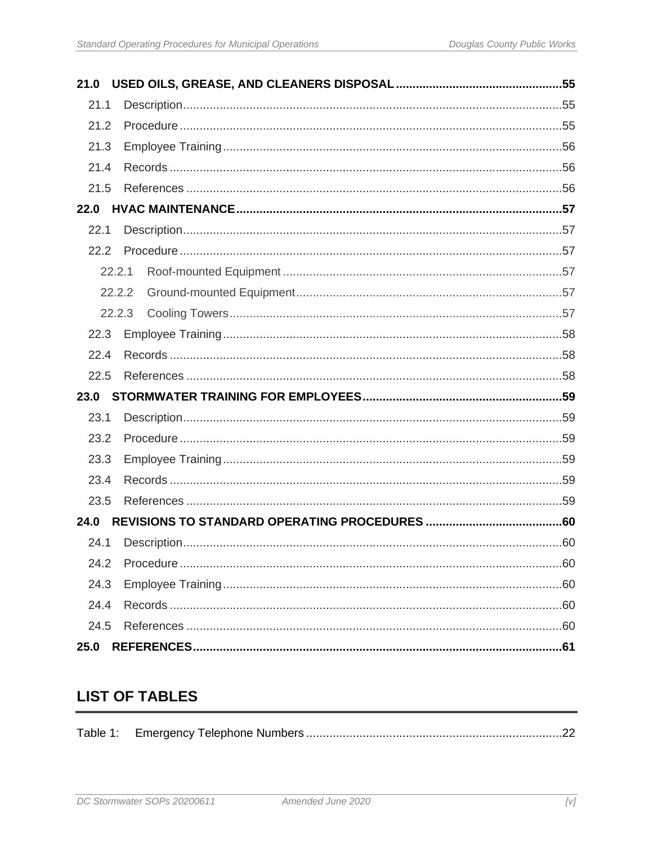| 21.0   |  |
|--------|--|
| 21.1   |  |
| 21.2   |  |
| 21.3   |  |
| 21.4   |  |
| 21.5   |  |
| 22.0   |  |
| 22.1   |  |
| 22.2   |  |
| 22.2.1 |  |
| 22.2.2 |  |
| 22.2.3 |  |
| 22.3   |  |
| 22.4   |  |
| 22.5   |  |
| 23.0   |  |
| 23.1   |  |
| 23.2   |  |
| 23.3   |  |
| 23.4   |  |
| 23.5   |  |
| 24.0   |  |
| 24.1   |  |
| 24.2   |  |
| 24.3   |  |
| 24.4   |  |
| 24.5   |  |
| 25.0   |  |

## **LIST OF TABLES**

|--|--|--|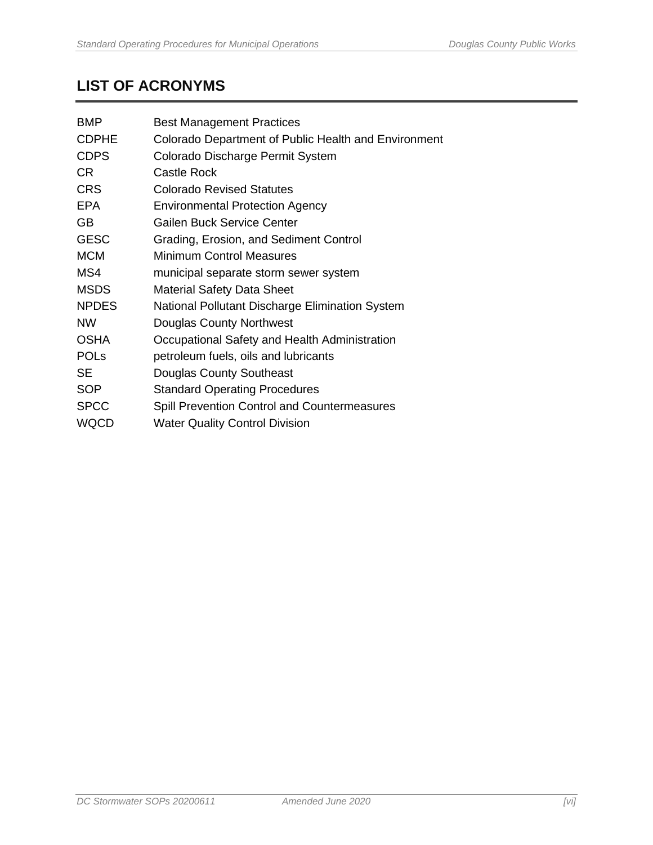## **LIST OF ACRONYMS**

| <b>BMP</b>   | <b>Best Management Practices</b>                     |
|--------------|------------------------------------------------------|
| <b>CDPHE</b> | Colorado Department of Public Health and Environment |
| <b>CDPS</b>  | Colorado Discharge Permit System                     |
| CR.          | Castle Rock                                          |
| <b>CRS</b>   | Colorado Revised Statutes                            |
| EPA          | <b>Environmental Protection Agency</b>               |
| <b>GB</b>    | Gailen Buck Service Center                           |
| <b>GESC</b>  | Grading, Erosion, and Sediment Control               |
| <b>MCM</b>   | <b>Minimum Control Measures</b>                      |
| MS4          | municipal separate storm sewer system                |
| <b>MSDS</b>  | <b>Material Safety Data Sheet</b>                    |
| <b>NPDES</b> | National Pollutant Discharge Elimination System      |
| <b>NW</b>    | Douglas County Northwest                             |
| <b>OSHA</b>  | Occupational Safety and Health Administration        |
| <b>POLS</b>  | petroleum fuels, oils and lubricants                 |
| SE           | Douglas County Southeast                             |
| <b>SOP</b>   | <b>Standard Operating Procedures</b>                 |
| <b>SPCC</b>  | <b>Spill Prevention Control and Countermeasures</b>  |
| <b>WQCD</b>  | <b>Water Quality Control Division</b>                |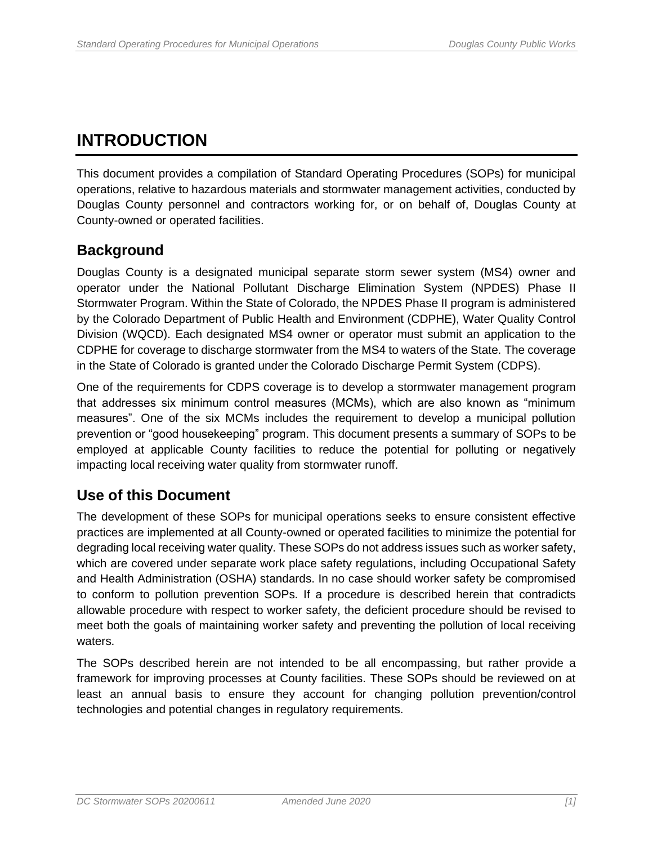## <span id="page-8-0"></span>**INTRODUCTION**

This document provides a compilation of Standard Operating Procedures (SOPs) for municipal operations, relative to hazardous materials and stormwater management activities, conducted by Douglas County personnel and contractors working for, or on behalf of, Douglas County at County-owned or operated facilities.

## <span id="page-8-1"></span>**Background**

Douglas County is a designated municipal separate storm sewer system (MS4) owner and operator under the National Pollutant Discharge Elimination System (NPDES) Phase II Stormwater Program. Within the State of Colorado, the NPDES Phase II program is administered by the Colorado Department of Public Health and Environment (CDPHE), Water Quality Control Division (WQCD). Each designated MS4 owner or operator must submit an application to the CDPHE for coverage to discharge stormwater from the MS4 to waters of the State. The coverage in the State of Colorado is granted under the Colorado Discharge Permit System (CDPS).

One of the requirements for CDPS coverage is to develop a stormwater management program that addresses six minimum control measures (MCMs), which are also known as "minimum measures". One of the six MCMs includes the requirement to develop a municipal pollution prevention or "good housekeeping" program. This document presents a summary of SOPs to be employed at applicable County facilities to reduce the potential for polluting or negatively impacting local receiving water quality from stormwater runoff.

## <span id="page-8-2"></span>**Use of this Document**

The development of these SOPs for municipal operations seeks to ensure consistent effective practices are implemented at all County-owned or operated facilities to minimize the potential for degrading local receiving water quality. These SOPs do not address issues such as worker safety, which are covered under separate work place safety regulations, including Occupational Safety and Health Administration (OSHA) standards. In no case should worker safety be compromised to conform to pollution prevention SOPs. If a procedure is described herein that contradicts allowable procedure with respect to worker safety, the deficient procedure should be revised to meet both the goals of maintaining worker safety and preventing the pollution of local receiving waters.

The SOPs described herein are not intended to be all encompassing, but rather provide a framework for improving processes at County facilities. These SOPs should be reviewed on at least an annual basis to ensure they account for changing pollution prevention/control technologies and potential changes in regulatory requirements.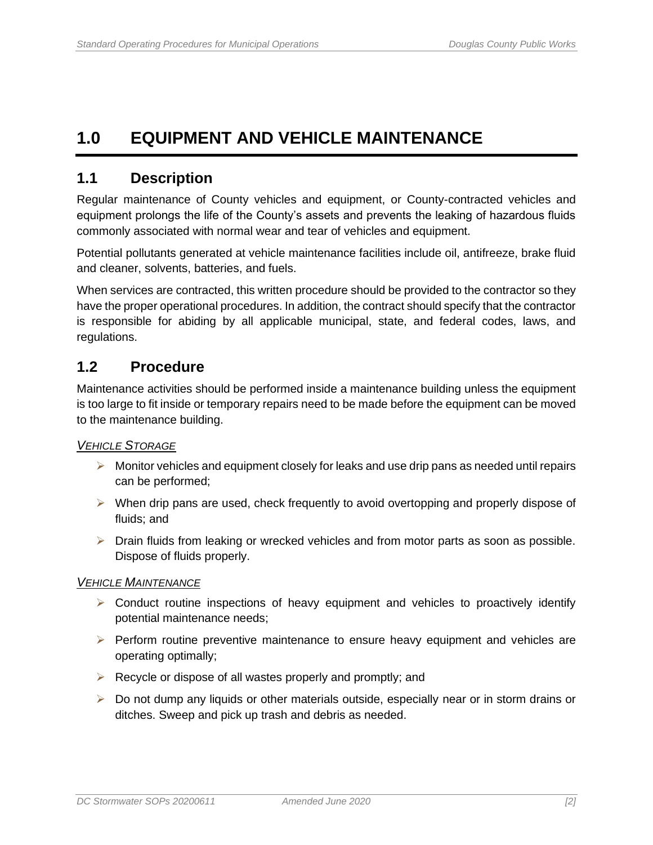## <span id="page-9-0"></span>**1.0 EQUIPMENT AND VEHICLE MAINTENANCE**

#### <span id="page-9-1"></span>**1.1 Description**

Regular maintenance of County vehicles and equipment, or County-contracted vehicles and equipment prolongs the life of the County's assets and prevents the leaking of hazardous fluids commonly associated with normal wear and tear of vehicles and equipment.

Potential pollutants generated at vehicle maintenance facilities include oil, antifreeze, brake fluid and cleaner, solvents, batteries, and fuels.

When services are contracted, this written procedure should be provided to the contractor so they have the proper operational procedures. In addition, the contract should specify that the contractor is responsible for abiding by all applicable municipal, state, and federal codes, laws, and regulations.

#### <span id="page-9-2"></span>**1.2 Procedure**

Maintenance activities should be performed inside a maintenance building unless the equipment is too large to fit inside or temporary repairs need to be made before the equipment can be moved to the maintenance building.

#### *VEHICLE STORAGE*

- $\triangleright$  Monitor vehicles and equipment closely for leaks and use drip pans as needed until repairs can be performed;
- $\triangleright$  When drip pans are used, check frequently to avoid overtopping and properly dispose of fluids; and
- ➢ Drain fluids from leaking or wrecked vehicles and from motor parts as soon as possible. Dispose of fluids properly.

#### *VEHICLE MAINTENANCE*

- $\triangleright$  Conduct routine inspections of heavy equipment and vehicles to proactively identify potential maintenance needs;
- ➢ Perform routine preventive maintenance to ensure heavy equipment and vehicles are operating optimally;
- $\triangleright$  Recycle or dispose of all wastes properly and promptly; and
- ➢ Do not dump any liquids or other materials outside, especially near or in storm drains or ditches. Sweep and pick up trash and debris as needed.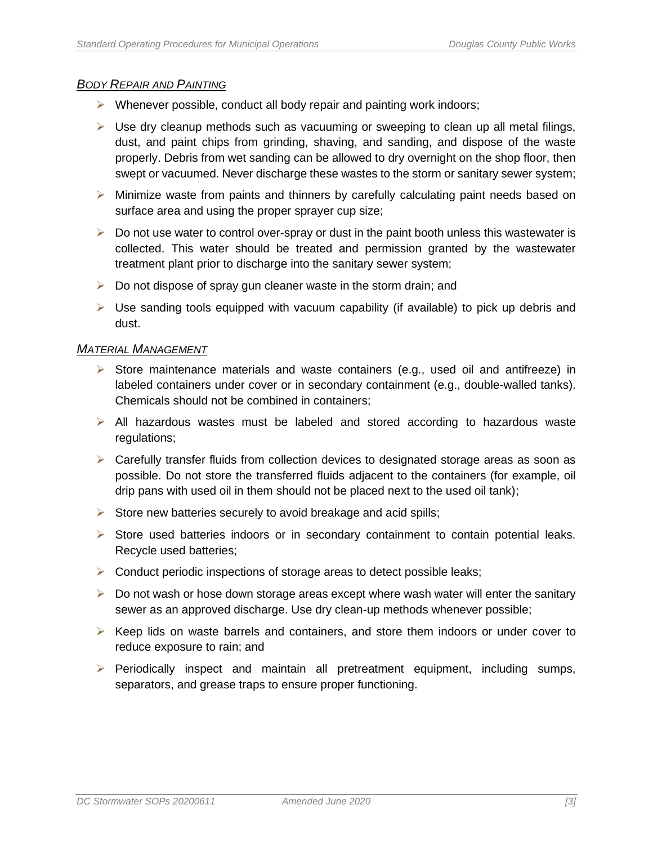#### *BODY REPAIR AND PAINTING*

- ➢ Whenever possible, conduct all body repair and painting work indoors;
- $\triangleright$  Use dry cleanup methods such as vacuuming or sweeping to clean up all metal filings, dust, and paint chips from grinding, shaving, and sanding, and dispose of the waste properly. Debris from wet sanding can be allowed to dry overnight on the shop floor, then swept or vacuumed. Never discharge these wastes to the storm or sanitary sewer system;
- $\triangleright$  Minimize waste from paints and thinners by carefully calculating paint needs based on surface area and using the proper sprayer cup size;
- $\triangleright$  Do not use water to control over-spray or dust in the paint booth unless this wastewater is collected. This water should be treated and permission granted by the wastewater treatment plant prior to discharge into the sanitary sewer system;
- $\triangleright$  Do not dispose of spray gun cleaner waste in the storm drain; and
- $\triangleright$  Use sanding tools equipped with vacuum capability (if available) to pick up debris and dust.

#### *MATERIAL MANAGEMENT*

- ➢ Store maintenance materials and waste containers (e.g., used oil and antifreeze) in labeled containers under cover or in secondary containment (e.g., double-walled tanks). Chemicals should not be combined in containers;
- ➢ All hazardous wastes must be labeled and stored according to hazardous waste regulations;
- ➢ Carefully transfer fluids from collection devices to designated storage areas as soon as possible. Do not store the transferred fluids adjacent to the containers (for example, oil drip pans with used oil in them should not be placed next to the used oil tank);
- $\triangleright$  Store new batteries securely to avoid breakage and acid spills;
- $\triangleright$  Store used batteries indoors or in secondary containment to contain potential leaks. Recycle used batteries;
- ➢ Conduct periodic inspections of storage areas to detect possible leaks;
- $\triangleright$  Do not wash or hose down storage areas except where wash water will enter the sanitary sewer as an approved discharge. Use dry clean-up methods whenever possible;
- $\triangleright$  Keep lids on waste barrels and containers, and store them indoors or under cover to reduce exposure to rain; and
- ➢ Periodically inspect and maintain all pretreatment equipment, including sumps, separators, and grease traps to ensure proper functioning.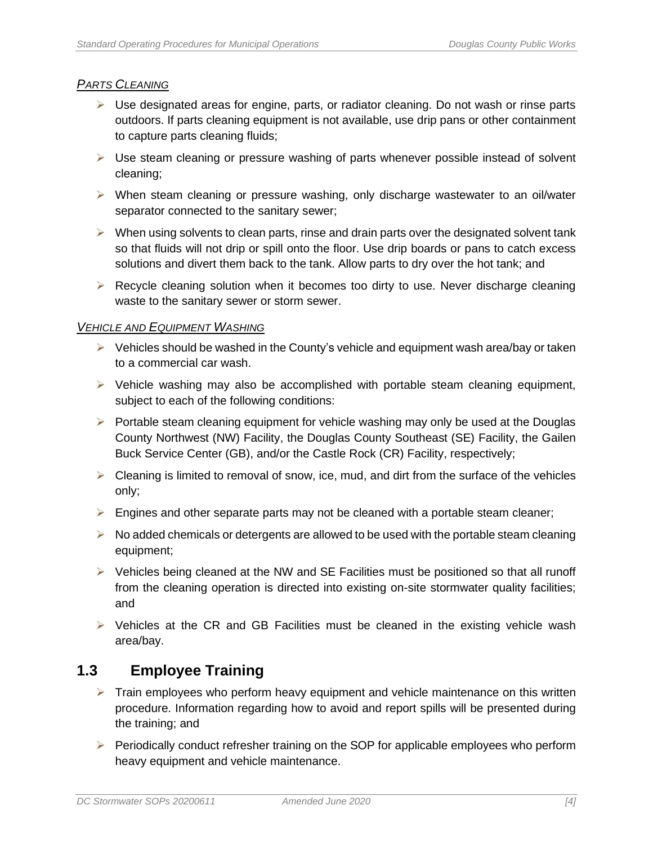#### *PARTS CLEANING*

- ➢ Use designated areas for engine, parts, or radiator cleaning. Do not wash or rinse parts outdoors. If parts cleaning equipment is not available, use drip pans or other containment to capture parts cleaning fluids;
- $\triangleright$  Use steam cleaning or pressure washing of parts whenever possible instead of solvent cleaning;
- ➢ When steam cleaning or pressure washing, only discharge wastewater to an oil/water separator connected to the sanitary sewer;
- $\triangleright$  When using solvents to clean parts, rinse and drain parts over the designated solvent tank so that fluids will not drip or spill onto the floor. Use drip boards or pans to catch excess solutions and divert them back to the tank. Allow parts to dry over the hot tank; and
- ➢ Recycle cleaning solution when it becomes too dirty to use. Never discharge cleaning waste to the sanitary sewer or storm sewer.

#### *VEHICLE AND EQUIPMENT WASHING*

- $\triangleright$  Vehicles should be washed in the County's vehicle and equipment wash area/bay or taken to a commercial car wash.
- $\triangleright$  Vehicle washing may also be accomplished with portable steam cleaning equipment, subject to each of the following conditions:
- $\triangleright$  Portable steam cleaning equipment for vehicle washing may only be used at the Douglas County Northwest (NW) Facility, the Douglas County Southeast (SE) Facility, the Gailen Buck Service Center (GB), and/or the Castle Rock (CR) Facility, respectively;
- $\triangleright$  Cleaning is limited to removal of snow, ice, mud, and dirt from the surface of the vehicles only;
- $\triangleright$  Engines and other separate parts may not be cleaned with a portable steam cleaner;
- $\triangleright$  No added chemicals or detergents are allowed to be used with the portable steam cleaning equipment;
- $\triangleright$  Vehicles being cleaned at the NW and SE Facilities must be positioned so that all runoff from the cleaning operation is directed into existing on-site stormwater quality facilities; and
- $\triangleright$  Vehicles at the CR and GB Facilities must be cleaned in the existing vehicle wash area/bay.

## <span id="page-11-0"></span>**1.3 Employee Training**

- $\triangleright$  Train employees who perform heavy equipment and vehicle maintenance on this written procedure. Information regarding how to avoid and report spills will be presented during the training; and
- ➢ Periodically conduct refresher training on the SOP for applicable employees who perform heavy equipment and vehicle maintenance.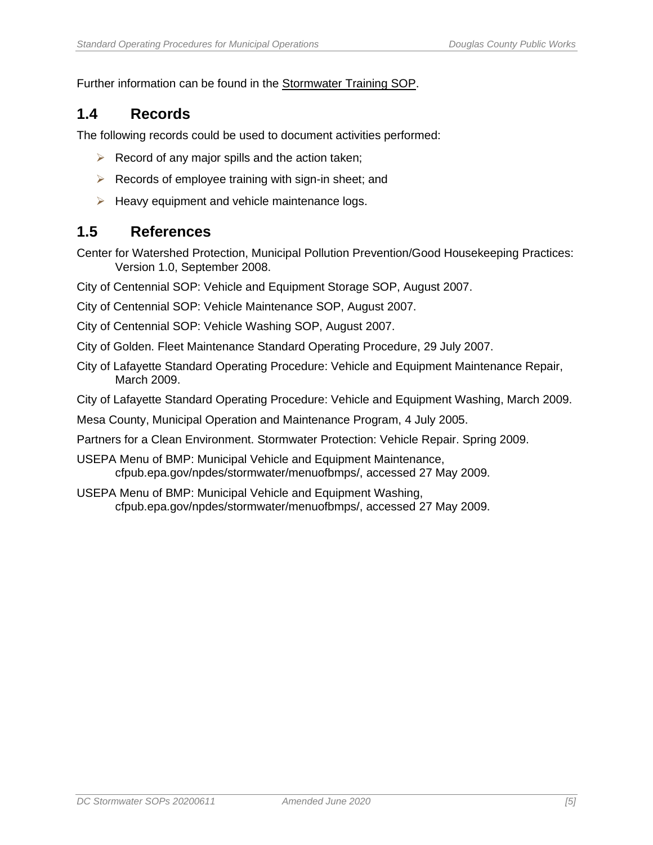Further information can be found in the Stormwater Training SOP.

## <span id="page-12-0"></span>**1.4 Records**

The following records could be used to document activities performed:

- $\triangleright$  Record of any major spills and the action taken;
- $\triangleright$  Records of employee training with sign-in sheet; and
- $\triangleright$  Heavy equipment and vehicle maintenance logs.

#### <span id="page-12-1"></span>**1.5 References**

Center for Watershed Protection, Municipal Pollution Prevention/Good Housekeeping Practices: Version 1.0, September 2008.

- City of Centennial SOP: Vehicle and Equipment Storage SOP, August 2007.
- City of Centennial SOP: Vehicle Maintenance SOP, August 2007.
- City of Centennial SOP: Vehicle Washing SOP, August 2007.
- City of Golden. Fleet Maintenance Standard Operating Procedure, 29 July 2007.
- City of Lafayette Standard Operating Procedure: Vehicle and Equipment Maintenance Repair, March 2009.
- City of Lafayette Standard Operating Procedure: Vehicle and Equipment Washing, March 2009.
- Mesa County, Municipal Operation and Maintenance Program, 4 July 2005.
- Partners for a Clean Environment. Stormwater Protection: Vehicle Repair. Spring 2009.
- USEPA Menu of BMP: Municipal Vehicle and Equipment Maintenance, cfpub.epa.gov/npdes/stormwater/menuofbmps/, accessed 27 May 2009.
- USEPA Menu of BMP: Municipal Vehicle and Equipment Washing, cfpub.epa.gov/npdes/stormwater/menuofbmps/, accessed 27 May 2009.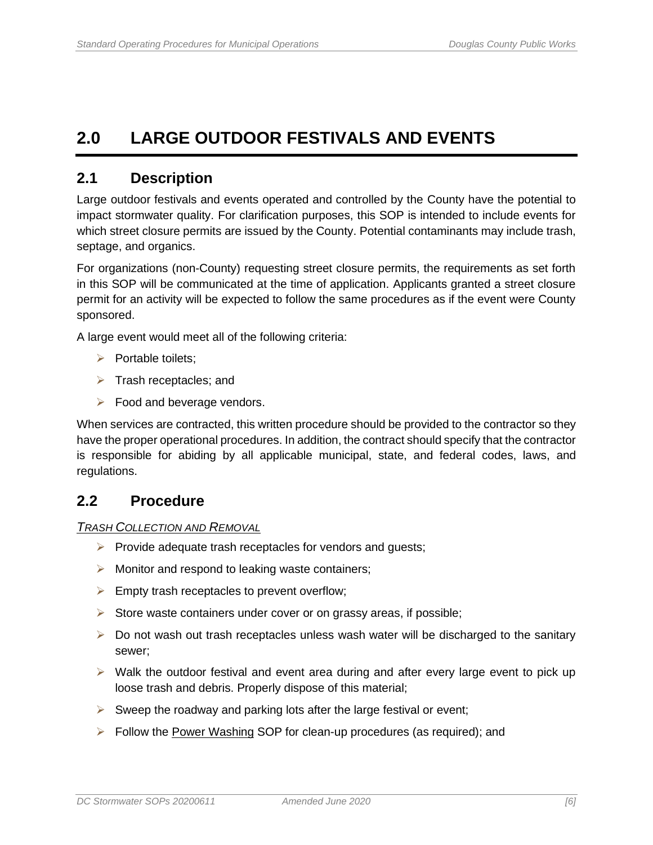## <span id="page-13-0"></span>**2.0 LARGE OUTDOOR FESTIVALS AND EVENTS**

## <span id="page-13-1"></span>**2.1 Description**

Large outdoor festivals and events operated and controlled by the County have the potential to impact stormwater quality. For clarification purposes, this SOP is intended to include events for which street closure permits are issued by the County. Potential contaminants may include trash, septage, and organics.

For organizations (non-County) requesting street closure permits, the requirements as set forth in this SOP will be communicated at the time of application. Applicants granted a street closure permit for an activity will be expected to follow the same procedures as if the event were County sponsored.

A large event would meet all of the following criteria:

- ➢ Portable toilets;
- ➢ Trash receptacles; and
- $\triangleright$  Food and beverage vendors.

When services are contracted, this written procedure should be provided to the contractor so they have the proper operational procedures. In addition, the contract should specify that the contractor is responsible for abiding by all applicable municipal, state, and federal codes, laws, and regulations.

#### <span id="page-13-2"></span>**2.2 Procedure**

*TRASH COLLECTION AND REMOVAL*

- ➢ Provide adequate trash receptacles for vendors and guests;
- ➢ Monitor and respond to leaking waste containers;
- $\triangleright$  Empty trash receptacles to prevent overflow;
- ➢ Store waste containers under cover or on grassy areas, if possible;
- $\triangleright$  Do not wash out trash receptacles unless wash water will be discharged to the sanitary sewer;
- $\triangleright$  Walk the outdoor festival and event area during and after every large event to pick up loose trash and debris. Properly dispose of this material;
- $\triangleright$  Sweep the roadway and parking lots after the large festival or event;
- ➢ Follow the Power Washing SOP for clean-up procedures (as required); and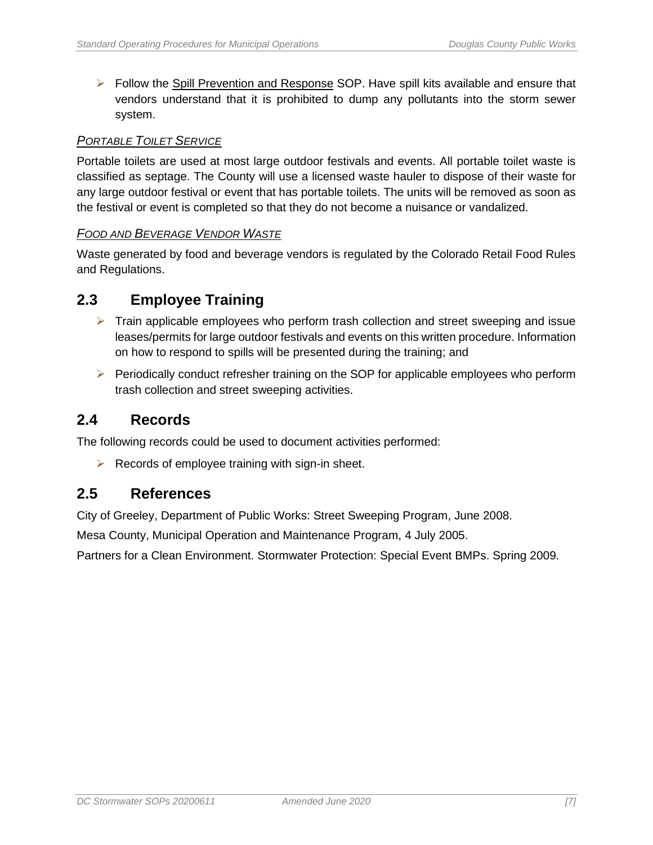➢ Follow the Spill Prevention and Response SOP. Have spill kits available and ensure that vendors understand that it is prohibited to dump any pollutants into the storm sewer system.

#### *PORTABLE TOILET SERVICE*

Portable toilets are used at most large outdoor festivals and events. All portable toilet waste is classified as septage. The County will use a licensed waste hauler to dispose of their waste for any large outdoor festival or event that has portable toilets. The units will be removed as soon as the festival or event is completed so that they do not become a nuisance or vandalized.

#### *FOOD AND BEVERAGE VENDOR WASTE*

Waste generated by food and beverage vendors is regulated by the Colorado Retail Food Rules and Regulations.

### <span id="page-14-0"></span>**2.3 Employee Training**

- $\triangleright$  Train applicable employees who perform trash collection and street sweeping and issue leases/permits for large outdoor festivals and events on this written procedure. Information on how to respond to spills will be presented during the training; and
- ➢ Periodically conduct refresher training on the SOP for applicable employees who perform trash collection and street sweeping activities.

#### <span id="page-14-1"></span>**2.4 Records**

The following records could be used to document activities performed:

 $\triangleright$  Records of employee training with sign-in sheet.

### <span id="page-14-2"></span>**2.5 References**

City of Greeley, Department of Public Works: Street Sweeping Program, June 2008.

Mesa County, Municipal Operation and Maintenance Program, 4 July 2005.

Partners for a Clean Environment. Stormwater Protection: Special Event BMPs. Spring 2009.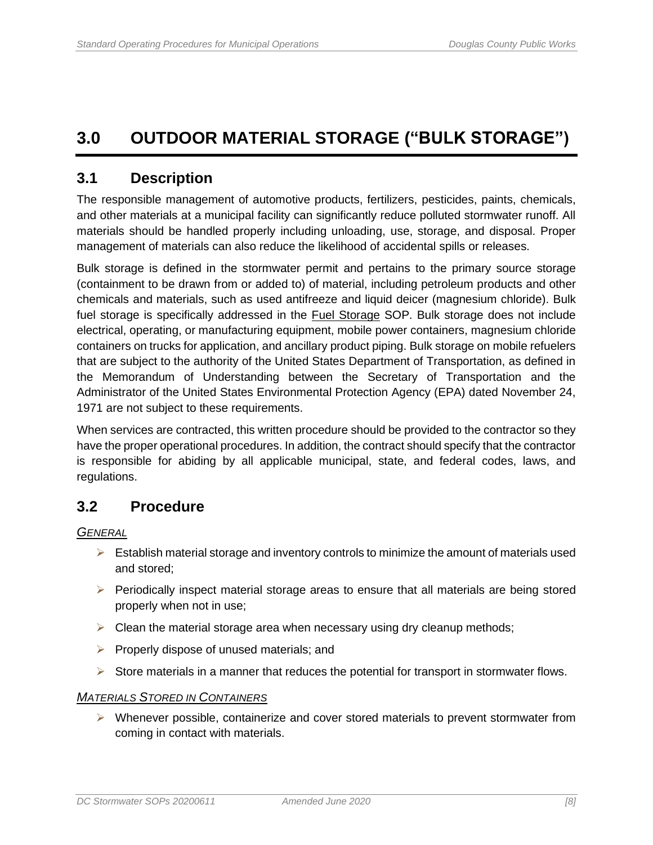## <span id="page-15-0"></span>**3.0 OUTDOOR MATERIAL STORAGE ("BULK STORAGE")**

### <span id="page-15-1"></span>**3.1 Description**

The responsible management of automotive products, fertilizers, pesticides, paints, chemicals, and other materials at a municipal facility can significantly reduce polluted stormwater runoff. All materials should be handled properly including unloading, use, storage, and disposal. Proper management of materials can also reduce the likelihood of accidental spills or releases.

Bulk storage is defined in the stormwater permit and pertains to the primary source storage (containment to be drawn from or added to) of material, including petroleum products and other chemicals and materials, such as used antifreeze and liquid deicer (magnesium chloride). Bulk fuel storage is specifically addressed in the Fuel Storage SOP. Bulk storage does not include electrical, operating, or manufacturing equipment, mobile power containers, magnesium chloride containers on trucks for application, and ancillary product piping. Bulk storage on mobile refuelers that are subject to the authority of the United States Department of Transportation, as defined in the Memorandum of Understanding between the Secretary of Transportation and the Administrator of the United States Environmental Protection Agency (EPA) dated November 24, 1971 are not subject to these requirements.

When services are contracted, this written procedure should be provided to the contractor so they have the proper operational procedures. In addition, the contract should specify that the contractor is responsible for abiding by all applicable municipal, state, and federal codes, laws, and regulations.

## <span id="page-15-2"></span>**3.2 Procedure**

*GENERAL* 

- $\triangleright$  Establish material storage and inventory controls to minimize the amount of materials used and stored;
- ➢ Periodically inspect material storage areas to ensure that all materials are being stored properly when not in use;
- $\triangleright$  Clean the material storage area when necessary using dry cleanup methods;
- $\triangleright$  Properly dispose of unused materials; and
- $\triangleright$  Store materials in a manner that reduces the potential for transport in stormwater flows.

#### *MATERIALS STORED IN CONTAINERS*

➢ Whenever possible, containerize and cover stored materials to prevent stormwater from coming in contact with materials.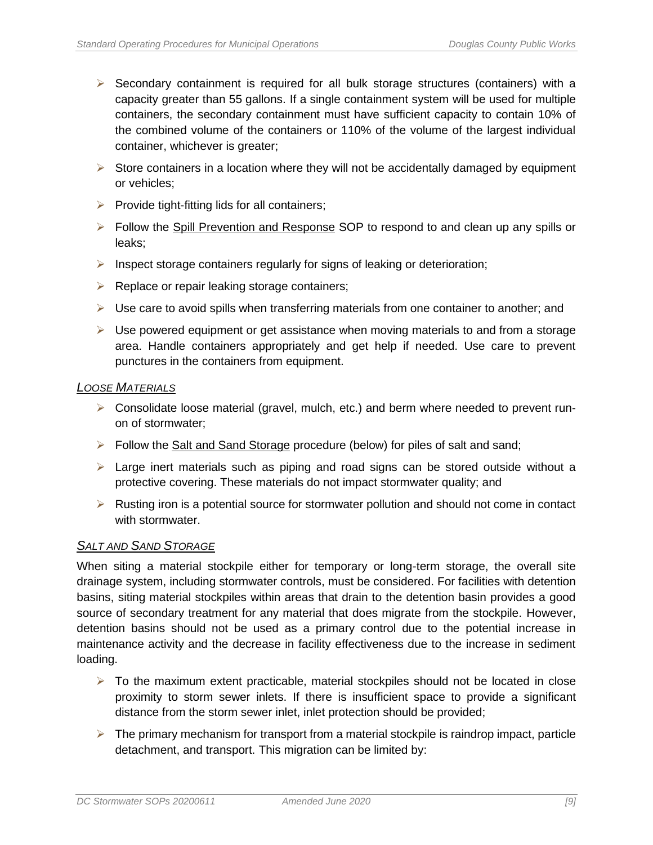- $\triangleright$  Secondary containment is required for all bulk storage structures (containers) with a capacity greater than 55 gallons. If a single containment system will be used for multiple containers, the secondary containment must have sufficient capacity to contain 10% of the combined volume of the containers or 110% of the volume of the largest individual container, whichever is greater;
- $\triangleright$  Store containers in a location where they will not be accidentally damaged by equipment or vehicles;
- $\triangleright$  Provide tight-fitting lids for all containers;
- ➢ Follow the Spill Prevention and Response SOP to respond to and clean up any spills or leaks;
- ➢ Inspect storage containers regularly for signs of leaking or deterioration;
- ➢ Replace or repair leaking storage containers;
- $\triangleright$  Use care to avoid spills when transferring materials from one container to another; and
- $\triangleright$  Use powered equipment or get assistance when moving materials to and from a storage area. Handle containers appropriately and get help if needed. Use care to prevent punctures in the containers from equipment.

#### *LOOSE MATERIALS*

- $\triangleright$  Consolidate loose material (gravel, mulch, etc.) and berm where needed to prevent runon of stormwater;
- ➢ Follow the Salt and Sand Storage procedure (below) for piles of salt and sand;
- $\triangleright$  Large inert materials such as piping and road signs can be stored outside without a protective covering. These materials do not impact stormwater quality; and
- ➢ Rusting iron is a potential source for stormwater pollution and should not come in contact with stormwater.

#### *SALT AND SAND STORAGE*

When siting a material stockpile either for temporary or long-term storage, the overall site drainage system, including stormwater controls, must be considered. For facilities with detention basins, siting material stockpiles within areas that drain to the detention basin provides a good source of secondary treatment for any material that does migrate from the stockpile. However, detention basins should not be used as a primary control due to the potential increase in maintenance activity and the decrease in facility effectiveness due to the increase in sediment loading.

- $\triangleright$  To the maximum extent practicable, material stockpiles should not be located in close proximity to storm sewer inlets. If there is insufficient space to provide a significant distance from the storm sewer inlet, inlet protection should be provided;
- $\triangleright$  The primary mechanism for transport from a material stockpile is raindrop impact, particle detachment, and transport. This migration can be limited by: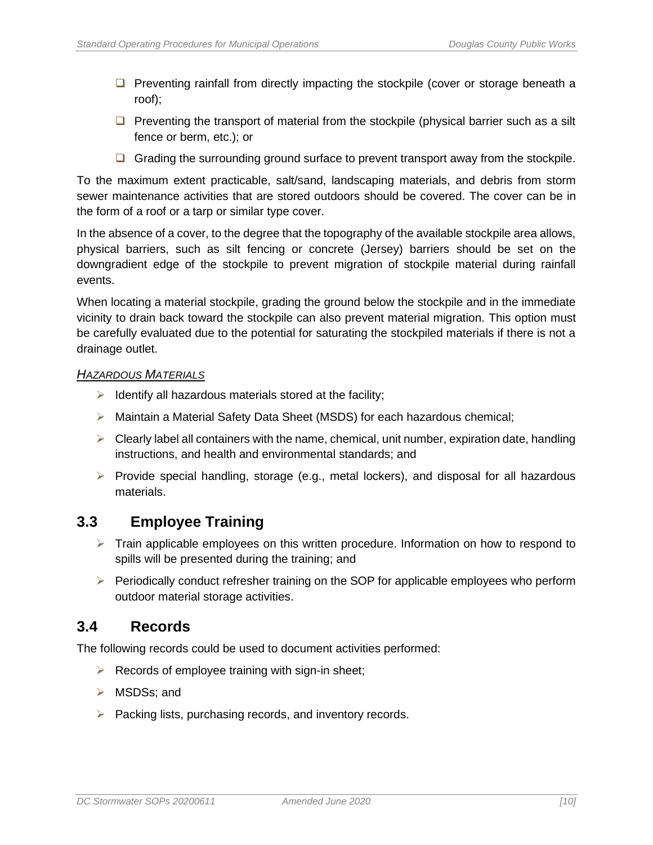- □ Preventing rainfall from directly impacting the stockpile (cover or storage beneath a roof);
- ❑ Preventing the transport of material from the stockpile (physical barrier such as a silt fence or berm, etc.); or
- □ Grading the surrounding ground surface to prevent transport away from the stockpile.

To the maximum extent practicable, salt/sand, landscaping materials, and debris from storm sewer maintenance activities that are stored outdoors should be covered. The cover can be in the form of a roof or a tarp or similar type cover.

In the absence of a cover, to the degree that the topography of the available stockpile area allows, physical barriers, such as silt fencing or concrete (Jersey) barriers should be set on the downgradient edge of the stockpile to prevent migration of stockpile material during rainfall events.

When locating a material stockpile, grading the ground below the stockpile and in the immediate vicinity to drain back toward the stockpile can also prevent material migration. This option must be carefully evaluated due to the potential for saturating the stockpiled materials if there is not a drainage outlet.

#### *HAZARDOUS MATERIALS*

- $\triangleright$  Identify all hazardous materials stored at the facility;
- ➢ Maintain a Material Safety Data Sheet (MSDS) for each hazardous chemical;
- $\triangleright$  Clearly label all containers with the name, chemical, unit number, expiration date, handling instructions, and health and environmental standards; and
- $\triangleright$  Provide special handling, storage (e.g., metal lockers), and disposal for all hazardous materials.

### <span id="page-17-0"></span>**3.3 Employee Training**

- $\triangleright$  Train applicable employees on this written procedure. Information on how to respond to spills will be presented during the training; and
- ➢ Periodically conduct refresher training on the SOP for applicable employees who perform outdoor material storage activities.

#### <span id="page-17-1"></span>**3.4 Records**

The following records could be used to document activities performed:

- $\triangleright$  Records of employee training with sign-in sheet;
- ➢ MSDSs; and
- ➢ Packing lists, purchasing records, and inventory records.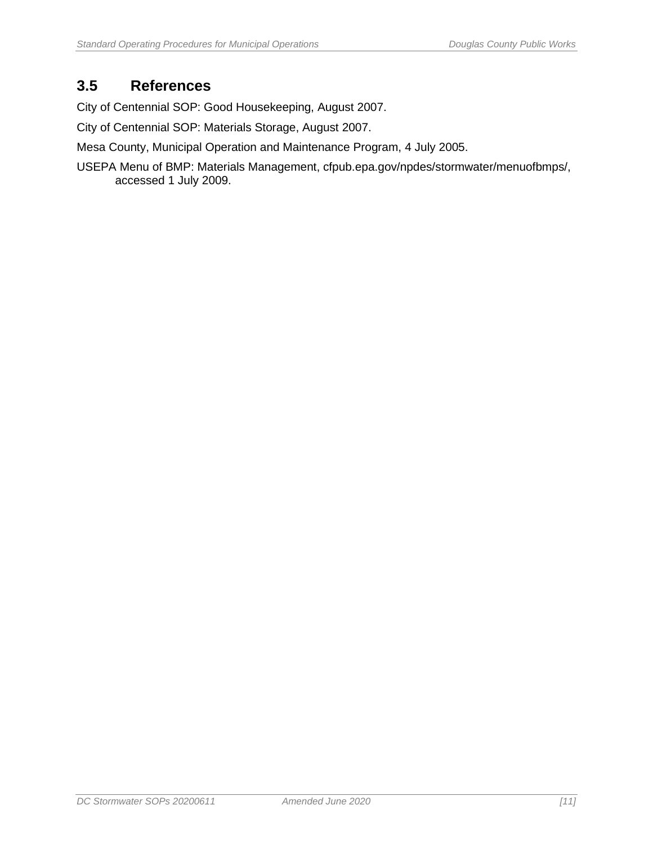## <span id="page-18-0"></span>**3.5 References**

City of Centennial SOP: Good Housekeeping, August 2007.

City of Centennial SOP: Materials Storage, August 2007.

Mesa County, Municipal Operation and Maintenance Program, 4 July 2005.

USEPA Menu of BMP: Materials Management, cfpub.epa.gov/npdes/stormwater/menuofbmps/, accessed 1 July 2009.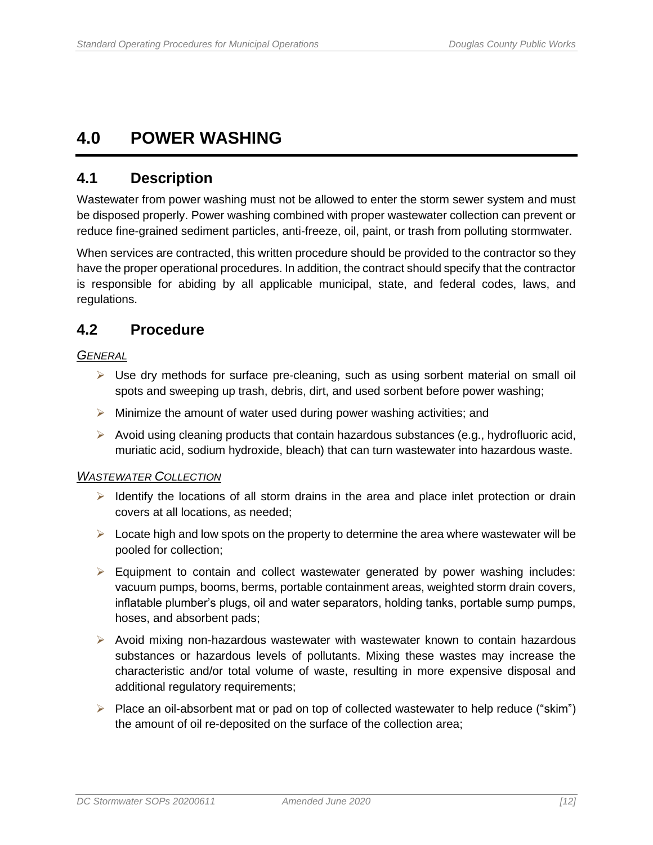## <span id="page-19-0"></span>**4.0 POWER WASHING**

### <span id="page-19-1"></span>**4.1 Description**

Wastewater from power washing must not be allowed to enter the storm sewer system and must be disposed properly. Power washing combined with proper wastewater collection can prevent or reduce fine-grained sediment particles, anti-freeze, oil, paint, or trash from polluting stormwater.

When services are contracted, this written procedure should be provided to the contractor so they have the proper operational procedures. In addition, the contract should specify that the contractor is responsible for abiding by all applicable municipal, state, and federal codes, laws, and regulations.

## <span id="page-19-2"></span>**4.2 Procedure**

#### *GENERAL*

- ➢ Use dry methods for surface pre-cleaning, such as using sorbent material on small oil spots and sweeping up trash, debris, dirt, and used sorbent before power washing;
- $\triangleright$  Minimize the amount of water used during power washing activities; and
- $\triangleright$  Avoid using cleaning products that contain hazardous substances (e.g., hydrofluoric acid, muriatic acid, sodium hydroxide, bleach) that can turn wastewater into hazardous waste.

#### *WASTEWATER COLLECTION*

- $\triangleright$  Identify the locations of all storm drains in the area and place inlet protection or drain covers at all locations, as needed;
- $\triangleright$  Locate high and low spots on the property to determine the area where wastewater will be pooled for collection;
- $\triangleright$  Equipment to contain and collect wastewater generated by power washing includes: vacuum pumps, booms, berms, portable containment areas, weighted storm drain covers, inflatable plumber's plugs, oil and water separators, holding tanks, portable sump pumps, hoses, and absorbent pads;
- ➢ Avoid mixing non-hazardous wastewater with wastewater known to contain hazardous substances or hazardous levels of pollutants. Mixing these wastes may increase the characteristic and/or total volume of waste, resulting in more expensive disposal and additional regulatory requirements;
- ➢ Place an oil-absorbent mat or pad on top of collected wastewater to help reduce ("skim") the amount of oil re-deposited on the surface of the collection area;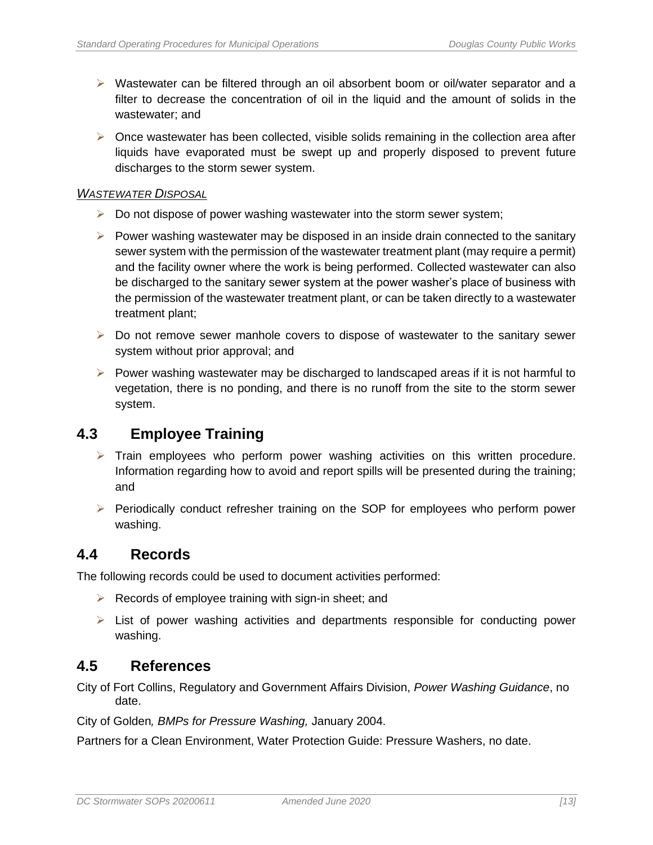- ➢ Wastewater can be filtered through an oil absorbent boom or oil/water separator and a filter to decrease the concentration of oil in the liquid and the amount of solids in the wastewater; and
- $\triangleright$  Once wastewater has been collected, visible solids remaining in the collection area after liquids have evaporated must be swept up and properly disposed to prevent future discharges to the storm sewer system.

#### *WASTEWATER DISPOSAL*

- $\triangleright$  Do not dispose of power washing wastewater into the storm sewer system;
- $\triangleright$  Power washing wastewater may be disposed in an inside drain connected to the sanitary sewer system with the permission of the wastewater treatment plant (may require a permit) and the facility owner where the work is being performed. Collected wastewater can also be discharged to the sanitary sewer system at the power washer's place of business with the permission of the wastewater treatment plant, or can be taken directly to a wastewater treatment plant;
- $\triangleright$  Do not remove sewer manhole covers to dispose of wastewater to the sanitary sewer system without prior approval; and
- $\triangleright$  Power washing wastewater may be discharged to landscaped areas if it is not harmful to vegetation, there is no ponding, and there is no runoff from the site to the storm sewer system.

### <span id="page-20-0"></span>**4.3 Employee Training**

- $\triangleright$  Train employees who perform power washing activities on this written procedure. Information regarding how to avoid and report spills will be presented during the training; and
- ➢ Periodically conduct refresher training on the SOP for employees who perform power washing.

### <span id="page-20-1"></span>**4.4 Records**

The following records could be used to document activities performed:

- $\triangleright$  Records of employee training with sign-in sheet; and
- $\triangleright$  List of power washing activities and departments responsible for conducting power washing.

#### <span id="page-20-2"></span>**4.5 References**

City of Fort Collins, Regulatory and Government Affairs Division, *Power Washing Guidance*, no date.

City of Golden*, BMPs for Pressure Washing,* January 2004.

Partners for a Clean Environment, Water Protection Guide: Pressure Washers, no date.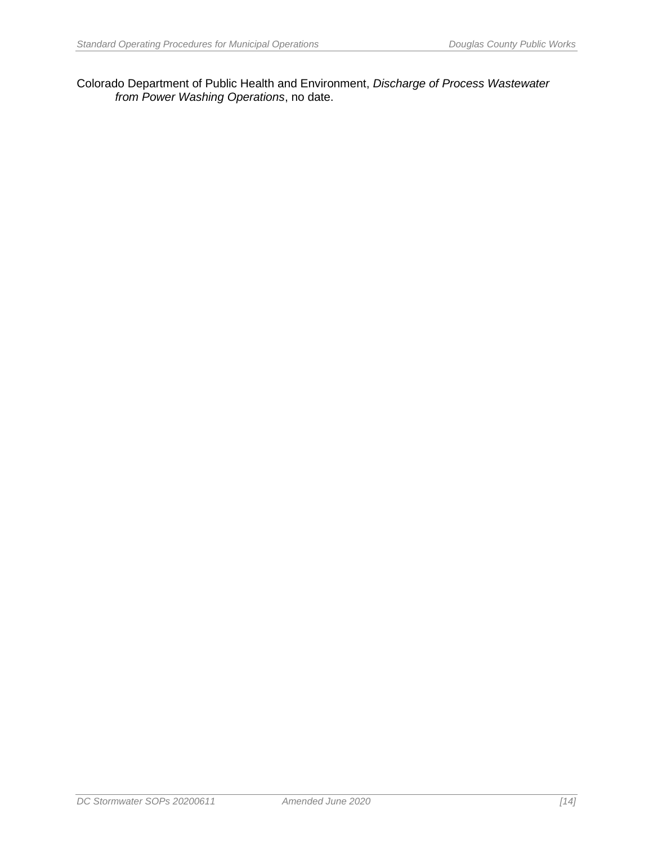Colorado Department of Public Health and Environment, *Discharge of Process Wastewater from Power Washing Operations*, no date.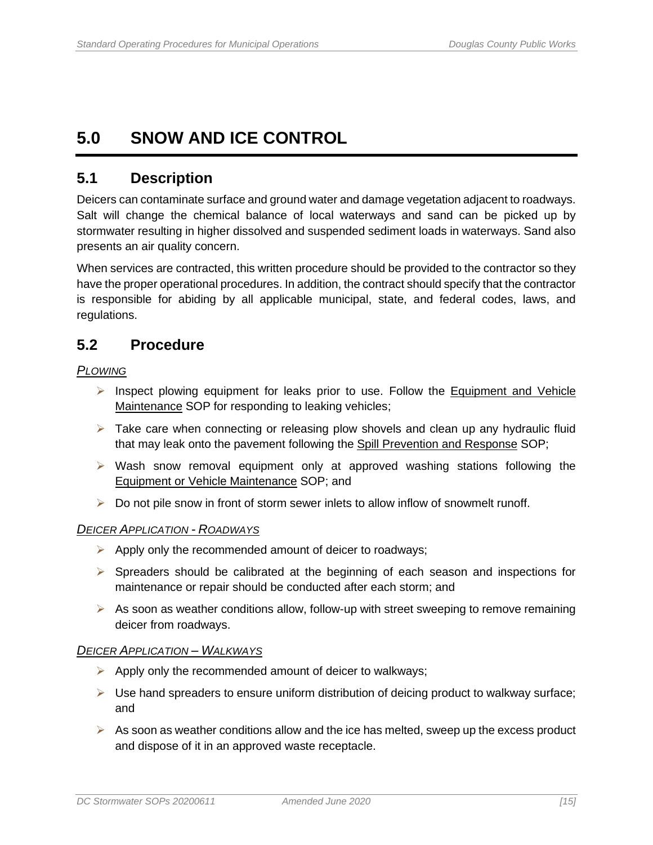## <span id="page-22-0"></span>**5.0 SNOW AND ICE CONTROL**

### <span id="page-22-1"></span>**5.1 Description**

Deicers can contaminate surface and ground water and damage vegetation adjacent to roadways. Salt will change the chemical balance of local waterways and sand can be picked up by stormwater resulting in higher dissolved and suspended sediment loads in waterways. Sand also presents an air quality concern.

When services are contracted, this written procedure should be provided to the contractor so they have the proper operational procedures. In addition, the contract should specify that the contractor is responsible for abiding by all applicable municipal, state, and federal codes, laws, and regulations.

### <span id="page-22-2"></span>**5.2 Procedure**

#### *PLOWING*

- $\triangleright$  Inspect plowing equipment for leaks prior to use. Follow the Equipment and Vehicle Maintenance SOP for responding to leaking vehicles;
- $\triangleright$  Take care when connecting or releasing plow shovels and clean up any hydraulic fluid that may leak onto the pavement following the Spill Prevention and Response SOP;
- $\triangleright$  Wash snow removal equipment only at approved washing stations following the Equipment or Vehicle Maintenance SOP; and
- $\triangleright$  Do not pile snow in front of storm sewer inlets to allow inflow of snowmelt runoff.

#### *DEICER APPLICATION - ROADWAYS*

- $\triangleright$  Apply only the recommended amount of deicer to roadways;
- $\triangleright$  Spreaders should be calibrated at the beginning of each season and inspections for maintenance or repair should be conducted after each storm; and
- $\triangleright$  As soon as weather conditions allow, follow-up with street sweeping to remove remaining deicer from roadways.

#### *DEICER APPLICATION – WALKWAYS*

- ➢ Apply only the recommended amount of deicer to walkways;
- $\triangleright$  Use hand spreaders to ensure uniform distribution of deicing product to walkway surface; and
- $\triangleright$  As soon as weather conditions allow and the ice has melted, sweep up the excess product and dispose of it in an approved waste receptacle.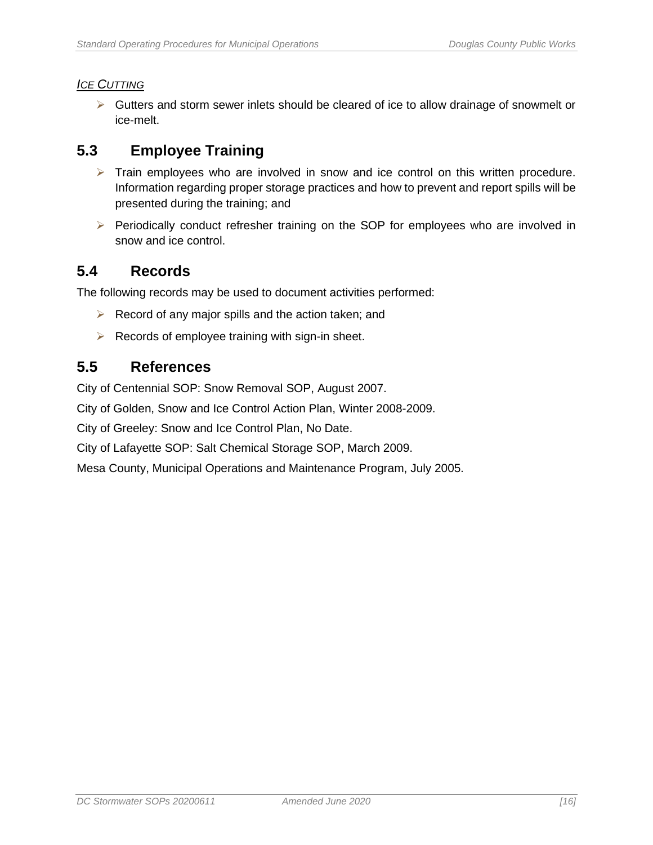#### *ICE CUTTING*

➢ Gutters and storm sewer inlets should be cleared of ice to allow drainage of snowmelt or ice-melt.

## <span id="page-23-0"></span>**5.3 Employee Training**

- $\triangleright$  Train employees who are involved in snow and ice control on this written procedure. Information regarding proper storage practices and how to prevent and report spills will be presented during the training; and
- ➢ Periodically conduct refresher training on the SOP for employees who are involved in snow and ice control.

#### <span id="page-23-1"></span>**5.4 Records**

The following records may be used to document activities performed:

- $\triangleright$  Record of any major spills and the action taken; and
- $\triangleright$  Records of employee training with sign-in sheet.

#### <span id="page-23-2"></span>**5.5 References**

City of Centennial SOP: Snow Removal SOP, August 2007.

City of Golden, Snow and Ice Control Action Plan, Winter 2008-2009.

City of Greeley: Snow and Ice Control Plan, No Date.

City of Lafayette SOP: Salt Chemical Storage SOP, March 2009.

Mesa County, Municipal Operations and Maintenance Program, July 2005.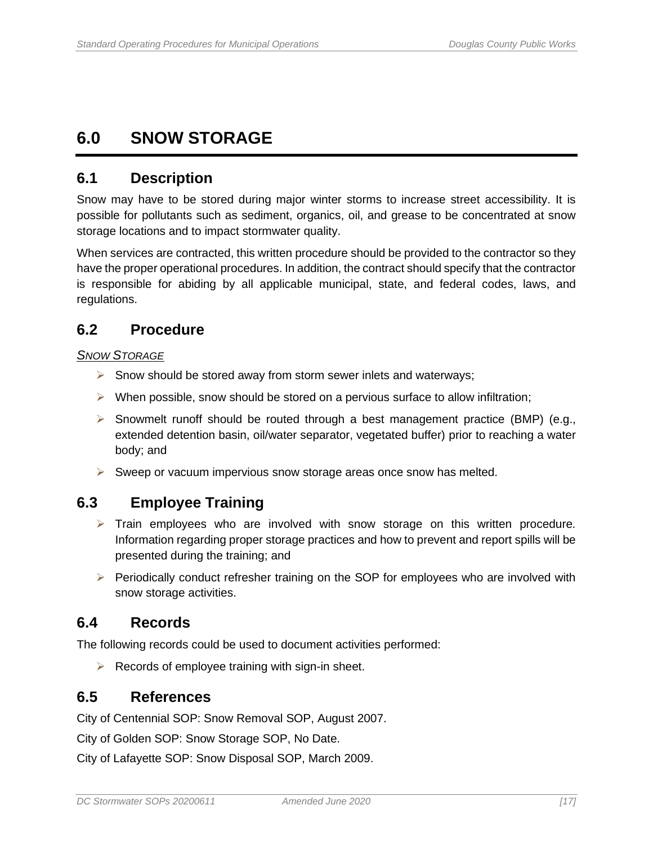## <span id="page-24-0"></span>**6.0 SNOW STORAGE**

#### <span id="page-24-1"></span>**6.1 Description**

Snow may have to be stored during major winter storms to increase street accessibility. It is possible for pollutants such as sediment, organics, oil, and grease to be concentrated at snow storage locations and to impact stormwater quality.

When services are contracted, this written procedure should be provided to the contractor so they have the proper operational procedures. In addition, the contract should specify that the contractor is responsible for abiding by all applicable municipal, state, and federal codes, laws, and regulations.

## <span id="page-24-2"></span>**6.2 Procedure**

#### *SNOW STORAGE*

- ➢ Snow should be stored away from storm sewer inlets and waterways;
- $\triangleright$  When possible, snow should be stored on a pervious surface to allow infiltration;
- $\triangleright$  Snowmelt runoff should be routed through a best management practice (BMP) (e.g., extended detention basin, oil/water separator, vegetated buffer) prior to reaching a water body; and
- $\triangleright$  Sweep or vacuum impervious snow storage areas once snow has melted.

## <span id="page-24-3"></span>**6.3 Employee Training**

- $\triangleright$  Train employees who are involved with snow storage on this written procedure. Information regarding proper storage practices and how to prevent and report spills will be presented during the training; and
- ➢ Periodically conduct refresher training on the SOP for employees who are involved with snow storage activities.

### <span id="page-24-4"></span>**6.4 Records**

The following records could be used to document activities performed:

 $\triangleright$  Records of employee training with sign-in sheet.

### <span id="page-24-5"></span>**6.5 References**

City of Centennial SOP: Snow Removal SOP, August 2007.

City of Golden SOP: Snow Storage SOP, No Date.

City of Lafayette SOP: Snow Disposal SOP, March 2009.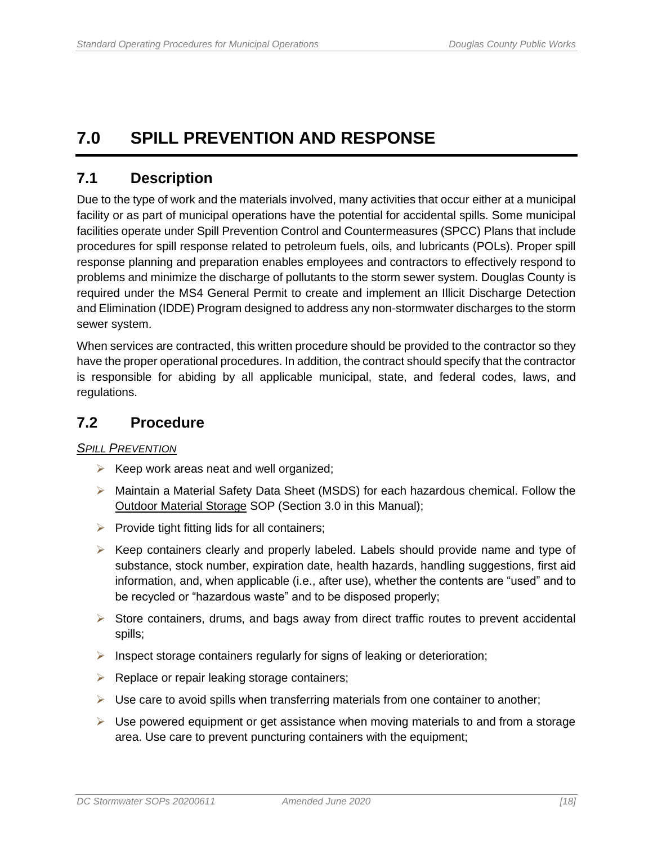## <span id="page-25-0"></span>**7.0 SPILL PREVENTION AND RESPONSE**

## <span id="page-25-1"></span>**7.1 Description**

Due to the type of work and the materials involved, many activities that occur either at a municipal facility or as part of municipal operations have the potential for accidental spills. Some municipal facilities operate under Spill Prevention Control and Countermeasures (SPCC) Plans that include procedures for spill response related to petroleum fuels, oils, and lubricants (POLs). Proper spill response planning and preparation enables employees and contractors to effectively respond to problems and minimize the discharge of pollutants to the storm sewer system. Douglas County is required under the MS4 General Permit to create and implement an Illicit Discharge Detection and Elimination (IDDE) Program designed to address any non-stormwater discharges to the storm sewer system.

When services are contracted, this written procedure should be provided to the contractor so they have the proper operational procedures. In addition, the contract should specify that the contractor is responsible for abiding by all applicable municipal, state, and federal codes, laws, and regulations.

### <span id="page-25-2"></span>**7.2 Procedure**

#### *SPILL PREVENTION*

- $\triangleright$  Keep work areas neat and well organized;
- ➢ Maintain a Material Safety Data Sheet (MSDS) for each hazardous chemical. Follow the Outdoor Material Storage SOP (Section 3.0 in this Manual);
- $\triangleright$  Provide tight fitting lids for all containers;
- $\triangleright$  Keep containers clearly and properly labeled. Labels should provide name and type of substance, stock number, expiration date, health hazards, handling suggestions, first aid information, and, when applicable (i.e., after use), whether the contents are "used" and to be recycled or "hazardous waste" and to be disposed properly;
- ➢ Store containers, drums, and bags away from direct traffic routes to prevent accidental spills;
- $\triangleright$  Inspect storage containers regularly for signs of leaking or deterioration;
- ➢ Replace or repair leaking storage containers;
- $\triangleright$  Use care to avoid spills when transferring materials from one container to another;
- ➢ Use powered equipment or get assistance when moving materials to and from a storage area. Use care to prevent puncturing containers with the equipment;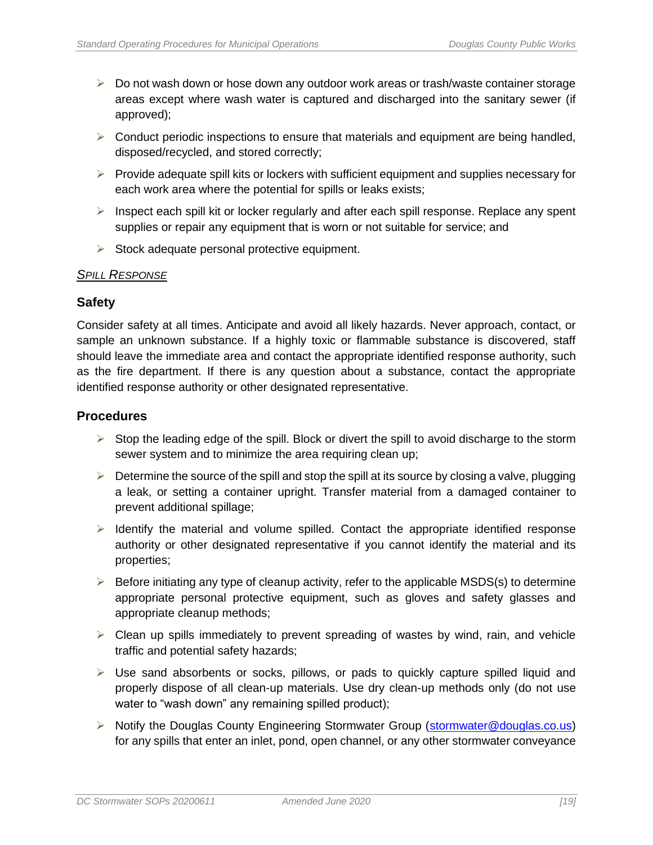- ➢ Do not wash down or hose down any outdoor work areas or trash/waste container storage areas except where wash water is captured and discharged into the sanitary sewer (if approved);
- $\triangleright$  Conduct periodic inspections to ensure that materials and equipment are being handled, disposed/recycled, and stored correctly;
- $\triangleright$  Provide adequate spill kits or lockers with sufficient equipment and supplies necessary for each work area where the potential for spills or leaks exists;
- $\triangleright$  Inspect each spill kit or locker regularly and after each spill response. Replace any spent supplies or repair any equipment that is worn or not suitable for service; and
- $\triangleright$  Stock adequate personal protective equipment.

#### *SPILL RESPONSE*

#### **Safety**

Consider safety at all times. Anticipate and avoid all likely hazards. Never approach, contact, or sample an unknown substance. If a highly toxic or flammable substance is discovered, staff should leave the immediate area and contact the appropriate identified response authority, such as the fire department. If there is any question about a substance, contact the appropriate identified response authority or other designated representative.

#### **Procedures**

- $\triangleright$  Stop the leading edge of the spill. Block or divert the spill to avoid discharge to the storm sewer system and to minimize the area requiring clean up;
- $\triangleright$  Determine the source of the spill and stop the spill at its source by closing a valve, plugging a leak, or setting a container upright. Transfer material from a damaged container to prevent additional spillage;
- $\triangleright$  Identify the material and volume spilled. Contact the appropriate identified response authority or other designated representative if you cannot identify the material and its properties;
- $\triangleright$  Before initiating any type of cleanup activity, refer to the applicable MSDS(s) to determine appropriate personal protective equipment, such as gloves and safety glasses and appropriate cleanup methods;
- $\triangleright$  Clean up spills immediately to prevent spreading of wastes by wind, rain, and vehicle traffic and potential safety hazards;
- $\triangleright$  Use sand absorbents or socks, pillows, or pads to quickly capture spilled liquid and properly dispose of all clean-up materials. Use dry clean-up methods only (do not use water to "wash down" any remaining spilled product);
- ➢ Notify the Douglas County Engineering Stormwater Group [\(stormwater@douglas.co.us\)](mailto:stormwater@douglas.co.us) for any spills that enter an inlet, pond, open channel, or any other stormwater conveyance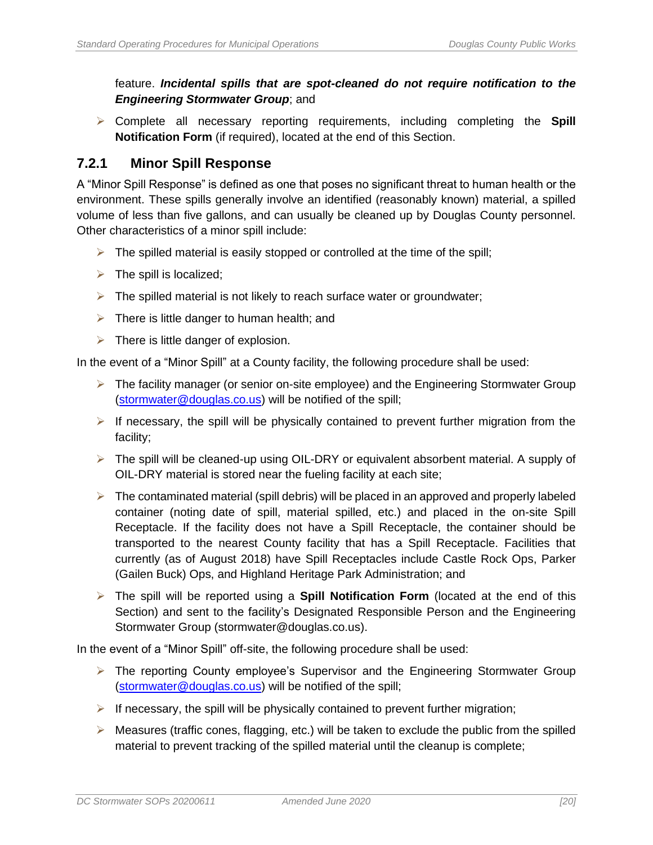#### feature. *Incidental spills that are spot-cleaned do not require notification to the Engineering Stormwater Group*; and

➢ Complete all necessary reporting requirements, including completing the **Spill Notification Form** (if required), located at the end of this Section.

### <span id="page-27-0"></span>**7.2.1 Minor Spill Response**

A "Minor Spill Response" is defined as one that poses no significant threat to human health or the environment. These spills generally involve an identified (reasonably known) material, a spilled volume of less than five gallons, and can usually be cleaned up by Douglas County personnel. Other characteristics of a minor spill include:

- $\triangleright$  The spilled material is easily stopped or controlled at the time of the spill;
- $\triangleright$  The spill is localized;
- $\triangleright$  The spilled material is not likely to reach surface water or groundwater;
- $\triangleright$  There is little danger to human health; and
- $\triangleright$  There is little danger of explosion.

In the event of a "Minor Spill" at a County facility, the following procedure shall be used:

- $\triangleright$  The facility manager (or senior on-site employee) and the Engineering Stormwater Group [\(stormwater@douglas.co.us\)](mailto:stormwater@douglas.co.us) will be notified of the spill;
- $\triangleright$  If necessary, the spill will be physically contained to prevent further migration from the facility;
- $\triangleright$  The spill will be cleaned-up using OIL-DRY or equivalent absorbent material. A supply of OIL-DRY material is stored near the fueling facility at each site;
- $\triangleright$  The contaminated material (spill debris) will be placed in an approved and properly labeled container (noting date of spill, material spilled, etc.) and placed in the on-site Spill Receptacle. If the facility does not have a Spill Receptacle, the container should be transported to the nearest County facility that has a Spill Receptacle. Facilities that currently (as of August 2018) have Spill Receptacles include Castle Rock Ops, Parker (Gailen Buck) Ops, and Highland Heritage Park Administration; and
- ➢ The spill will be reported using a **Spill Notification Form** (located at the end of this Section) and sent to the facility's Designated Responsible Person and the Engineering Stormwater Group (stormwater@douglas.co.us).

In the event of a "Minor Spill" off-site, the following procedure shall be used:

- ➢ The reporting County employee's Supervisor and the Engineering Stormwater Group [\(stormwater@douglas.co.us\)](mailto:stormwater@douglas.co.us) will be notified of the spill;
- $\triangleright$  If necessary, the spill will be physically contained to prevent further migration;
- $\triangleright$  Measures (traffic cones, flagging, etc.) will be taken to exclude the public from the spilled material to prevent tracking of the spilled material until the cleanup is complete;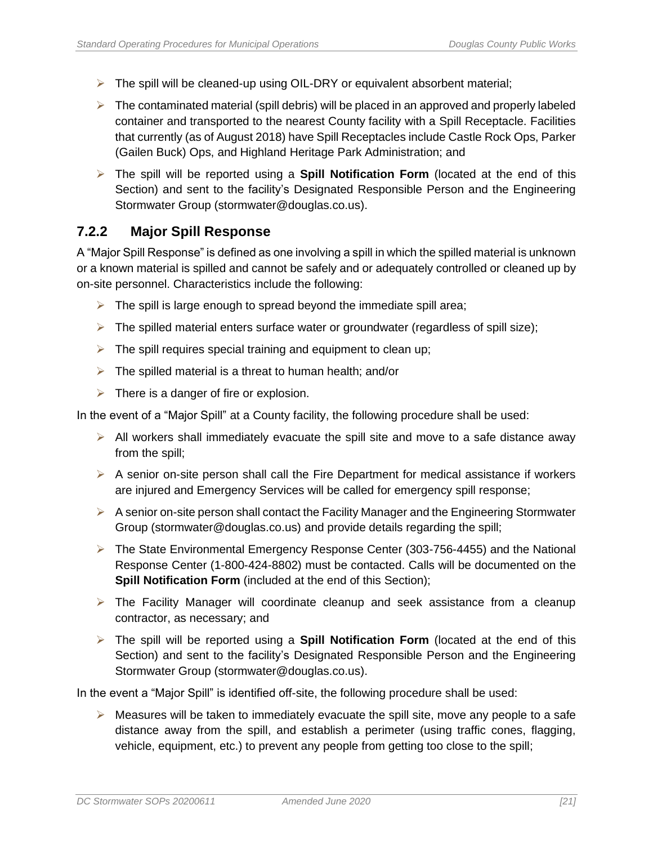- $\triangleright$  The spill will be cleaned-up using OIL-DRY or equivalent absorbent material;
- $\triangleright$  The contaminated material (spill debris) will be placed in an approved and properly labeled container and transported to the nearest County facility with a Spill Receptacle. Facilities that currently (as of August 2018) have Spill Receptacles include Castle Rock Ops, Parker (Gailen Buck) Ops, and Highland Heritage Park Administration; and
- ➢ The spill will be reported using a **Spill Notification Form** (located at the end of this Section) and sent to the facility's Designated Responsible Person and the Engineering Stormwater Group (stormwater@douglas.co.us).

#### <span id="page-28-0"></span>**7.2.2 Major Spill Response**

A "Major Spill Response" is defined as one involving a spill in which the spilled material is unknown or a known material is spilled and cannot be safely and or adequately controlled or cleaned up by on-site personnel. Characteristics include the following:

- $\triangleright$  The spill is large enough to spread beyond the immediate spill area;
- $\triangleright$  The spilled material enters surface water or groundwater (regardless of spill size);
- $\triangleright$  The spill requires special training and equipment to clean up;
- $\triangleright$  The spilled material is a threat to human health; and/or
- $\triangleright$  There is a danger of fire or explosion.

In the event of a "Major Spill" at a County facility, the following procedure shall be used:

- $\triangleright$  All workers shall immediately evacuate the spill site and move to a safe distance away from the spill;
- $\triangleright$  A senior on-site person shall call the Fire Department for medical assistance if workers are injured and Emergency Services will be called for emergency spill response;
- $\triangleright$  A senior on-site person shall contact the Facility Manager and the Engineering Stormwater Group (stormwater@douglas.co.us) and provide details regarding the spill;
- ➢ The State Environmental Emergency Response Center (303-756-4455) and the National Response Center (1-800-424-8802) must be contacted. Calls will be documented on the **Spill Notification Form** (included at the end of this Section);
- $\triangleright$  The Facility Manager will coordinate cleanup and seek assistance from a cleanup contractor, as necessary; and
- ➢ The spill will be reported using a **Spill Notification Form** (located at the end of this Section) and sent to the facility's Designated Responsible Person and the Engineering Stormwater Group (stormwater@douglas.co.us).

In the event a "Major Spill" is identified off-site, the following procedure shall be used:

 $\triangleright$  Measures will be taken to immediately evacuate the spill site, move any people to a safe distance away from the spill, and establish a perimeter (using traffic cones, flagging, vehicle, equipment, etc.) to prevent any people from getting too close to the spill;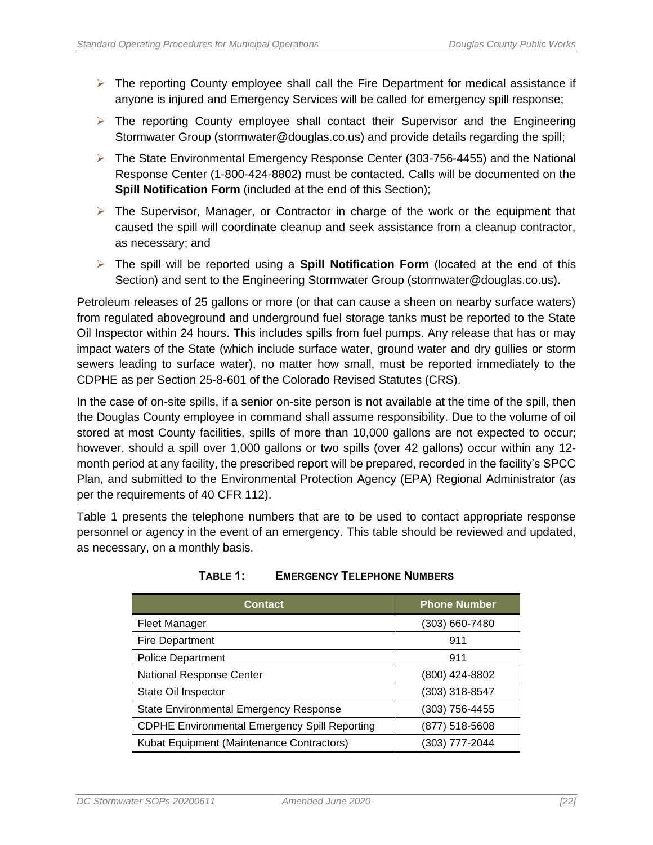- ➢ The reporting County employee shall call the Fire Department for medical assistance if anyone is injured and Emergency Services will be called for emergency spill response;
- ➢ The reporting County employee shall contact their Supervisor and the Engineering Stormwater Group (stormwater@douglas.co.us) and provide details regarding the spill;
- ➢ The State Environmental Emergency Response Center (303-756-4455) and the National Response Center (1-800-424-8802) must be contacted. Calls will be documented on the **Spill Notification Form** (included at the end of this Section);
- $\triangleright$  The Supervisor, Manager, or Contractor in charge of the work or the equipment that caused the spill will coordinate cleanup and seek assistance from a cleanup contractor, as necessary; and
- ➢ The spill will be reported using a **Spill Notification Form** (located at the end of this Section) and sent to the Engineering Stormwater Group (stormwater@douglas.co.us).

Petroleum releases of 25 gallons or more (or that can cause a sheen on nearby surface waters) from regulated aboveground and underground fuel storage tanks must be reported to the State Oil Inspector within 24 hours. This includes spills from fuel pumps. Any release that has or may impact waters of the State (which include surface water, ground water and dry gullies or storm sewers leading to surface water), no matter how small, must be reported immediately to the CDPHE as per Section 25-8-601 of the Colorado Revised Statutes (CRS).

In the case of on-site spills, if a senior on-site person is not available at the time of the spill, then the Douglas County employee in command shall assume responsibility. Due to the volume of oil stored at most County facilities, spills of more than 10,000 gallons are not expected to occur; however, should a spill over 1,000 gallons or two spills (over 42 gallons) occur within any 12 month period at any facility, the prescribed report will be prepared, recorded in the facility's SPCC Plan, and submitted to the Environmental Protection Agency (EPA) Regional Administrator (as per the requirements of 40 CFR 112).

<span id="page-29-0"></span>Table 1 presents the telephone numbers that are to be used to contact appropriate response personnel or agency in the event of an emergency. This table should be reviewed and updated, as necessary, on a monthly basis.

| <b>Contact</b>                                       | <b>Phone Number</b> |
|------------------------------------------------------|---------------------|
| <b>Fleet Manager</b>                                 | (303) 660-7480      |
| <b>Fire Department</b>                               | 911                 |
| <b>Police Department</b>                             | 911                 |
| <b>National Response Center</b>                      | (800) 424-8802      |
| State Oil Inspector                                  | (303) 318-8547      |
| State Environmental Emergency Response               | (303) 756-4455      |
| <b>CDPHE Environmental Emergency Spill Reporting</b> | (877) 518-5608      |
| Kubat Equipment (Maintenance Contractors)            | (303) 777-2044      |

#### **TABLE 1: EMERGENCY TELEPHONE NUMBERS**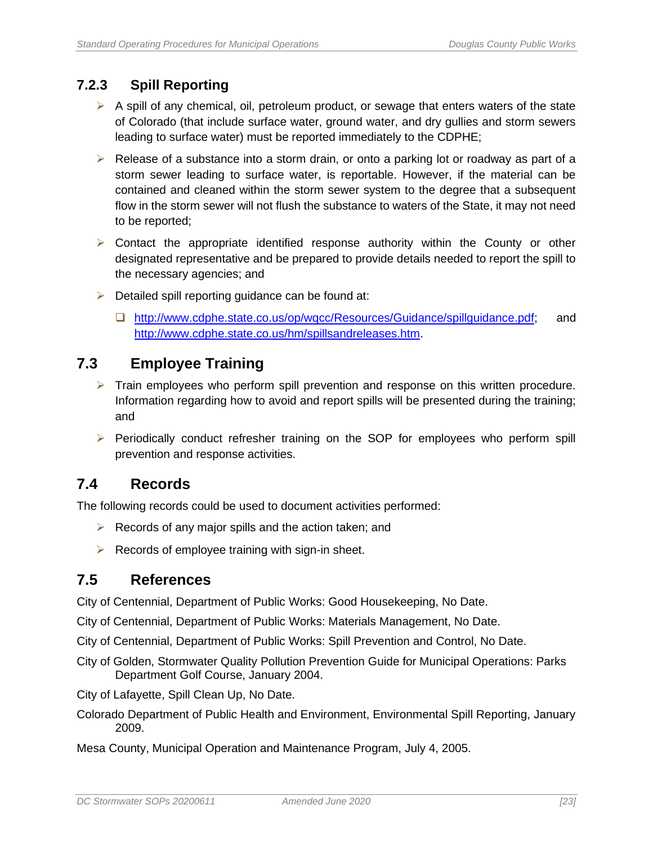## <span id="page-30-0"></span>**7.2.3 Spill Reporting**

- $\triangleright$  A spill of any chemical, oil, petroleum product, or sewage that enters waters of the state of Colorado (that include surface water, ground water, and dry gullies and storm sewers leading to surface water) must be reported immediately to the CDPHE;
- $\triangleright$  Release of a substance into a storm drain, or onto a parking lot or roadway as part of a storm sewer leading to surface water, is reportable. However, if the material can be contained and cleaned within the storm sewer system to the degree that a subsequent flow in the storm sewer will not flush the substance to waters of the State, it may not need to be reported;
- $\triangleright$  Contact the appropriate identified response authority within the County or other designated representative and be prepared to provide details needed to report the spill to the necessary agencies; and
- $\triangleright$  Detailed spill reporting guidance can be found at:
	- ❑ [http://www.cdphe.state.co.us/op/wqcc/Resources/Guidance/spillguidance.pdf;](http://www.cdphe.state.co.us/op/wqcc/Resources/Guidance/spillguidance.pdf) and [http://www.cdphe.state.co.us/hm/spillsandreleases.htm.](http://www.cdphe.state.co.us/hm/spillsandreleases.htm)

## <span id="page-30-1"></span>**7.3 Employee Training**

- $\triangleright$  Train employees who perform spill prevention and response on this written procedure. Information regarding how to avoid and report spills will be presented during the training; and
- $\triangleright$  Periodically conduct refresher training on the SOP for employees who perform spill prevention and response activities.

## <span id="page-30-2"></span>**7.4 Records**

The following records could be used to document activities performed:

- $\triangleright$  Records of any major spills and the action taken; and
- $\triangleright$  Records of employee training with sign-in sheet.

## <span id="page-30-3"></span>**7.5 References**

City of Centennial, Department of Public Works: Good Housekeeping, No Date.

City of Centennial, Department of Public Works: Materials Management, No Date.

City of Centennial, Department of Public Works: Spill Prevention and Control, No Date.

City of Golden, Stormwater Quality Pollution Prevention Guide for Municipal Operations: Parks Department Golf Course, January 2004.

City of Lafayette, Spill Clean Up, No Date.

- Colorado Department of Public Health and Environment, Environmental Spill Reporting, January 2009.
- Mesa County, Municipal Operation and Maintenance Program, July 4, 2005.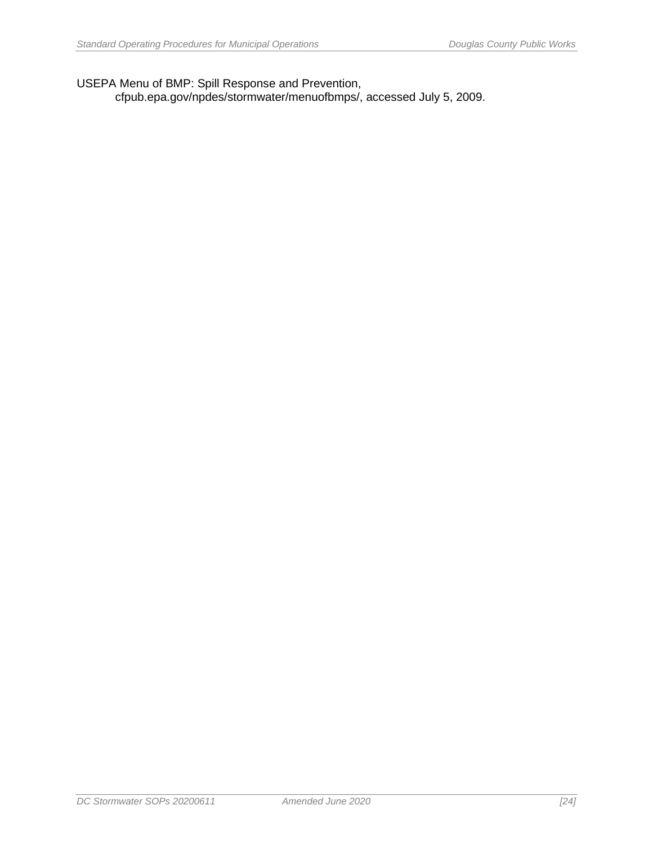USEPA Menu of BMP: Spill Response and Prevention,

cfpub.epa.gov/npdes/stormwater/menuofbmps/, accessed July 5, 2009.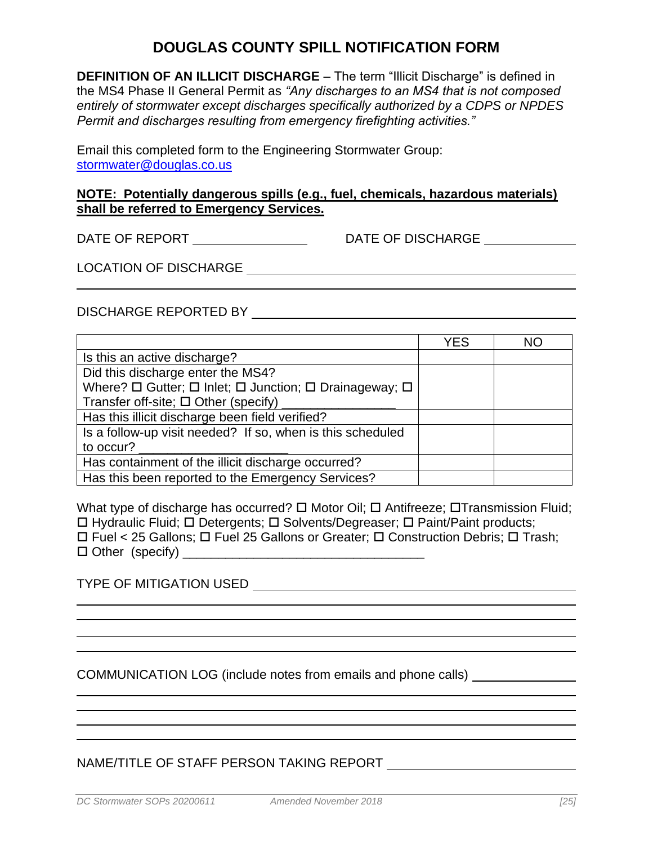## **DOUGLAS COUNTY SPILL NOTIFICATION FORM**

**DEFINITION OF AN ILLICIT DISCHARGE** – The term "Illicit Discharge" is defined in the MS4 Phase II General Permit as *"Any discharges to an MS4 that is not composed entirely of stormwater except discharges specifically authorized by a CDPS or NPDES Permit and discharges resulting from emergency firefighting activities."*

Email this completed form to the Engineering Stormwater Group: [stormwater@douglas.co.us](mailto:stormwater@douglas.co.us)

#### **NOTE: Potentially dangerous spills (e.g., fuel, chemicals, hazardous materials) shall be referred to Emergency Services.**

DATE OF REPORT \_\_\_\_\_\_\_\_\_\_\_\_\_\_\_\_\_\_\_\_\_\_\_\_\_\_\_\_\_DATE OF DISCHARGE \_\_\_\_\_\_\_\_\_\_\_\_\_\_\_\_\_\_

LOCATION OF DISCHARGE

#### DISCHARGE REPORTED BY

|                                                                                 | <b>YES</b> | <b>NO</b> |
|---------------------------------------------------------------------------------|------------|-----------|
| Is this an active discharge?                                                    |            |           |
| Did this discharge enter the MS4?                                               |            |           |
| Where? $\Box$ Gutter; $\Box$ Inlet; $\Box$ Junction; $\Box$ Drainageway; $\Box$ |            |           |
| Transfer off-site; $\Box$ Other (specify)                                       |            |           |
| Has this illicit discharge been field verified?                                 |            |           |
| Is a follow-up visit needed? If so, when is this scheduled                      |            |           |
| to occur?                                                                       |            |           |
| Has containment of the illicit discharge occurred?                              |            |           |
| Has this been reported to the Emergency Services?                               |            |           |

What type of discharge has occurred?  $\square$  Motor Oil;  $\square$  Antifreeze;  $\square$ Transmission Fluid;  $\Box$  Hydraulic Fluid;  $\Box$  Detergents;  $\Box$  Solvents/Degreaser;  $\Box$  Paint/Paint products;  $\Box$  Fuel < 25 Gallons:  $\Box$  Fuel 25 Gallons or Greater;  $\Box$  Construction Debris;  $\Box$  Trash;  $\Box$  Other (specify)

TYPE OF MITIGATION USED

COMMUNICATION LOG (include notes from emails and phone calls)

#### NAME/TITLE OF STAFF PERSON TAKING REPORT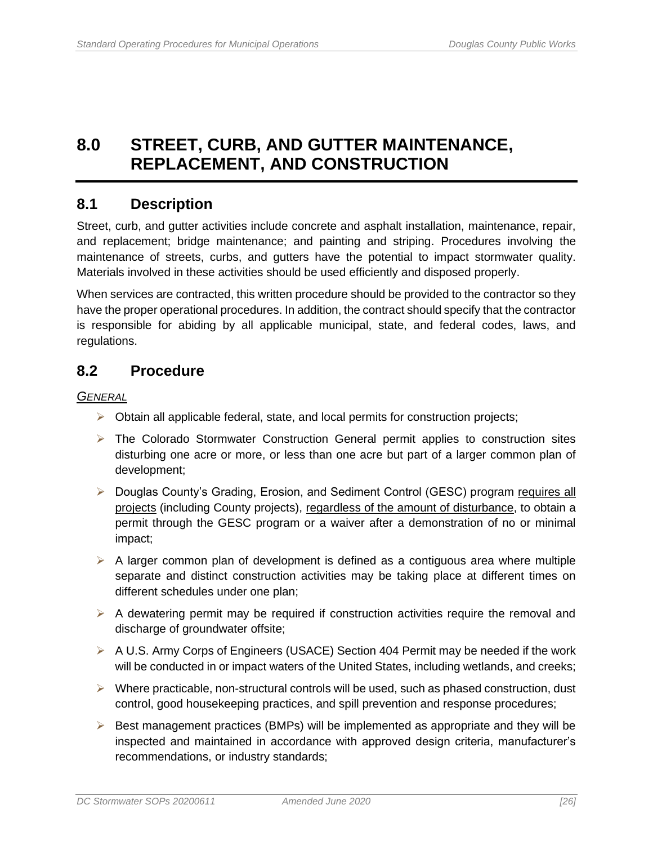## <span id="page-33-0"></span>**8.0 STREET, CURB, AND GUTTER MAINTENANCE, REPLACEMENT, AND CONSTRUCTION**

### <span id="page-33-1"></span>**8.1 Description**

Street, curb, and gutter activities include concrete and asphalt installation, maintenance, repair, and replacement; bridge maintenance; and painting and striping. Procedures involving the maintenance of streets, curbs, and gutters have the potential to impact stormwater quality. Materials involved in these activities should be used efficiently and disposed properly.

When services are contracted, this written procedure should be provided to the contractor so they have the proper operational procedures. In addition, the contract should specify that the contractor is responsible for abiding by all applicable municipal, state, and federal codes, laws, and regulations.

## <span id="page-33-2"></span>**8.2 Procedure**

*GENERAL* 

- $\triangleright$  Obtain all applicable federal, state, and local permits for construction projects;
- ➢ The Colorado Stormwater Construction General permit applies to construction sites disturbing one acre or more, or less than one acre but part of a larger common plan of development;
- ➢ Douglas County's Grading, Erosion, and Sediment Control (GESC) program requires all projects (including County projects), regardless of the amount of disturbance, to obtain a permit through the GESC program or a waiver after a demonstration of no or minimal impact;
- $\triangleright$  A larger common plan of development is defined as a contiguous area where multiple separate and distinct construction activities may be taking place at different times on different schedules under one plan;
- $\triangleright$  A dewatering permit may be required if construction activities require the removal and discharge of groundwater offsite;
- ➢ A U.S. Army Corps of Engineers (USACE) Section 404 Permit may be needed if the work will be conducted in or impact waters of the United States, including wetlands, and creeks;
- $\triangleright$  Where practicable, non-structural controls will be used, such as phased construction, dust control, good housekeeping practices, and spill prevention and response procedures;
- $\triangleright$  Best management practices (BMPs) will be implemented as appropriate and they will be inspected and maintained in accordance with approved design criteria, manufacturer's recommendations, or industry standards;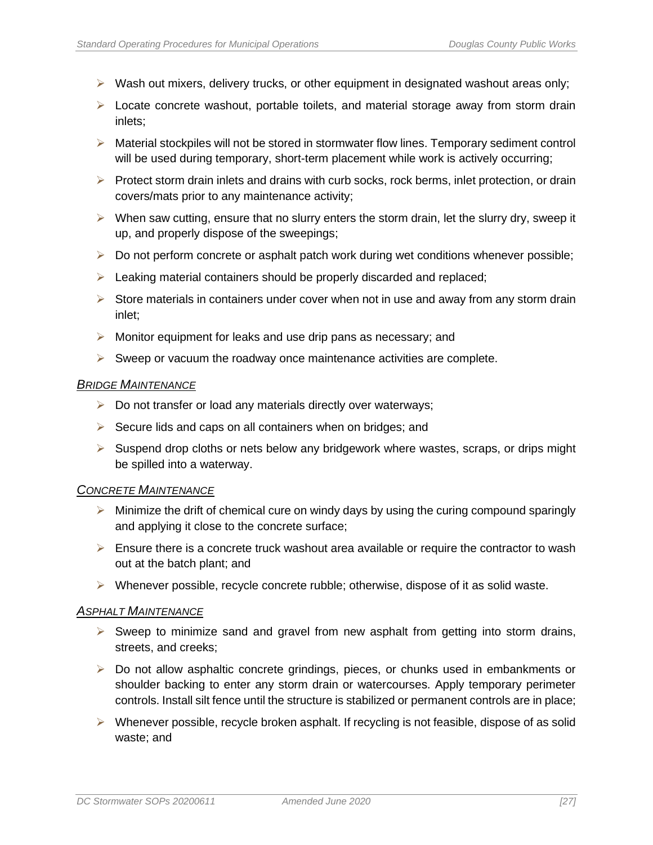- $\triangleright$  Wash out mixers, delivery trucks, or other equipment in designated washout areas only;
- ➢ Locate concrete washout, portable toilets, and material storage away from storm drain inlets;
- $\triangleright$  Material stockpiles will not be stored in stormwater flow lines. Temporary sediment control will be used during temporary, short-term placement while work is actively occurring;
- $\triangleright$  Protect storm drain inlets and drains with curb socks, rock berms, inlet protection, or drain covers/mats prior to any maintenance activity;
- $\triangleright$  When saw cutting, ensure that no slurry enters the storm drain, let the slurry dry, sweep it up, and properly dispose of the sweepings;
- $\triangleright$  Do not perform concrete or asphalt patch work during wet conditions whenever possible;
- ➢ Leaking material containers should be properly discarded and replaced;
- $\triangleright$  Store materials in containers under cover when not in use and away from any storm drain inlet;
- ➢ Monitor equipment for leaks and use drip pans as necessary; and
- $\triangleright$  Sweep or vacuum the roadway once maintenance activities are complete.

#### *BRIDGE MAINTENANCE*

- ➢ Do not transfer or load any materials directly over waterways;
- $\triangleright$  Secure lids and caps on all containers when on bridges; and
- $\triangleright$  Suspend drop cloths or nets below any bridgework where wastes, scraps, or drips might be spilled into a waterway.

#### *CONCRETE MAINTENANCE*

- $\triangleright$  Minimize the drift of chemical cure on windy days by using the curing compound sparingly and applying it close to the concrete surface;
- $\triangleright$  Ensure there is a concrete truck washout area available or require the contractor to wash out at the batch plant; and
- $\triangleright$  Whenever possible, recycle concrete rubble; otherwise, dispose of it as solid waste.

#### *ASPHALT MAINTENANCE*

- ➢ Sweep to minimize sand and gravel from new asphalt from getting into storm drains, streets, and creeks;
- ➢ Do not allow asphaltic concrete grindings, pieces, or chunks used in embankments or shoulder backing to enter any storm drain or watercourses. Apply temporary perimeter controls. Install silt fence until the structure is stabilized or permanent controls are in place;
- $\triangleright$  Whenever possible, recycle broken asphalt. If recycling is not feasible, dispose of as solid waste; and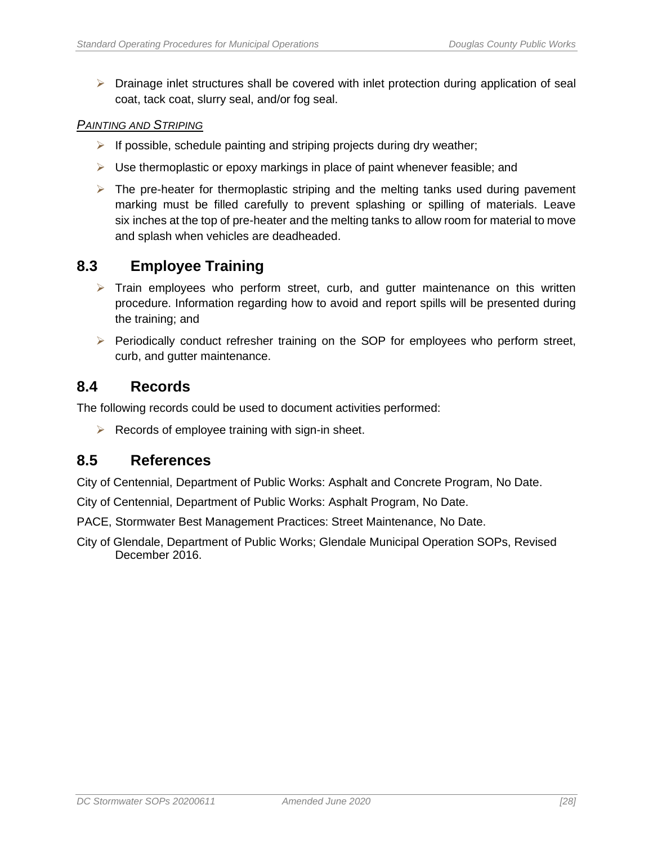$\triangleright$  Drainage inlet structures shall be covered with inlet protection during application of seal coat, tack coat, slurry seal, and/or fog seal.

#### *PAINTING AND STRIPING*

- ➢ If possible, schedule painting and striping projects during dry weather;
- $\triangleright$  Use thermoplastic or epoxy markings in place of paint whenever feasible; and
- $\triangleright$  The pre-heater for thermoplastic striping and the melting tanks used during pavement marking must be filled carefully to prevent splashing or spilling of materials. Leave six inches at the top of pre-heater and the melting tanks to allow room for material to move and splash when vehicles are deadheaded.

### <span id="page-35-0"></span>**8.3 Employee Training**

- $\triangleright$  Train employees who perform street, curb, and gutter maintenance on this written procedure. Information regarding how to avoid and report spills will be presented during the training; and
- ➢ Periodically conduct refresher training on the SOP for employees who perform street, curb, and gutter maintenance.

#### <span id="page-35-1"></span>**8.4 Records**

The following records could be used to document activities performed:

 $\triangleright$  Records of employee training with sign-in sheet.

#### <span id="page-35-2"></span>**8.5 References**

City of Centennial, Department of Public Works: Asphalt and Concrete Program, No Date.

- City of Centennial, Department of Public Works: Asphalt Program, No Date.
- PACE, Stormwater Best Management Practices: Street Maintenance, No Date.
- City of Glendale, Department of Public Works; Glendale Municipal Operation SOPs, Revised December 2016.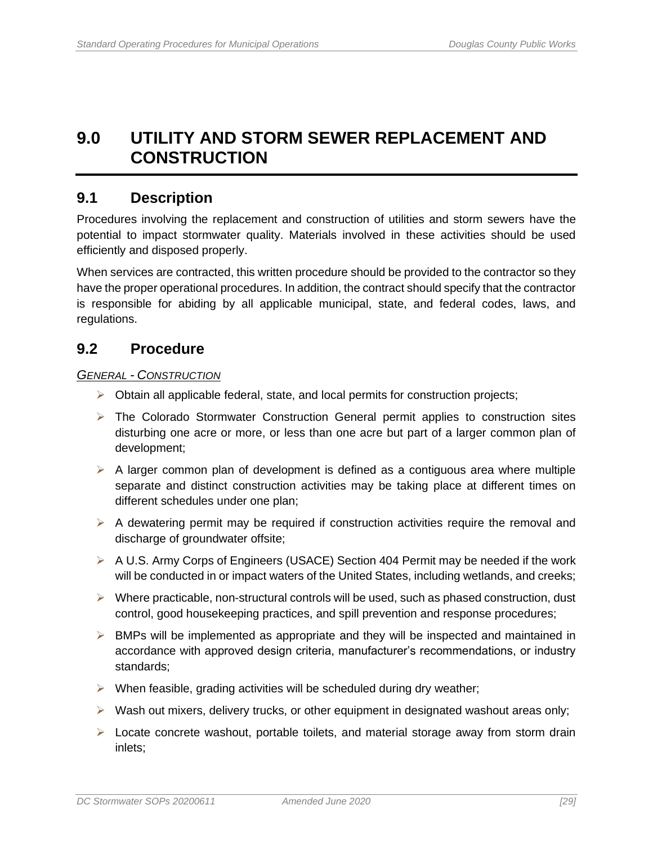## <span id="page-36-0"></span>**9.0 UTILITY AND STORM SEWER REPLACEMENT AND CONSTRUCTION**

### <span id="page-36-1"></span>**9.1 Description**

Procedures involving the replacement and construction of utilities and storm sewers have the potential to impact stormwater quality. Materials involved in these activities should be used efficiently and disposed properly.

When services are contracted, this written procedure should be provided to the contractor so they have the proper operational procedures. In addition, the contract should specify that the contractor is responsible for abiding by all applicable municipal, state, and federal codes, laws, and regulations.

### <span id="page-36-2"></span>**9.2 Procedure**

#### *GENERAL - CONSTRUCTION*

- $\triangleright$  Obtain all applicable federal, state, and local permits for construction projects;
- ➢ The Colorado Stormwater Construction General permit applies to construction sites disturbing one acre or more, or less than one acre but part of a larger common plan of development;
- $\triangleright$  A larger common plan of development is defined as a contiguous area where multiple separate and distinct construction activities may be taking place at different times on different schedules under one plan;
- $\triangleright$  A dewatering permit may be required if construction activities require the removal and discharge of groundwater offsite;
- ➢ A U.S. Army Corps of Engineers (USACE) Section 404 Permit may be needed if the work will be conducted in or impact waters of the United States, including wetlands, and creeks;
- ➢ Where practicable, non-structural controls will be used, such as phased construction, dust control, good housekeeping practices, and spill prevention and response procedures;
- $\triangleright$  BMPs will be implemented as appropriate and they will be inspected and maintained in accordance with approved design criteria, manufacturer's recommendations, or industry standards;
- $\triangleright$  When feasible, grading activities will be scheduled during dry weather;
- $\triangleright$  Wash out mixers, delivery trucks, or other equipment in designated washout areas only;
- $\triangleright$  Locate concrete washout, portable toilets, and material storage away from storm drain inlets;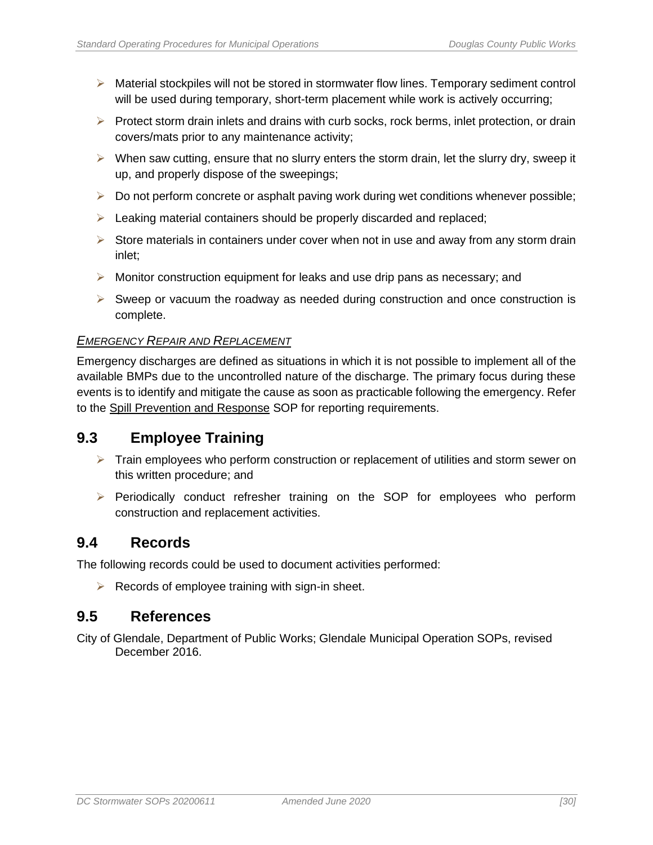- $\triangleright$  Material stockpiles will not be stored in stormwater flow lines. Temporary sediment control will be used during temporary, short-term placement while work is actively occurring;
- $\triangleright$  Protect storm drain inlets and drains with curb socks, rock berms, inlet protection, or drain covers/mats prior to any maintenance activity;
- $\triangleright$  When saw cutting, ensure that no slurry enters the storm drain, let the slurry dry, sweep it up, and properly dispose of the sweepings;
- ➢ Do not perform concrete or asphalt paving work during wet conditions whenever possible;
- ➢ Leaking material containers should be properly discarded and replaced;
- $\triangleright$  Store materials in containers under cover when not in use and away from any storm drain inlet;
- $\triangleright$  Monitor construction equipment for leaks and use drip pans as necessary; and
- ➢ Sweep or vacuum the roadway as needed during construction and once construction is complete.

#### *EMERGENCY REPAIR AND REPLACEMENT*

Emergency discharges are defined as situations in which it is not possible to implement all of the available BMPs due to the uncontrolled nature of the discharge. The primary focus during these events is to identify and mitigate the cause as soon as practicable following the emergency. Refer to the Spill Prevention and Response SOP for reporting requirements.

### <span id="page-37-0"></span>**9.3 Employee Training**

- $\triangleright$  Train employees who perform construction or replacement of utilities and storm sewer on this written procedure; and
- ➢ Periodically conduct refresher training on the SOP for employees who perform construction and replacement activities.

#### <span id="page-37-1"></span>**9.4 Records**

The following records could be used to document activities performed:

 $\triangleright$  Records of employee training with sign-in sheet.

#### <span id="page-37-2"></span>**9.5 References**

City of Glendale, Department of Public Works; Glendale Municipal Operation SOPs, revised December 2016.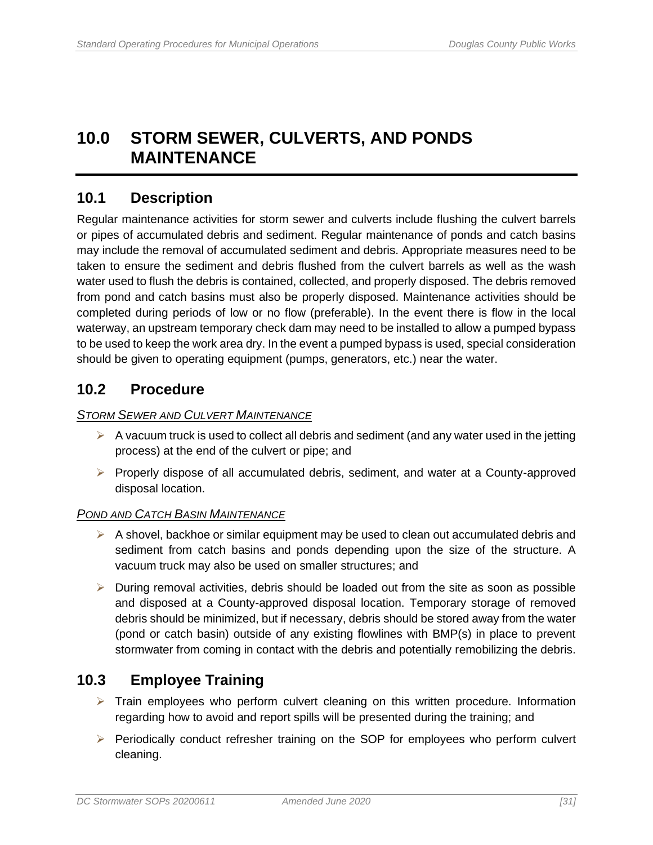## <span id="page-38-0"></span>**10.0 STORM SEWER, CULVERTS, AND PONDS MAINTENANCE**

## <span id="page-38-1"></span>**10.1 Description**

Regular maintenance activities for storm sewer and culverts include flushing the culvert barrels or pipes of accumulated debris and sediment. Regular maintenance of ponds and catch basins may include the removal of accumulated sediment and debris. Appropriate measures need to be taken to ensure the sediment and debris flushed from the culvert barrels as well as the wash water used to flush the debris is contained, collected, and properly disposed. The debris removed from pond and catch basins must also be properly disposed. Maintenance activities should be completed during periods of low or no flow (preferable). In the event there is flow in the local waterway, an upstream temporary check dam may need to be installed to allow a pumped bypass to be used to keep the work area dry. In the event a pumped bypass is used, special consideration should be given to operating equipment (pumps, generators, etc.) near the water.

## <span id="page-38-2"></span>**10.2 Procedure**

#### *STORM SEWER AND CULVERT MAINTENANCE*

- $\triangleright$  A vacuum truck is used to collect all debris and sediment (and any water used in the jetting process) at the end of the culvert or pipe; and
- ➢ Properly dispose of all accumulated debris, sediment, and water at a County-approved disposal location.

#### *POND AND CATCH BASIN MAINTENANCE*

- $\triangleright$  A shovel, backhoe or similar equipment may be used to clean out accumulated debris and sediment from catch basins and ponds depending upon the size of the structure. A vacuum truck may also be used on smaller structures; and
- $\triangleright$  During removal activities, debris should be loaded out from the site as soon as possible and disposed at a County-approved disposal location. Temporary storage of removed debris should be minimized, but if necessary, debris should be stored away from the water (pond or catch basin) outside of any existing flowlines with BMP(s) in place to prevent stormwater from coming in contact with the debris and potentially remobilizing the debris.

## <span id="page-38-3"></span>**10.3 Employee Training**

- $\triangleright$  Train employees who perform culvert cleaning on this written procedure. Information regarding how to avoid and report spills will be presented during the training; and
- ➢ Periodically conduct refresher training on the SOP for employees who perform culvert cleaning.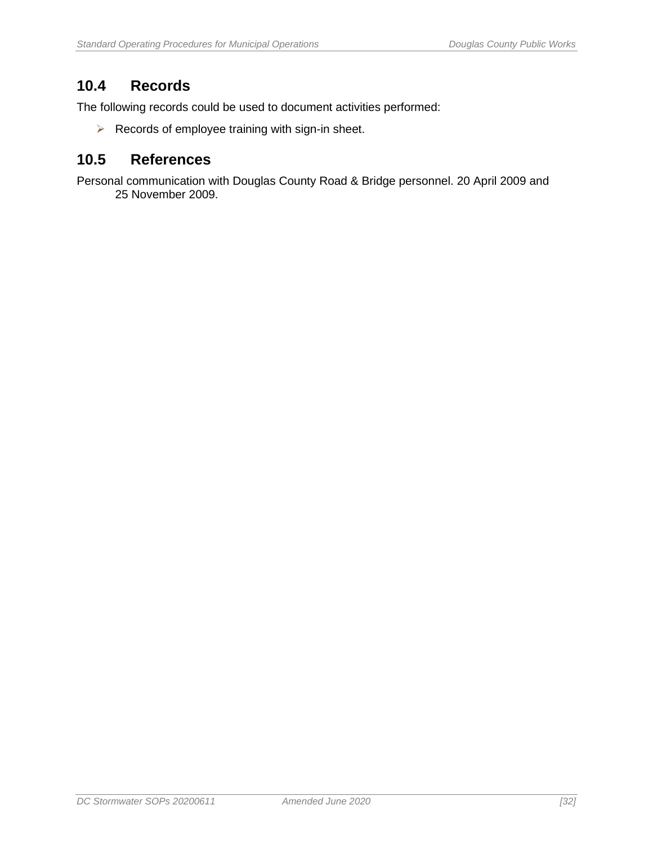## <span id="page-39-0"></span>**10.4 Records**

The following records could be used to document activities performed:

 $\triangleright$  Records of employee training with sign-in sheet.

### <span id="page-39-1"></span>**10.5 References**

Personal communication with Douglas County Road & Bridge personnel. 20 April 2009 and 25 November 2009.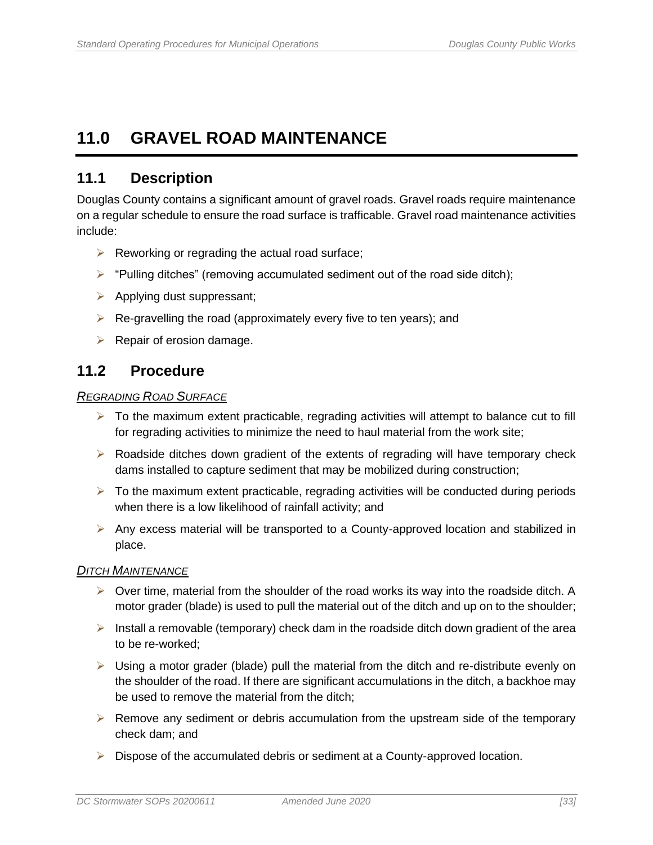## <span id="page-40-0"></span>**11.0 GRAVEL ROAD MAINTENANCE**

## <span id="page-40-1"></span>**11.1 Description**

Douglas County contains a significant amount of gravel roads. Gravel roads require maintenance on a regular schedule to ensure the road surface is trafficable. Gravel road maintenance activities include:

- $\triangleright$  Reworking or regrading the actual road surface;
- $\triangleright$  "Pulling ditches" (removing accumulated sediment out of the road side ditch);
- ➢ Applying dust suppressant;
- $\triangleright$  Re-gravelling the road (approximately every five to ten years); and
- $\triangleright$  Repair of erosion damage.

## <span id="page-40-2"></span>**11.2 Procedure**

#### *REGRADING ROAD SURFACE*

- $\triangleright$  To the maximum extent practicable, regrading activities will attempt to balance cut to fill for regrading activities to minimize the need to haul material from the work site;
- $\triangleright$  Roadside ditches down gradient of the extents of regrading will have temporary check dams installed to capture sediment that may be mobilized during construction;
- $\triangleright$  To the maximum extent practicable, regrading activities will be conducted during periods when there is a low likelihood of rainfall activity; and
- ➢ Any excess material will be transported to a County-approved location and stabilized in place.

#### *DITCH MAINTENANCE*

- $\triangleright$  Over time, material from the shoulder of the road works its way into the roadside ditch. A motor grader (blade) is used to pull the material out of the ditch and up on to the shoulder;
- $\triangleright$  Install a removable (temporary) check dam in the roadside ditch down gradient of the area to be re-worked;
- $\triangleright$  Using a motor grader (blade) pull the material from the ditch and re-distribute evenly on the shoulder of the road. If there are significant accumulations in the ditch, a backhoe may be used to remove the material from the ditch;
- $\triangleright$  Remove any sediment or debris accumulation from the upstream side of the temporary check dam; and
- ➢ Dispose of the accumulated debris or sediment at a County-approved location.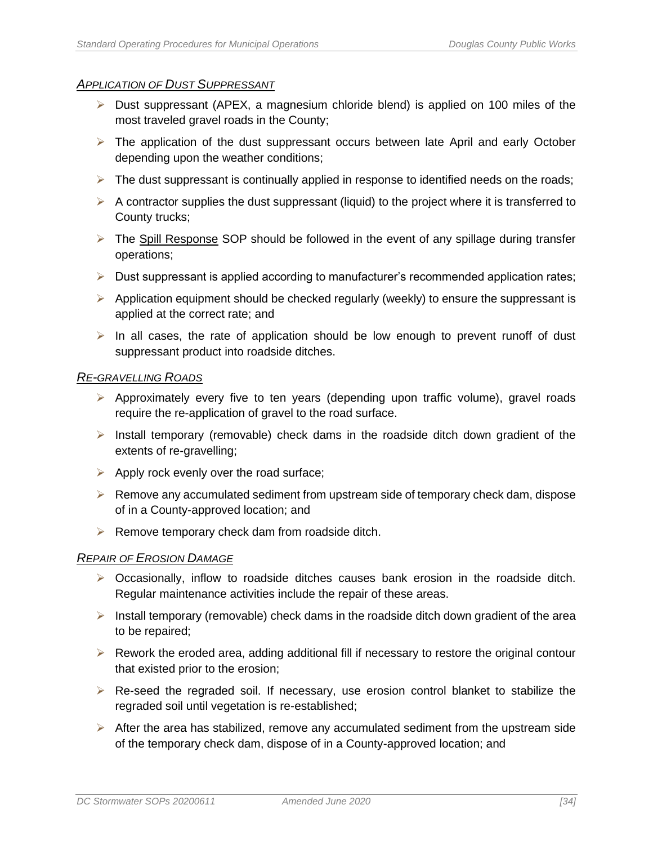#### *APPLICATION OF DUST SUPPRESSANT*

- ➢ Dust suppressant (APEX, a magnesium chloride blend) is applied on 100 miles of the most traveled gravel roads in the County;
- $\triangleright$  The application of the dust suppressant occurs between late April and early October depending upon the weather conditions;
- $\triangleright$  The dust suppressant is continually applied in response to identified needs on the roads;
- $\triangleright$  A contractor supplies the dust suppressant (liquid) to the project where it is transferred to County trucks;
- $\triangleright$  The Spill Response SOP should be followed in the event of any spillage during transfer operations;
- $\triangleright$  Dust suppressant is applied according to manufacturer's recommended application rates;
- $\triangleright$  Application equipment should be checked regularly (weekly) to ensure the suppressant is applied at the correct rate; and
- $\triangleright$  In all cases, the rate of application should be low enough to prevent runoff of dust suppressant product into roadside ditches.

#### *RE-GRAVELLING ROADS*

- $\triangleright$  Approximately every five to ten years (depending upon traffic volume), gravel roads require the re-application of gravel to the road surface.
- ➢ Install temporary (removable) check dams in the roadside ditch down gradient of the extents of re-gravelling;
- $\triangleright$  Apply rock evenly over the road surface;
- $\triangleright$  Remove any accumulated sediment from upstream side of temporary check dam, dispose of in a County-approved location; and
- $\triangleright$  Remove temporary check dam from roadside ditch.

#### *REPAIR OF EROSION DAMAGE*

- $\triangleright$  Occasionally, inflow to roadside ditches causes bank erosion in the roadside ditch. Regular maintenance activities include the repair of these areas.
- $\triangleright$  Install temporary (removable) check dams in the roadside ditch down gradient of the area to be repaired;
- $\triangleright$  Rework the eroded area, adding additional fill if necessary to restore the original contour that existed prior to the erosion;
- ➢ Re-seed the regraded soil. If necessary, use erosion control blanket to stabilize the regraded soil until vegetation is re-established;
- $\triangleright$  After the area has stabilized, remove any accumulated sediment from the upstream side of the temporary check dam, dispose of in a County-approved location; and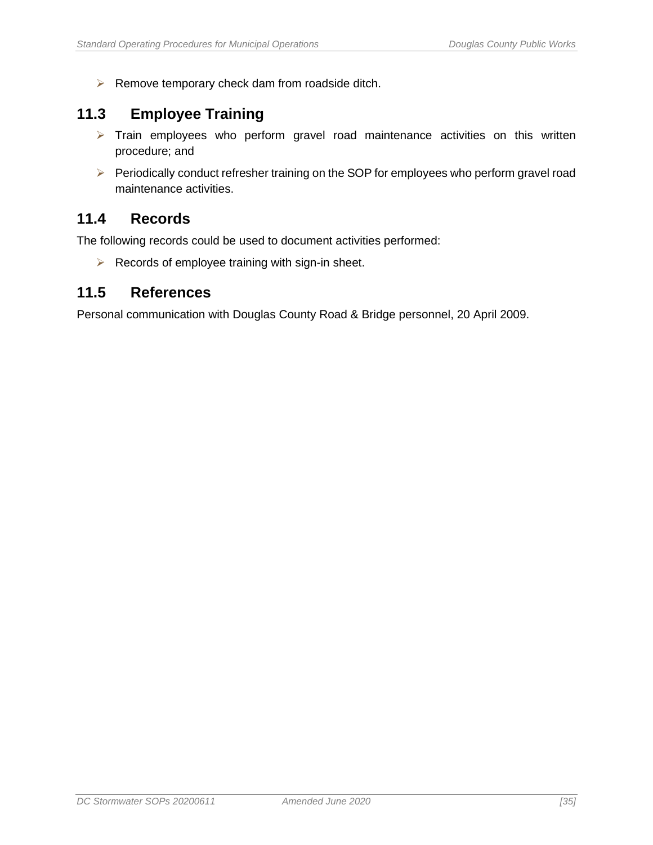➢ Remove temporary check dam from roadside ditch.

## <span id="page-42-0"></span>**11.3 Employee Training**

- ➢ Train employees who perform gravel road maintenance activities on this written procedure; and
- ➢ Periodically conduct refresher training on the SOP for employees who perform gravel road maintenance activities.

### <span id="page-42-1"></span>**11.4 Records**

The following records could be used to document activities performed:

 $\triangleright$  Records of employee training with sign-in sheet.

#### <span id="page-42-2"></span>**11.5 References**

Personal communication with Douglas County Road & Bridge personnel, 20 April 2009.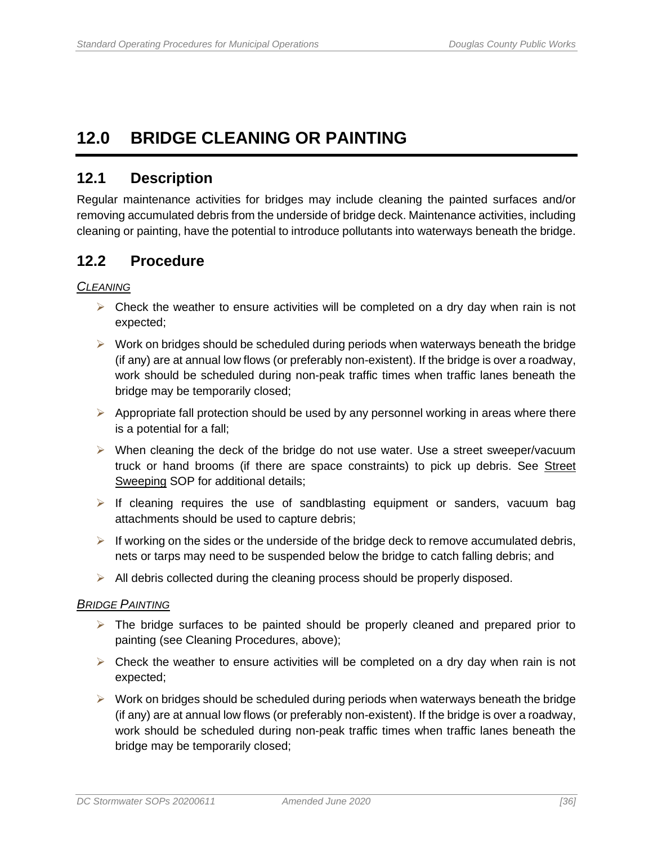## <span id="page-43-0"></span>**12.0 BRIDGE CLEANING OR PAINTING**

### <span id="page-43-1"></span>**12.1 Description**

Regular maintenance activities for bridges may include cleaning the painted surfaces and/or removing accumulated debris from the underside of bridge deck. Maintenance activities, including cleaning or painting, have the potential to introduce pollutants into waterways beneath the bridge.

### <span id="page-43-2"></span>**12.2 Procedure**

#### *CLEANING*

- $\triangleright$  Check the weather to ensure activities will be completed on a dry day when rain is not expected;
- ➢ Work on bridges should be scheduled during periods when waterways beneath the bridge (if any) are at annual low flows (or preferably non-existent). If the bridge is over a roadway, work should be scheduled during non-peak traffic times when traffic lanes beneath the bridge may be temporarily closed;
- $\triangleright$  Appropriate fall protection should be used by any personnel working in areas where there is a potential for a fall;
- ➢ When cleaning the deck of the bridge do not use water. Use a street sweeper/vacuum truck or hand brooms (if there are space constraints) to pick up debris. See Street Sweeping SOP for additional details;
- $\triangleright$  If cleaning requires the use of sandblasting equipment or sanders, vacuum bag attachments should be used to capture debris;
- $\triangleright$  If working on the sides or the underside of the bridge deck to remove accumulated debris, nets or tarps may need to be suspended below the bridge to catch falling debris; and
- ➢ All debris collected during the cleaning process should be properly disposed.

#### *BRIDGE PAINTING*

- $\triangleright$  The bridge surfaces to be painted should be properly cleaned and prepared prior to painting (see Cleaning Procedures, above);
- $\triangleright$  Check the weather to ensure activities will be completed on a dry day when rain is not expected;
- $\triangleright$  Work on bridges should be scheduled during periods when waterways beneath the bridge (if any) are at annual low flows (or preferably non-existent). If the bridge is over a roadway, work should be scheduled during non-peak traffic times when traffic lanes beneath the bridge may be temporarily closed;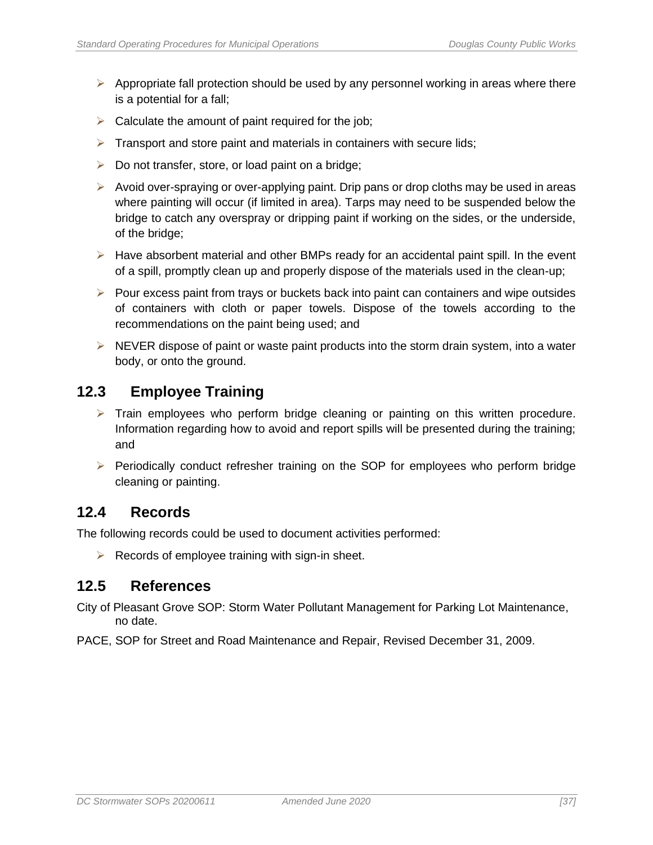- $\triangleright$  Appropriate fall protection should be used by any personnel working in areas where there is a potential for a fall;
- $\triangleright$  Calculate the amount of paint required for the job;
- $\triangleright$  Transport and store paint and materials in containers with secure lids;
- $\triangleright$  Do not transfer, store, or load paint on a bridge;
- ➢ Avoid over-spraying or over-applying paint. Drip pans or drop cloths may be used in areas where painting will occur (if limited in area). Tarps may need to be suspended below the bridge to catch any overspray or dripping paint if working on the sides, or the underside, of the bridge;
- $\triangleright$  Have absorbent material and other BMPs ready for an accidental paint spill. In the event of a spill, promptly clean up and properly dispose of the materials used in the clean-up;
- ➢ Pour excess paint from trays or buckets back into paint can containers and wipe outsides of containers with cloth or paper towels. Dispose of the towels according to the recommendations on the paint being used; and
- ➢ NEVER dispose of paint or waste paint products into the storm drain system, into a water body, or onto the ground.

## <span id="page-44-0"></span>**12.3 Employee Training**

- $\triangleright$  Train employees who perform bridge cleaning or painting on this written procedure. Information regarding how to avoid and report spills will be presented during the training; and
- ➢ Periodically conduct refresher training on the SOP for employees who perform bridge cleaning or painting.

### <span id="page-44-1"></span>**12.4 Records**

The following records could be used to document activities performed:

 $\triangleright$  Records of employee training with sign-in sheet.

### <span id="page-44-2"></span>**12.5 References**

City of Pleasant Grove SOP: Storm Water Pollutant Management for Parking Lot Maintenance, no date.

PACE, SOP for Street and Road Maintenance and Repair, Revised December 31, 2009.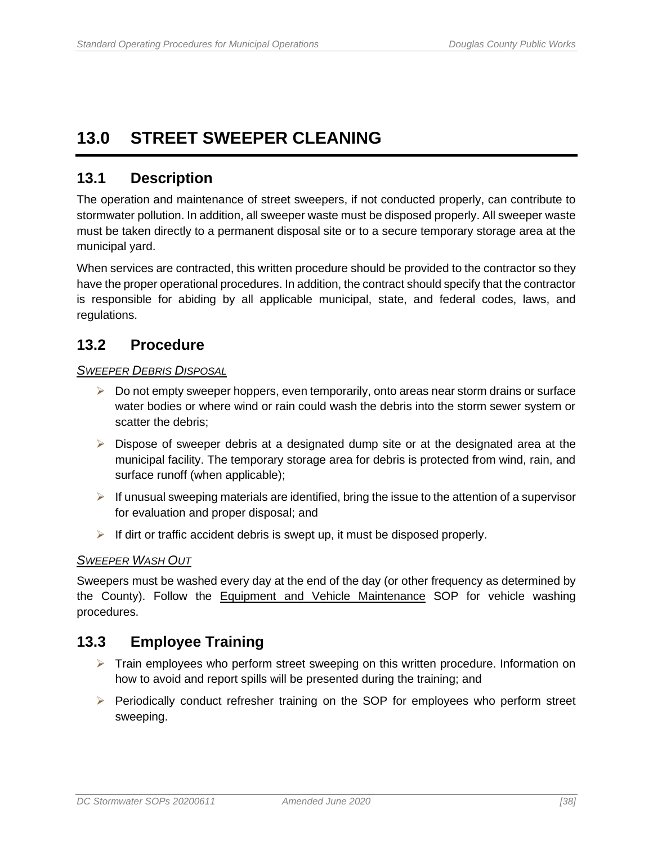## <span id="page-45-0"></span>**13.0 STREET SWEEPER CLEANING**

## <span id="page-45-1"></span>**13.1 Description**

The operation and maintenance of street sweepers, if not conducted properly, can contribute to stormwater pollution. In addition, all sweeper waste must be disposed properly. All sweeper waste must be taken directly to a permanent disposal site or to a secure temporary storage area at the municipal yard.

When services are contracted, this written procedure should be provided to the contractor so they have the proper operational procedures. In addition, the contract should specify that the contractor is responsible for abiding by all applicable municipal, state, and federal codes, laws, and regulations.

### <span id="page-45-2"></span>**13.2 Procedure**

#### *SWEEPER DEBRIS DISPOSAL*

- $\triangleright$  Do not empty sweeper hoppers, even temporarily, onto areas near storm drains or surface water bodies or where wind or rain could wash the debris into the storm sewer system or scatter the debris;
- $\triangleright$  Dispose of sweeper debris at a designated dump site or at the designated area at the municipal facility. The temporary storage area for debris is protected from wind, rain, and surface runoff (when applicable);
- $\triangleright$  If unusual sweeping materials are identified, bring the issue to the attention of a supervisor for evaluation and proper disposal; and
- $\triangleright$  If dirt or traffic accident debris is swept up, it must be disposed properly.

#### *SWEEPER WASH OUT*

Sweepers must be washed every day at the end of the day (or other frequency as determined by the County). Follow the Equipment and Vehicle Maintenance SOP for vehicle washing procedures.

### <span id="page-45-3"></span>**13.3 Employee Training**

- ➢ Train employees who perform street sweeping on this written procedure. Information on how to avoid and report spills will be presented during the training; and
- ➢ Periodically conduct refresher training on the SOP for employees who perform street sweeping.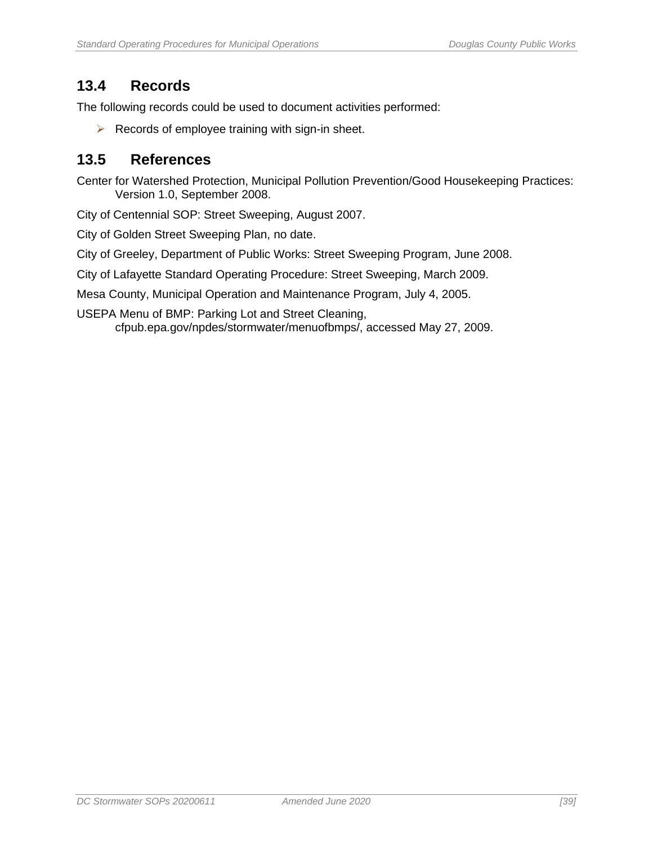## <span id="page-46-0"></span>**13.4 Records**

The following records could be used to document activities performed:

 $\triangleright$  Records of employee training with sign-in sheet.

#### <span id="page-46-1"></span>**13.5 References**

Center for Watershed Protection, Municipal Pollution Prevention/Good Housekeeping Practices: Version 1.0, September 2008.

City of Centennial SOP: Street Sweeping, August 2007.

City of Golden Street Sweeping Plan, no date.

City of Greeley, Department of Public Works: Street Sweeping Program, June 2008.

City of Lafayette Standard Operating Procedure: Street Sweeping, March 2009.

Mesa County, Municipal Operation and Maintenance Program, July 4, 2005.

USEPA Menu of BMP: Parking Lot and Street Cleaning, cfpub.epa.gov/npdes/stormwater/menuofbmps/, accessed May 27, 2009.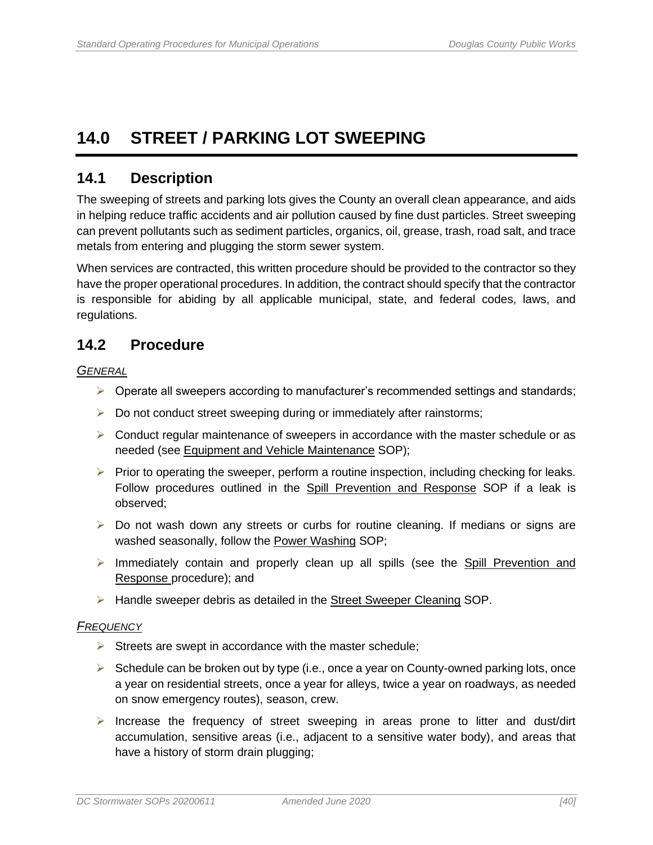## <span id="page-47-0"></span>**14.0 STREET / PARKING LOT SWEEPING**

### <span id="page-47-1"></span>**14.1 Description**

The sweeping of streets and parking lots gives the County an overall clean appearance, and aids in helping reduce traffic accidents and air pollution caused by fine dust particles. Street sweeping can prevent pollutants such as sediment particles, organics, oil, grease, trash, road salt, and trace metals from entering and plugging the storm sewer system.

When services are contracted, this written procedure should be provided to the contractor so they have the proper operational procedures. In addition, the contract should specify that the contractor is responsible for abiding by all applicable municipal, state, and federal codes, laws, and regulations.

### <span id="page-47-2"></span>**14.2 Procedure**

*GENERAL* 

- $\triangleright$  Operate all sweepers according to manufacturer's recommended settings and standards;
- ➢ Do not conduct street sweeping during or immediately after rainstorms;
- $\triangleright$  Conduct regular maintenance of sweepers in accordance with the master schedule or as needed (see Equipment and Vehicle Maintenance SOP);
- $\triangleright$  Prior to operating the sweeper, perform a routine inspection, including checking for leaks. Follow procedures outlined in the Spill Prevention and Response SOP if a leak is observed;
- ➢ Do not wash down any streets or curbs for routine cleaning. If medians or signs are washed seasonally, follow the Power Washing SOP;
- ➢ Immediately contain and properly clean up all spills (see the Spill Prevention and Response procedure); and
- ➢ Handle sweeper debris as detailed in the Street Sweeper Cleaning SOP.

#### *FREQUENCY*

- $\triangleright$  Streets are swept in accordance with the master schedule;
- ➢ Schedule can be broken out by type (i.e., once a year on County-owned parking lots, once a year on residential streets, once a year for alleys, twice a year on roadways, as needed on snow emergency routes), season, crew.
- ➢ Increase the frequency of street sweeping in areas prone to litter and dust/dirt accumulation, sensitive areas (i.e., adjacent to a sensitive water body), and areas that have a history of storm drain plugging;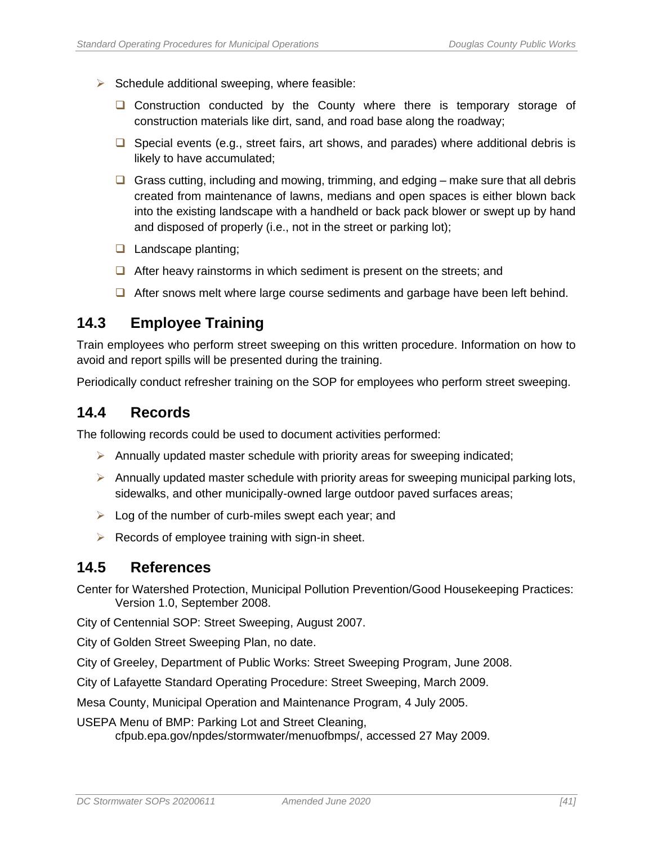- $\triangleright$  Schedule additional sweeping, where feasible:
	- □ Construction conducted by the County where there is temporary storage of construction materials like dirt, sand, and road base along the roadway;
	- ❑ Special events (e.g., street fairs, art shows, and parades) where additional debris is likely to have accumulated;
	- ❑ Grass cutting, including and mowing, trimming, and edging make sure that all debris created from maintenance of lawns, medians and open spaces is either blown back into the existing landscape with a handheld or back pack blower or swept up by hand and disposed of properly (i.e., not in the street or parking lot);
	- ❑ Landscape planting;
	- ❑ After heavy rainstorms in which sediment is present on the streets; and
	- ❑ After snows melt where large course sediments and garbage have been left behind.

#### <span id="page-48-0"></span>**14.3 Employee Training**

Train employees who perform street sweeping on this written procedure. Information on how to avoid and report spills will be presented during the training.

Periodically conduct refresher training on the SOP for employees who perform street sweeping.

### <span id="page-48-1"></span>**14.4 Records**

The following records could be used to document activities performed:

- $\triangleright$  Annually updated master schedule with priority areas for sweeping indicated;
- $\triangleright$  Annually updated master schedule with priority areas for sweeping municipal parking lots, sidewalks, and other municipally-owned large outdoor paved surfaces areas;
- $\triangleright$  Log of the number of curb-miles swept each year; and
- $\triangleright$  Records of employee training with sign-in sheet.

#### <span id="page-48-2"></span>**14.5 References**

Center for Watershed Protection, Municipal Pollution Prevention/Good Housekeeping Practices: Version 1.0, September 2008.

City of Centennial SOP: Street Sweeping, August 2007.

City of Golden Street Sweeping Plan, no date.

City of Greeley, Department of Public Works: Street Sweeping Program, June 2008.

City of Lafayette Standard Operating Procedure: Street Sweeping, March 2009.

Mesa County, Municipal Operation and Maintenance Program, 4 July 2005.

USEPA Menu of BMP: Parking Lot and Street Cleaning, cfpub.epa.gov/npdes/stormwater/menuofbmps/, accessed 27 May 2009.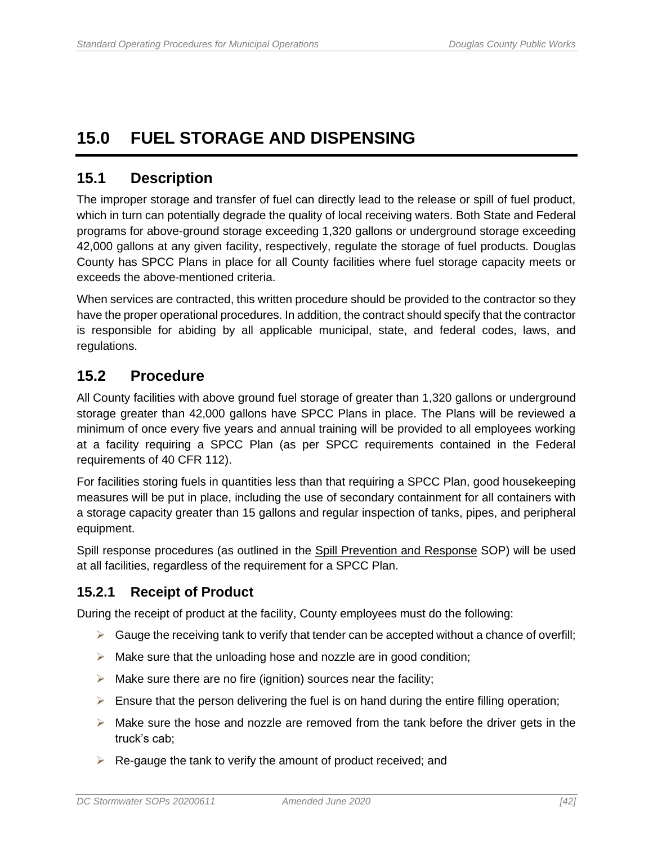## <span id="page-49-0"></span>**15.0 FUEL STORAGE AND DISPENSING**

### <span id="page-49-1"></span>**15.1 Description**

The improper storage and transfer of fuel can directly lead to the release or spill of fuel product, which in turn can potentially degrade the quality of local receiving waters. Both State and Federal programs for above-ground storage exceeding 1,320 gallons or underground storage exceeding 42,000 gallons at any given facility, respectively, regulate the storage of fuel products. Douglas County has SPCC Plans in place for all County facilities where fuel storage capacity meets or exceeds the above-mentioned criteria.

When services are contracted, this written procedure should be provided to the contractor so they have the proper operational procedures. In addition, the contract should specify that the contractor is responsible for abiding by all applicable municipal, state, and federal codes, laws, and regulations.

## <span id="page-49-2"></span>**15.2 Procedure**

All County facilities with above ground fuel storage of greater than 1,320 gallons or underground storage greater than 42,000 gallons have SPCC Plans in place. The Plans will be reviewed a minimum of once every five years and annual training will be provided to all employees working at a facility requiring a SPCC Plan (as per SPCC requirements contained in the Federal requirements of 40 CFR 112).

For facilities storing fuels in quantities less than that requiring a SPCC Plan, good housekeeping measures will be put in place, including the use of secondary containment for all containers with a storage capacity greater than 15 gallons and regular inspection of tanks, pipes, and peripheral equipment.

Spill response procedures (as outlined in the Spill Prevention and Response SOP) will be used at all facilities, regardless of the requirement for a SPCC Plan.

### <span id="page-49-3"></span>**15.2.1 Receipt of Product**

During the receipt of product at the facility, County employees must do the following:

- $\triangleright$  Gauge the receiving tank to verify that tender can be accepted without a chance of overfill;
- $\triangleright$  Make sure that the unloading hose and nozzle are in good condition;
- $\triangleright$  Make sure there are no fire (ignition) sources near the facility;
- $\triangleright$  Ensure that the person delivering the fuel is on hand during the entire filling operation;
- $\triangleright$  Make sure the hose and nozzle are removed from the tank before the driver gets in the truck's cab;
- $\triangleright$  Re-gauge the tank to verify the amount of product received; and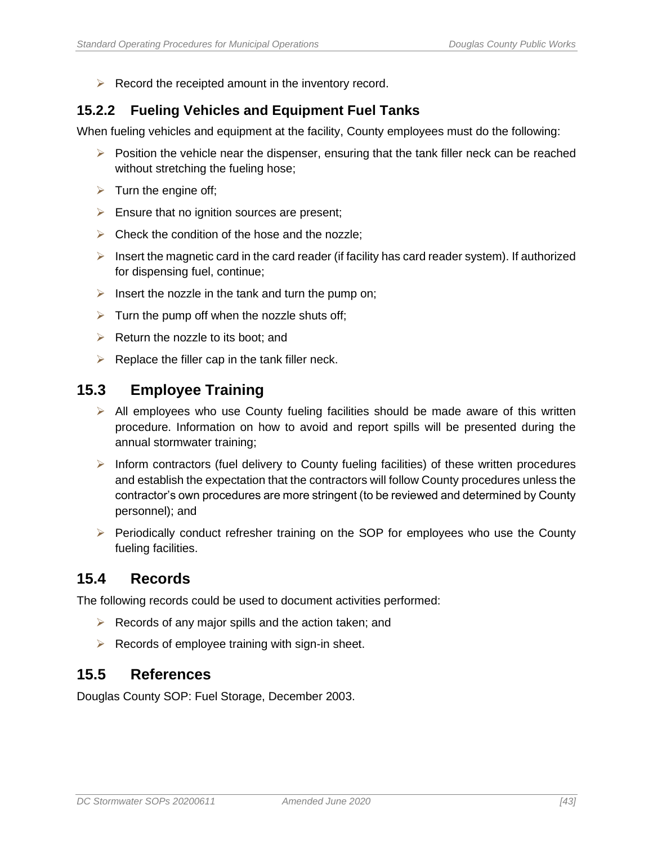$\triangleright$  Record the receipted amount in the inventory record.

## <span id="page-50-0"></span>**15.2.2 Fueling Vehicles and Equipment Fuel Tanks**

When fueling vehicles and equipment at the facility, County employees must do the following:

- $\triangleright$  Position the vehicle near the dispenser, ensuring that the tank filler neck can be reached without stretching the fueling hose;
- $\triangleright$  Turn the engine off;
- $\triangleright$  Ensure that no ignition sources are present;
- $\triangleright$  Check the condition of the hose and the nozzle:
- $\triangleright$  Insert the magnetic card in the card reader (if facility has card reader system). If authorized for dispensing fuel, continue;
- $\triangleright$  Insert the nozzle in the tank and turn the pump on;
- $\triangleright$  Turn the pump off when the nozzle shuts off;
- $\triangleright$  Return the nozzle to its boot: and
- $\triangleright$  Replace the filler cap in the tank filler neck.

#### <span id="page-50-1"></span>**15.3 Employee Training**

- $\triangleright$  All employees who use County fueling facilities should be made aware of this written procedure. Information on how to avoid and report spills will be presented during the annual stormwater training;
- $\triangleright$  Inform contractors (fuel delivery to County fueling facilities) of these written procedures and establish the expectation that the contractors will follow County procedures unless the contractor's own procedures are more stringent (to be reviewed and determined by County personnel); and
- ➢ Periodically conduct refresher training on the SOP for employees who use the County fueling facilities.

### <span id="page-50-2"></span>**15.4 Records**

The following records could be used to document activities performed:

- $\triangleright$  Records of any major spills and the action taken; and
- $\triangleright$  Records of employee training with sign-in sheet.

#### <span id="page-50-3"></span>**15.5 References**

Douglas County SOP: Fuel Storage, December 2003.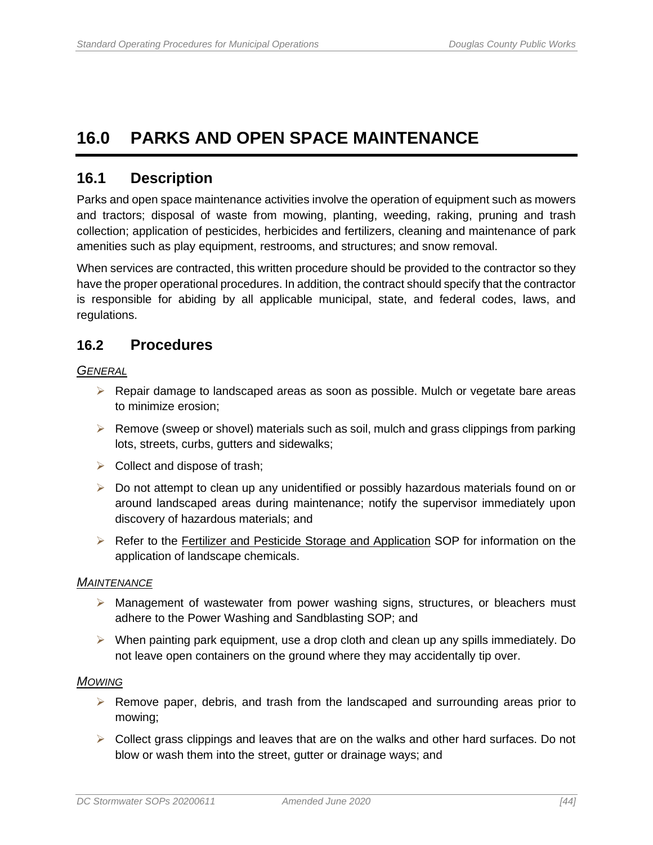## <span id="page-51-0"></span>**16.0 PARKS AND OPEN SPACE MAINTENANCE**

### <span id="page-51-1"></span>**16.1 Description**

Parks and open space maintenance activities involve the operation of equipment such as mowers and tractors; disposal of waste from mowing, planting, weeding, raking, pruning and trash collection; application of pesticides, herbicides and fertilizers, cleaning and maintenance of park amenities such as play equipment, restrooms, and structures; and snow removal.

When services are contracted, this written procedure should be provided to the contractor so they have the proper operational procedures. In addition, the contract should specify that the contractor is responsible for abiding by all applicable municipal, state, and federal codes, laws, and regulations.

#### <span id="page-51-2"></span>**16.2 Procedures**

*GENERAL*

- $\triangleright$  Repair damage to landscaped areas as soon as possible. Mulch or vegetate bare areas to minimize erosion;
- $\triangleright$  Remove (sweep or shovel) materials such as soil, mulch and grass clippings from parking lots, streets, curbs, gutters and sidewalks;
- $\triangleright$  Collect and dispose of trash;
- ➢ Do not attempt to clean up any unidentified or possibly hazardous materials found on or around landscaped areas during maintenance; notify the supervisor immediately upon discovery of hazardous materials; and
- ➢ Refer to the Fertilizer and Pesticide Storage and Application SOP for information on the application of landscape chemicals.

#### *MAINTENANCE*

- ➢ Management of wastewater from power washing signs, structures, or bleachers must adhere to the Power Washing and Sandblasting SOP; and
- $\triangleright$  When painting park equipment, use a drop cloth and clean up any spills immediately. Do not leave open containers on the ground where they may accidentally tip over.

#### *MOWING*

- $\triangleright$  Remove paper, debris, and trash from the landscaped and surrounding areas prior to mowing;
- ➢ Collect grass clippings and leaves that are on the walks and other hard surfaces. Do not blow or wash them into the street, gutter or drainage ways; and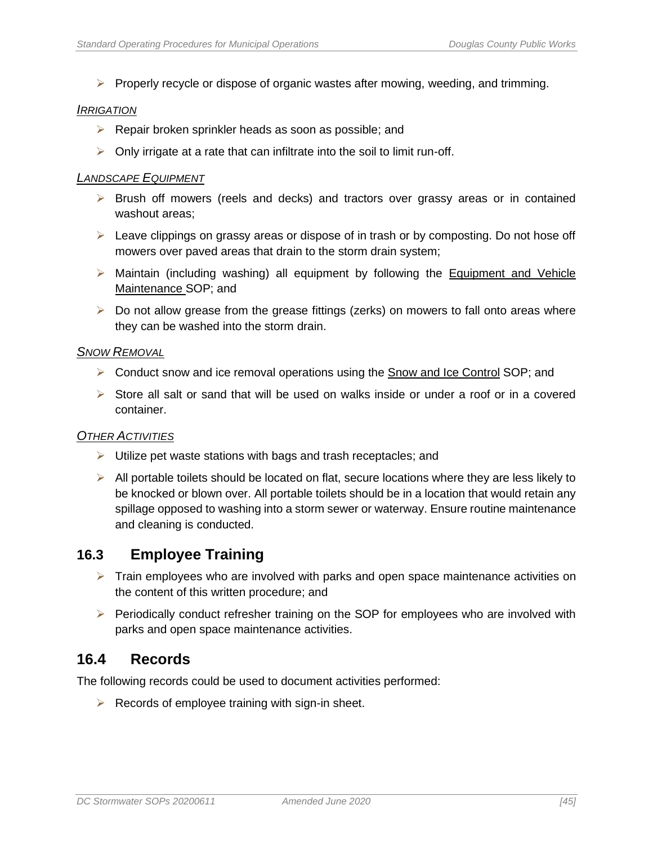$\triangleright$  Properly recycle or dispose of organic wastes after mowing, weeding, and trimming.

#### *IRRIGATION*

- $\triangleright$  Repair broken sprinkler heads as soon as possible; and
- $\triangleright$  Only irrigate at a rate that can infiltrate into the soil to limit run-off.

#### *LANDSCAPE EQUIPMENT*

- ➢ Brush off mowers (reels and decks) and tractors over grassy areas or in contained washout areas;
- $\triangleright$  Leave clippings on grassy areas or dispose of in trash or by composting. Do not hose off mowers over paved areas that drain to the storm drain system;
- ➢ Maintain (including washing) all equipment by following the Equipment and Vehicle Maintenance SOP; and
- ➢ Do not allow grease from the grease fittings (zerks) on mowers to fall onto areas where they can be washed into the storm drain.

#### **S***NOW REMOVAL*

- $\triangleright$  Conduct snow and ice removal operations using the Snow and Ice Control SOP; and
- $\triangleright$  Store all salt or sand that will be used on walks inside or under a roof or in a covered container.

#### *OTHER ACTIVITIES*

- $\triangleright$  Utilize pet waste stations with bags and trash receptacles; and
- $\triangleright$  All portable toilets should be located on flat, secure locations where they are less likely to be knocked or blown over. All portable toilets should be in a location that would retain any spillage opposed to washing into a storm sewer or waterway. Ensure routine maintenance and cleaning is conducted.

### <span id="page-52-0"></span>**16.3 Employee Training**

- $\triangleright$  Train employees who are involved with parks and open space maintenance activities on the content of this written procedure; and
- $\triangleright$  Periodically conduct refresher training on the SOP for employees who are involved with parks and open space maintenance activities.

#### <span id="page-52-1"></span>**16.4 Records**

The following records could be used to document activities performed:

 $\triangleright$  Records of employee training with sign-in sheet.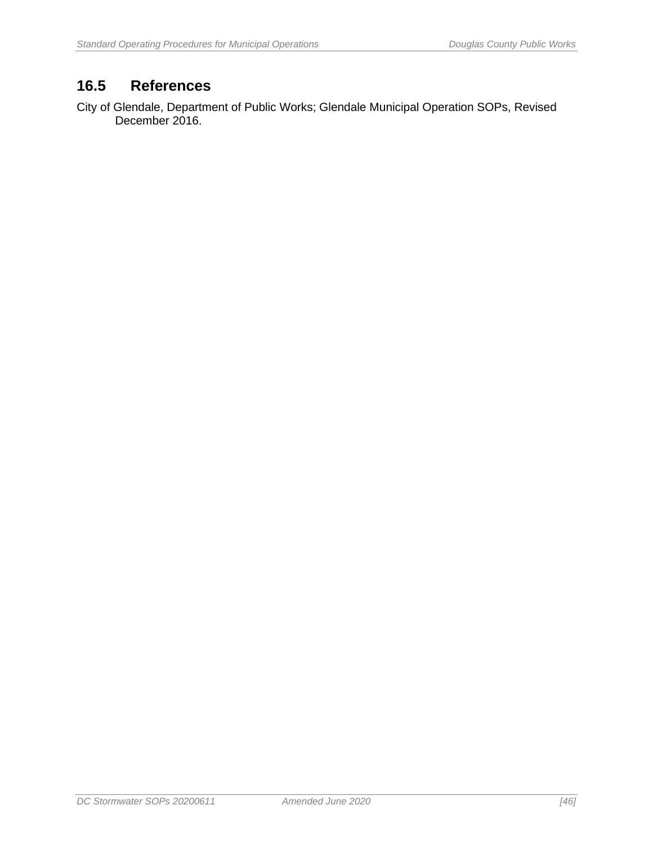## <span id="page-53-0"></span>**16.5 References**

City of Glendale, Department of Public Works; Glendale Municipal Operation SOPs, Revised December 2016.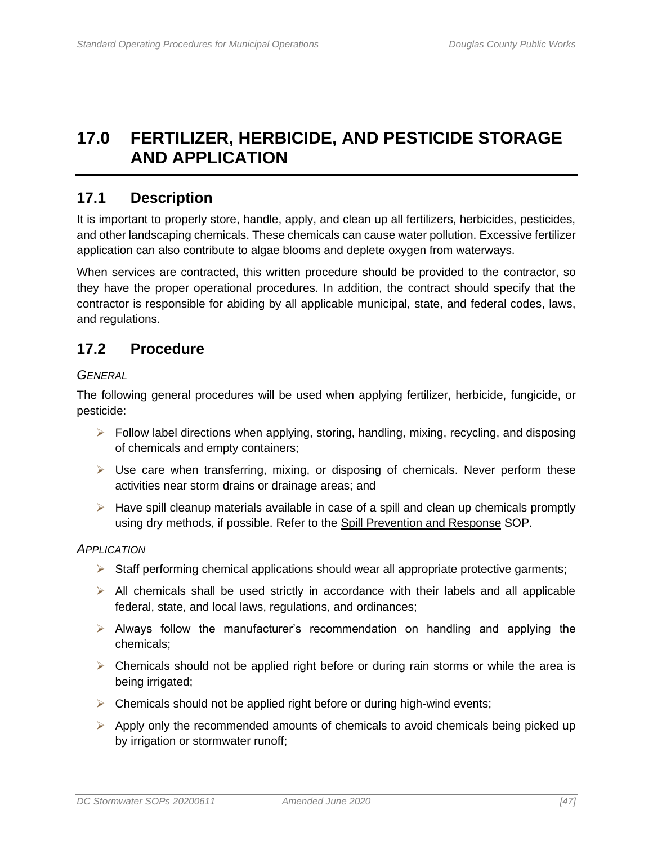## <span id="page-54-0"></span>**17.0 FERTILIZER, HERBICIDE, AND PESTICIDE STORAGE AND APPLICATION**

## <span id="page-54-1"></span>**17.1 Description**

It is important to properly store, handle, apply, and clean up all fertilizers, herbicides, pesticides, and other landscaping chemicals. These chemicals can cause water pollution. Excessive fertilizer application can also contribute to algae blooms and deplete oxygen from waterways.

When services are contracted, this written procedure should be provided to the contractor, so they have the proper operational procedures. In addition, the contract should specify that the contractor is responsible for abiding by all applicable municipal, state, and federal codes, laws, and regulations.

### <span id="page-54-2"></span>**17.2 Procedure**

#### *GENERAL*

The following general procedures will be used when applying fertilizer, herbicide, fungicide, or pesticide:

- $\triangleright$  Follow label directions when applying, storing, handling, mixing, recycling, and disposing of chemicals and empty containers;
- $\triangleright$  Use care when transferring, mixing, or disposing of chemicals. Never perform these activities near storm drains or drainage areas; and
- $\triangleright$  Have spill cleanup materials available in case of a spill and clean up chemicals promptly using dry methods, if possible. Refer to the Spill Prevention and Response SOP.

#### *APPLICATION*

- $\triangleright$  Staff performing chemical applications should wear all appropriate protective garments;
- $\triangleright$  All chemicals shall be used strictly in accordance with their labels and all applicable federal, state, and local laws, regulations, and ordinances;
- $\triangleright$  Always follow the manufacturer's recommendation on handling and applying the chemicals;
- $\triangleright$  Chemicals should not be applied right before or during rain storms or while the area is being irrigated;
- ➢ Chemicals should not be applied right before or during high-wind events;
- $\triangleright$  Apply only the recommended amounts of chemicals to avoid chemicals being picked up by irrigation or stormwater runoff;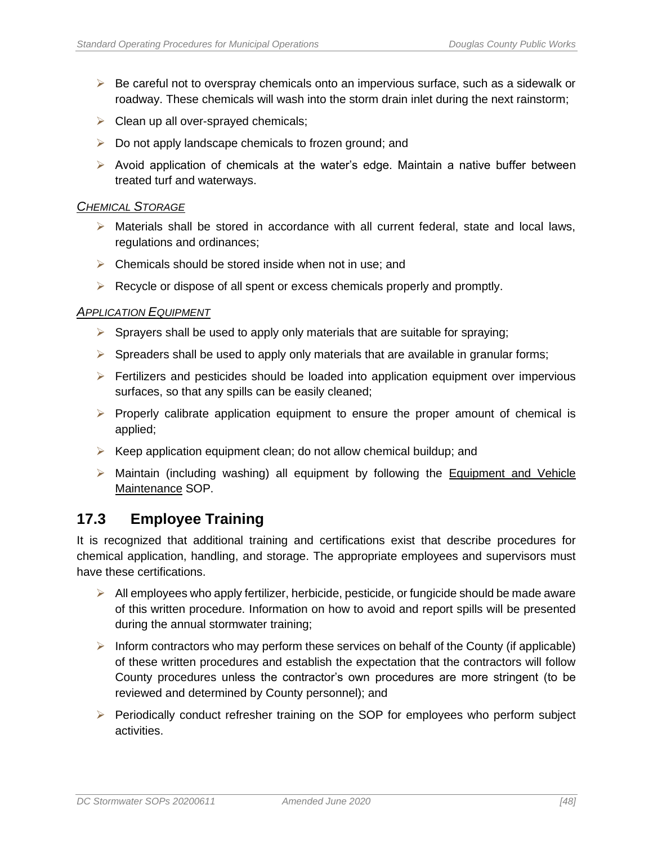- $\triangleright$  Be careful not to overspray chemicals onto an impervious surface, such as a sidewalk or roadway. These chemicals will wash into the storm drain inlet during the next rainstorm;
- $\triangleright$  Clean up all over-sprayed chemicals;
- $\triangleright$  Do not apply landscape chemicals to frozen ground; and
- $\triangleright$  Avoid application of chemicals at the water's edge. Maintain a native buffer between treated turf and waterways.

#### *CHEMICAL STORAGE*

- $\triangleright$  Materials shall be stored in accordance with all current federal, state and local laws, regulations and ordinances;
- $\triangleright$  Chemicals should be stored inside when not in use; and
- $\triangleright$  Recycle or dispose of all spent or excess chemicals properly and promptly.

#### *APPLICATION EQUIPMENT*

- $\triangleright$  Sprayers shall be used to apply only materials that are suitable for spraying;
- $\triangleright$  Spreaders shall be used to apply only materials that are available in granular forms;
- $\triangleright$  Fertilizers and pesticides should be loaded into application equipment over impervious surfaces, so that any spills can be easily cleaned;
- $\triangleright$  Properly calibrate application equipment to ensure the proper amount of chemical is applied;
- $\triangleright$  Keep application equipment clean; do not allow chemical buildup; and
- $\triangleright$  Maintain (including washing) all equipment by following the Equipment and Vehicle Maintenance SOP.

### <span id="page-55-0"></span>**17.3 Employee Training**

It is recognized that additional training and certifications exist that describe procedures for chemical application, handling, and storage. The appropriate employees and supervisors must have these certifications.

- ➢ All employees who apply fertilizer, herbicide, pesticide, or fungicide should be made aware of this written procedure. Information on how to avoid and report spills will be presented during the annual stormwater training;
- $\triangleright$  Inform contractors who may perform these services on behalf of the County (if applicable) of these written procedures and establish the expectation that the contractors will follow County procedures unless the contractor's own procedures are more stringent (to be reviewed and determined by County personnel); and
- ➢ Periodically conduct refresher training on the SOP for employees who perform subject activities.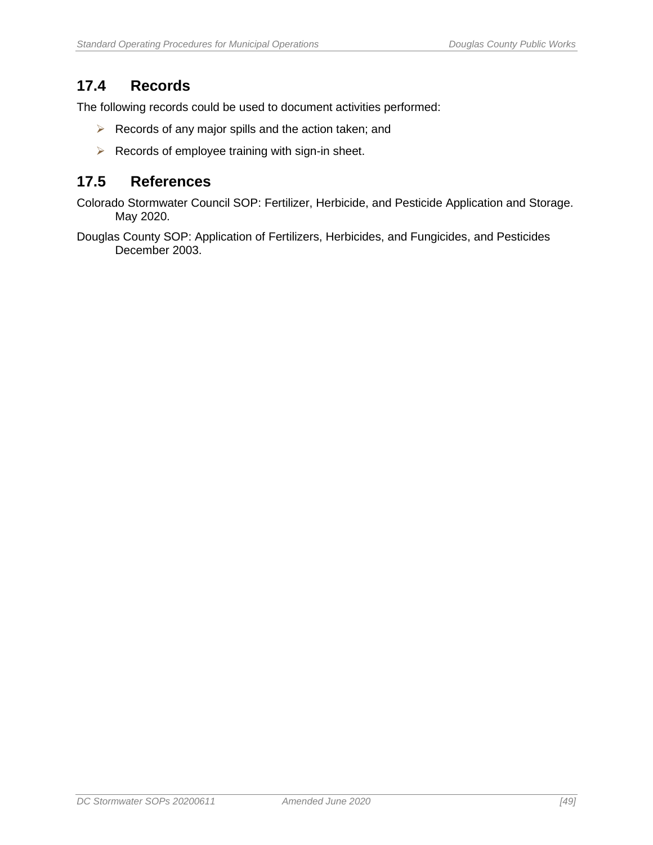## <span id="page-56-0"></span>**17.4 Records**

The following records could be used to document activities performed:

- ➢ Records of any major spills and the action taken; and
- ➢ Records of employee training with sign-in sheet.

### <span id="page-56-1"></span>**17.5 References**

Colorado Stormwater Council SOP: Fertilizer, Herbicide, and Pesticide Application and Storage. May 2020.

Douglas County SOP: Application of Fertilizers, Herbicides, and Fungicides, and Pesticides December 2003.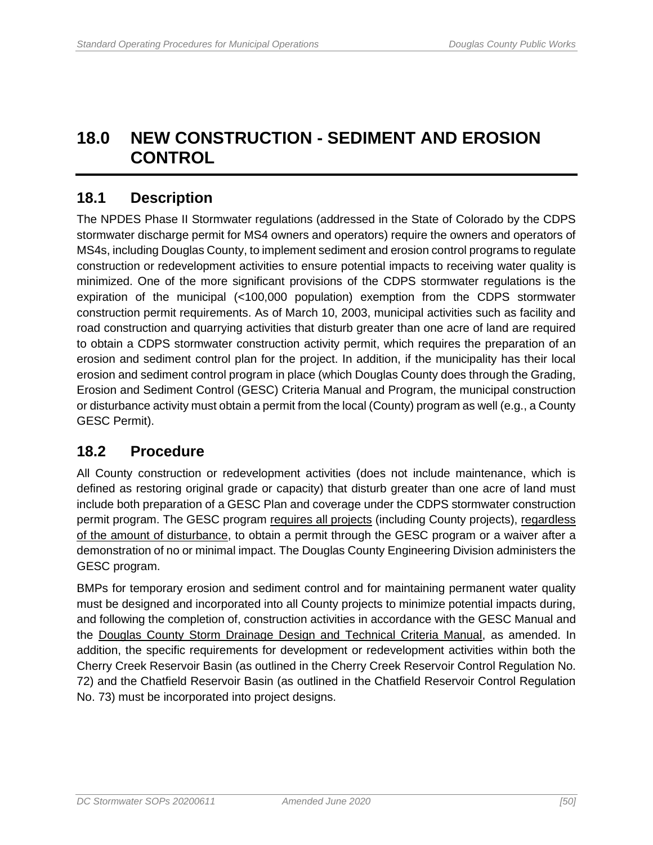## <span id="page-57-0"></span>**18.0 NEW CONSTRUCTION - SEDIMENT AND EROSION CONTROL**

## <span id="page-57-1"></span>**18.1 Description**

The NPDES Phase II Stormwater regulations (addressed in the State of Colorado by the CDPS stormwater discharge permit for MS4 owners and operators) require the owners and operators of MS4s, including Douglas County, to implement sediment and erosion control programs to regulate construction or redevelopment activities to ensure potential impacts to receiving water quality is minimized. One of the more significant provisions of the CDPS stormwater regulations is the expiration of the municipal (<100,000 population) exemption from the CDPS stormwater construction permit requirements. As of March 10, 2003, municipal activities such as facility and road construction and quarrying activities that disturb greater than one acre of land are required to obtain a CDPS stormwater construction activity permit, which requires the preparation of an erosion and sediment control plan for the project. In addition, if the municipality has their local erosion and sediment control program in place (which Douglas County does through the Grading, Erosion and Sediment Control (GESC) Criteria Manual and Program, the municipal construction or disturbance activity must obtain a permit from the local (County) program as well (e.g., a County GESC Permit).

## <span id="page-57-2"></span>**18.2 Procedure**

All County construction or redevelopment activities (does not include maintenance, which is defined as restoring original grade or capacity) that disturb greater than one acre of land must include both preparation of a GESC Plan and coverage under the CDPS stormwater construction permit program. The GESC program requires all projects (including County projects), regardless of the amount of disturbance, to obtain a permit through the GESC program or a waiver after a demonstration of no or minimal impact. The Douglas County Engineering Division administers the GESC program.

BMPs for temporary erosion and sediment control and for maintaining permanent water quality must be designed and incorporated into all County projects to minimize potential impacts during, and following the completion of, construction activities in accordance with the GESC Manual and the Douglas County Storm Drainage Design and Technical Criteria Manual, as amended. In addition, the specific requirements for development or redevelopment activities within both the Cherry Creek Reservoir Basin (as outlined in the Cherry Creek Reservoir Control Regulation No. 72) and the Chatfield Reservoir Basin (as outlined in the Chatfield Reservoir Control Regulation No. 73) must be incorporated into project designs.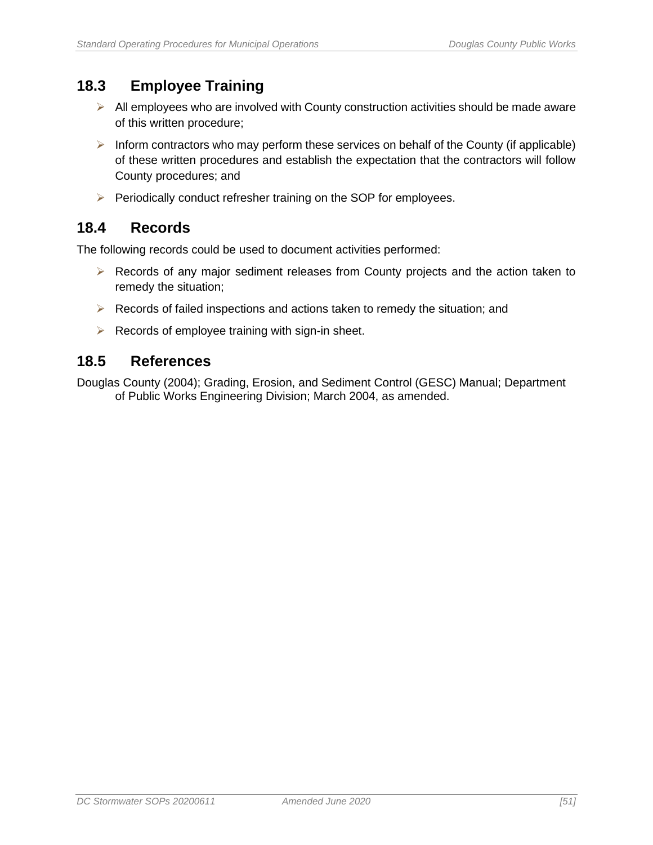## <span id="page-58-0"></span>**18.3 Employee Training**

- $\triangleright$  All employees who are involved with County construction activities should be made aware of this written procedure;
- $\triangleright$  Inform contractors who may perform these services on behalf of the County (if applicable) of these written procedures and establish the expectation that the contractors will follow County procedures; and
- ➢ Periodically conduct refresher training on the SOP for employees.

## <span id="page-58-1"></span>**18.4 Records**

The following records could be used to document activities performed:

- ➢ Records of any major sediment releases from County projects and the action taken to remedy the situation;
- $\triangleright$  Records of failed inspections and actions taken to remedy the situation; and
- $\triangleright$  Records of employee training with sign-in sheet.

#### <span id="page-58-2"></span>**18.5 References**

Douglas County (2004); Grading, Erosion, and Sediment Control (GESC) Manual; Department of Public Works Engineering Division; March 2004, as amended.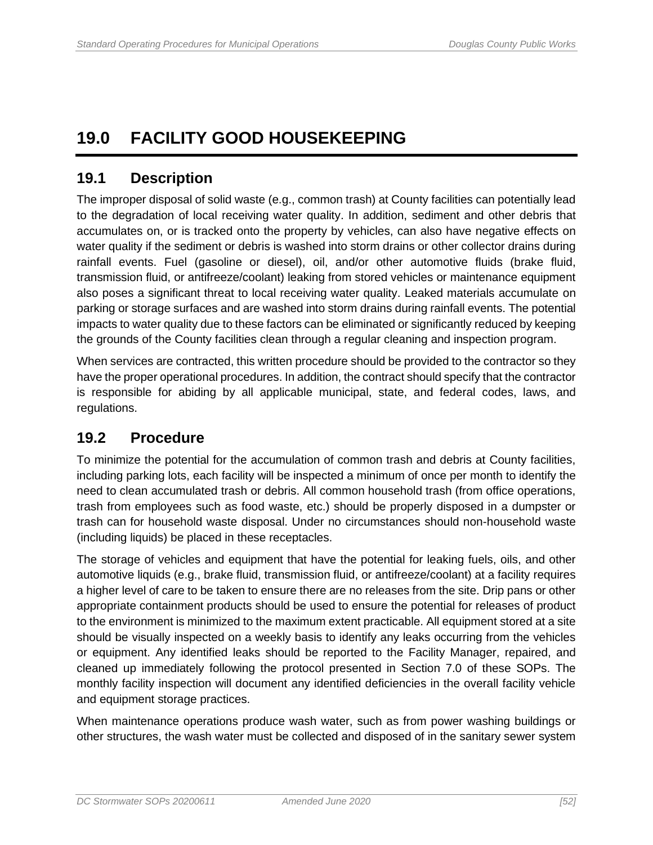## <span id="page-59-0"></span>**19.0 FACILITY GOOD HOUSEKEEPING**

## <span id="page-59-1"></span>**19.1 Description**

The improper disposal of solid waste (e.g., common trash) at County facilities can potentially lead to the degradation of local receiving water quality. In addition, sediment and other debris that accumulates on, or is tracked onto the property by vehicles, can also have negative effects on water quality if the sediment or debris is washed into storm drains or other collector drains during rainfall events. Fuel (gasoline or diesel), oil, and/or other automotive fluids (brake fluid, transmission fluid, or antifreeze/coolant) leaking from stored vehicles or maintenance equipment also poses a significant threat to local receiving water quality. Leaked materials accumulate on parking or storage surfaces and are washed into storm drains during rainfall events. The potential impacts to water quality due to these factors can be eliminated or significantly reduced by keeping the grounds of the County facilities clean through a regular cleaning and inspection program.

When services are contracted, this written procedure should be provided to the contractor so they have the proper operational procedures. In addition, the contract should specify that the contractor is responsible for abiding by all applicable municipal, state, and federal codes, laws, and regulations.

## <span id="page-59-2"></span>**19.2 Procedure**

To minimize the potential for the accumulation of common trash and debris at County facilities, including parking lots, each facility will be inspected a minimum of once per month to identify the need to clean accumulated trash or debris. All common household trash (from office operations, trash from employees such as food waste, etc.) should be properly disposed in a dumpster or trash can for household waste disposal. Under no circumstances should non-household waste (including liquids) be placed in these receptacles.

The storage of vehicles and equipment that have the potential for leaking fuels, oils, and other automotive liquids (e.g., brake fluid, transmission fluid, or antifreeze/coolant) at a facility requires a higher level of care to be taken to ensure there are no releases from the site. Drip pans or other appropriate containment products should be used to ensure the potential for releases of product to the environment is minimized to the maximum extent practicable. All equipment stored at a site should be visually inspected on a weekly basis to identify any leaks occurring from the vehicles or equipment. Any identified leaks should be reported to the Facility Manager, repaired, and cleaned up immediately following the protocol presented in Section 7.0 of these SOPs. The monthly facility inspection will document any identified deficiencies in the overall facility vehicle and equipment storage practices.

When maintenance operations produce wash water, such as from power washing buildings or other structures, the wash water must be collected and disposed of in the sanitary sewer system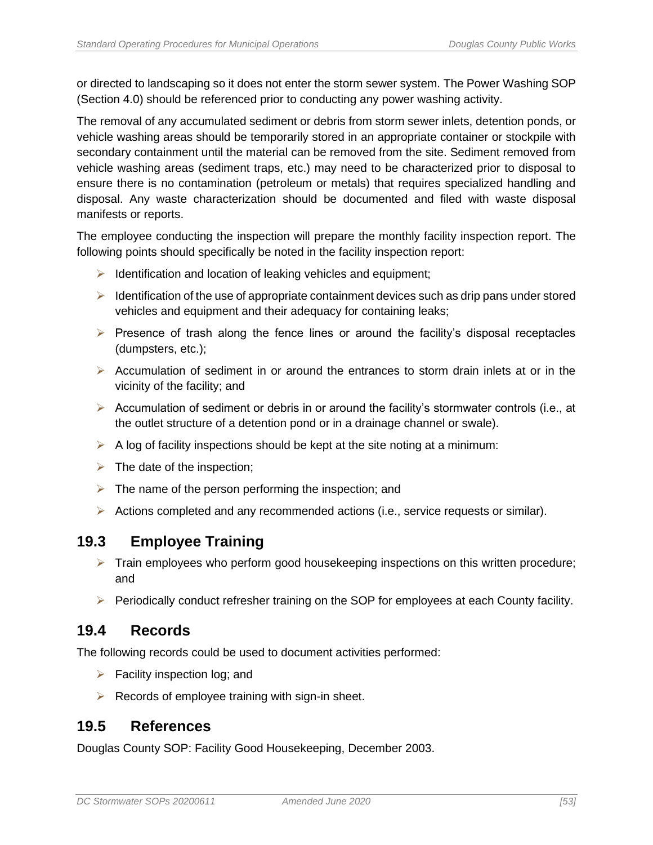or directed to landscaping so it does not enter the storm sewer system. The Power Washing SOP (Section 4.0) should be referenced prior to conducting any power washing activity.

The removal of any accumulated sediment or debris from storm sewer inlets, detention ponds, or vehicle washing areas should be temporarily stored in an appropriate container or stockpile with secondary containment until the material can be removed from the site. Sediment removed from vehicle washing areas (sediment traps, etc.) may need to be characterized prior to disposal to ensure there is no contamination (petroleum or metals) that requires specialized handling and disposal. Any waste characterization should be documented and filed with waste disposal manifests or reports.

The employee conducting the inspection will prepare the monthly facility inspection report. The following points should specifically be noted in the facility inspection report:

- $\triangleright$  Identification and location of leaking vehicles and equipment;
- $\triangleright$  Identification of the use of appropriate containment devices such as drip pans under stored vehicles and equipment and their adequacy for containing leaks;
- $\triangleright$  Presence of trash along the fence lines or around the facility's disposal receptacles (dumpsters, etc.);
- ➢ Accumulation of sediment in or around the entrances to storm drain inlets at or in the vicinity of the facility; and
- $\triangleright$  Accumulation of sediment or debris in or around the facility's stormwater controls (i.e., at the outlet structure of a detention pond or in a drainage channel or swale).
- $\triangleright$  A log of facility inspections should be kept at the site noting at a minimum:
- $\triangleright$  The date of the inspection;
- $\triangleright$  The name of the person performing the inspection; and
- $\triangleright$  Actions completed and any recommended actions (i.e., service requests or similar).

### <span id="page-60-0"></span>**19.3 Employee Training**

- ➢ Train employees who perform good housekeeping inspections on this written procedure; and
- ➢ Periodically conduct refresher training on the SOP for employees at each County facility.

#### <span id="page-60-1"></span>**19.4 Records**

The following records could be used to document activities performed:

- $\triangleright$  Facility inspection log; and
- $\triangleright$  Records of employee training with sign-in sheet.

### <span id="page-60-2"></span>**19.5 References**

Douglas County SOP: Facility Good Housekeeping, December 2003.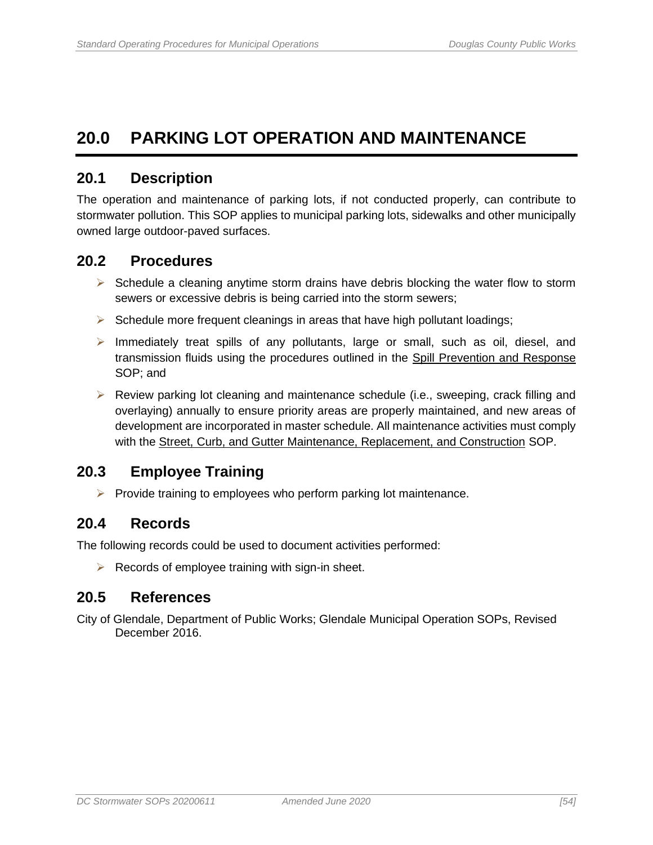## <span id="page-61-0"></span>**20.0 PARKING LOT OPERATION AND MAINTENANCE**

### <span id="page-61-1"></span>**20.1 Description**

The operation and maintenance of parking lots, if not conducted properly, can contribute to stormwater pollution. This SOP applies to municipal parking lots, sidewalks and other municipally owned large outdoor-paved surfaces.

#### <span id="page-61-2"></span>**20.2 Procedures**

- $\triangleright$  Schedule a cleaning anytime storm drains have debris blocking the water flow to storm sewers or excessive debris is being carried into the storm sewers;
- $\triangleright$  Schedule more frequent cleanings in areas that have high pollutant loadings;
- $\triangleright$  Immediately treat spills of any pollutants, large or small, such as oil, diesel, and transmission fluids using the procedures outlined in the Spill Prevention and Response SOP; and
- $\triangleright$  Review parking lot cleaning and maintenance schedule (i.e., sweeping, crack filling and overlaying) annually to ensure priority areas are properly maintained, and new areas of development are incorporated in master schedule. All maintenance activities must comply with the Street, Curb, and Gutter Maintenance, Replacement, and Construction SOP.

### <span id="page-61-3"></span>**20.3 Employee Training**

 $\triangleright$  Provide training to employees who perform parking lot maintenance.

### <span id="page-61-4"></span>**20.4 Records**

The following records could be used to document activities performed:

 $\triangleright$  Records of employee training with sign-in sheet.

### <span id="page-61-5"></span>**20.5 References**

City of Glendale, Department of Public Works; Glendale Municipal Operation SOPs, Revised December 2016.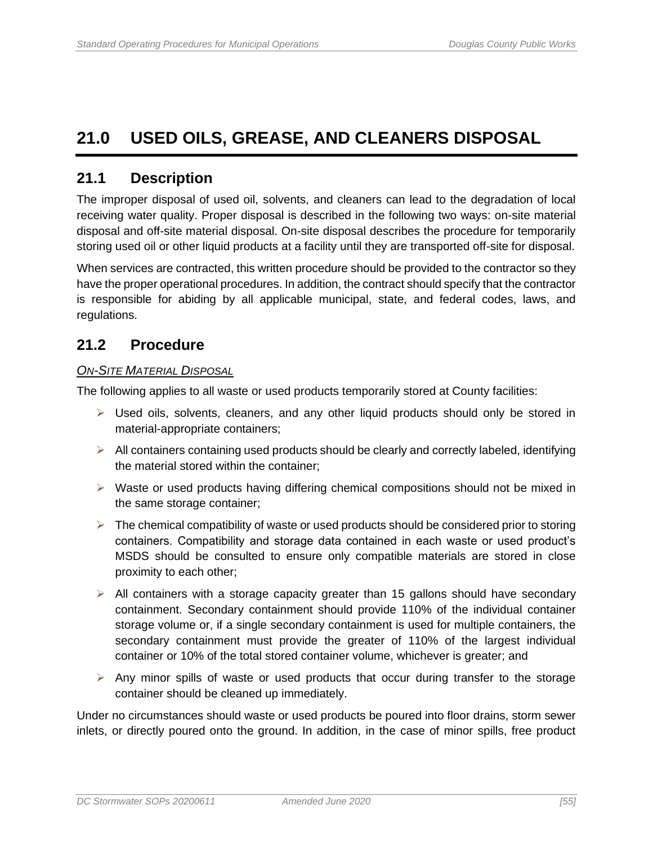## <span id="page-62-0"></span>**21.0 USED OILS, GREASE, AND CLEANERS DISPOSAL**

### <span id="page-62-1"></span>**21.1 Description**

The improper disposal of used oil, solvents, and cleaners can lead to the degradation of local receiving water quality. Proper disposal is described in the following two ways: on-site material disposal and off-site material disposal. On-site disposal describes the procedure for temporarily storing used oil or other liquid products at a facility until they are transported off-site for disposal.

When services are contracted, this written procedure should be provided to the contractor so they have the proper operational procedures. In addition, the contract should specify that the contractor is responsible for abiding by all applicable municipal, state, and federal codes, laws, and regulations.

### <span id="page-62-2"></span>**21.2 Procedure**

#### *ON-SITE MATERIAL DISPOSAL*

The following applies to all waste or used products temporarily stored at County facilities:

- $\triangleright$  Used oils, solvents, cleaners, and any other liquid products should only be stored in material-appropriate containers;
- $\triangleright$  All containers containing used products should be clearly and correctly labeled, identifying the material stored within the container;
- $\triangleright$  Waste or used products having differing chemical compositions should not be mixed in the same storage container;
- $\triangleright$  The chemical compatibility of waste or used products should be considered prior to storing containers. Compatibility and storage data contained in each waste or used product's MSDS should be consulted to ensure only compatible materials are stored in close proximity to each other;
- $\triangleright$  All containers with a storage capacity greater than 15 gallons should have secondary containment. Secondary containment should provide 110% of the individual container storage volume or, if a single secondary containment is used for multiple containers, the secondary containment must provide the greater of 110% of the largest individual container or 10% of the total stored container volume, whichever is greater; and
- $\triangleright$  Any minor spills of waste or used products that occur during transfer to the storage container should be cleaned up immediately.

Under no circumstances should waste or used products be poured into floor drains, storm sewer inlets, or directly poured onto the ground. In addition, in the case of minor spills, free product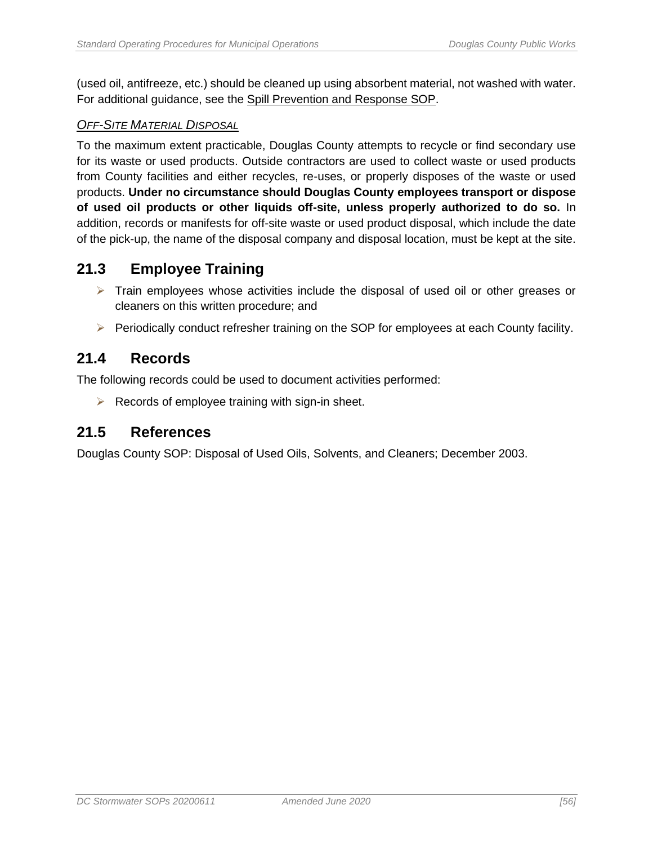(used oil, antifreeze, etc.) should be cleaned up using absorbent material, not washed with water. For additional guidance, see the Spill Prevention and Response SOP.

#### *OFF-SITE MATERIAL DISPOSAL*

To the maximum extent practicable, Douglas County attempts to recycle or find secondary use for its waste or used products. Outside contractors are used to collect waste or used products from County facilities and either recycles, re-uses, or properly disposes of the waste or used products. **Under no circumstance should Douglas County employees transport or dispose of used oil products or other liquids off-site, unless properly authorized to do so.** In addition, records or manifests for off-site waste or used product disposal, which include the date of the pick-up, the name of the disposal company and disposal location, must be kept at the site.

## <span id="page-63-0"></span>**21.3 Employee Training**

- $\triangleright$  Train employees whose activities include the disposal of used oil or other greases or cleaners on this written procedure; and
- ➢ Periodically conduct refresher training on the SOP for employees at each County facility.

#### <span id="page-63-1"></span>**21.4 Records**

The following records could be used to document activities performed:

 $\triangleright$  Records of employee training with sign-in sheet.

#### <span id="page-63-2"></span>**21.5 References**

Douglas County SOP: Disposal of Used Oils, Solvents, and Cleaners; December 2003.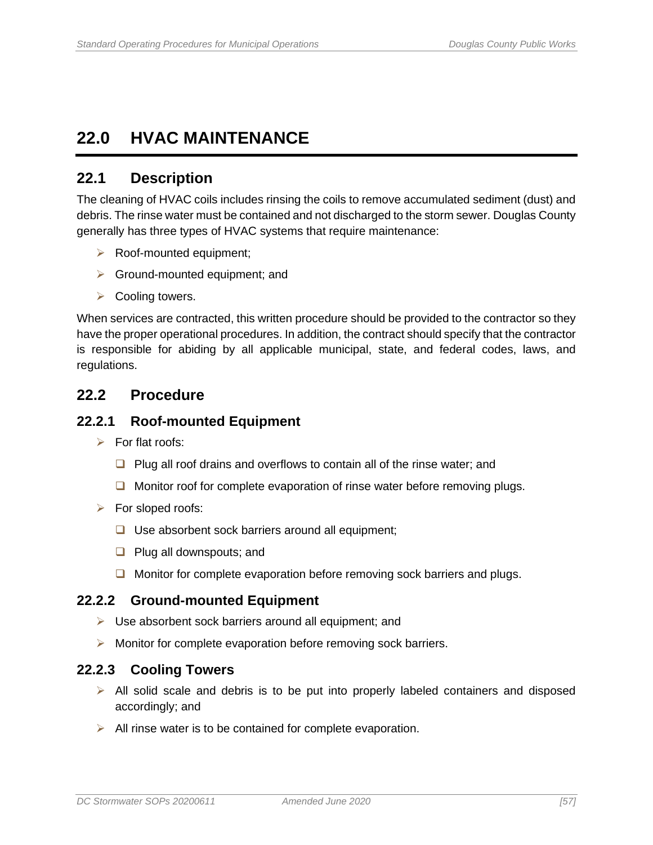## <span id="page-64-0"></span>**22.0 HVAC MAINTENANCE**

## <span id="page-64-1"></span>**22.1 Description**

The cleaning of HVAC coils includes rinsing the coils to remove accumulated sediment (dust) and debris. The rinse water must be contained and not discharged to the storm sewer. Douglas County generally has three types of HVAC systems that require maintenance:

- ➢ Roof-mounted equipment;
- $\triangleright$  Ground-mounted equipment; and
- $\triangleright$  Cooling towers.

When services are contracted, this written procedure should be provided to the contractor so they have the proper operational procedures. In addition, the contract should specify that the contractor is responsible for abiding by all applicable municipal, state, and federal codes, laws, and regulations.

### <span id="page-64-2"></span>**22.2 Procedure**

#### <span id="page-64-3"></span>**22.2.1 Roof-mounted Equipment**

- $\triangleright$  For flat roofs:
	- ❑ Plug all roof drains and overflows to contain all of the rinse water; and
	- ❑ Monitor roof for complete evaporation of rinse water before removing plugs.
- ➢ For sloped roofs:
	- ❑ Use absorbent sock barriers around all equipment;
	- ❑ Plug all downspouts; and
	- ❑ Monitor for complete evaporation before removing sock barriers and plugs.

#### <span id="page-64-4"></span>**22.2.2 Ground-mounted Equipment**

- ➢ Use absorbent sock barriers around all equipment; and
- ➢ Monitor for complete evaporation before removing sock barriers.

#### <span id="page-64-5"></span>**22.2.3 Cooling Towers**

- ➢ All solid scale and debris is to be put into properly labeled containers and disposed accordingly; and
- $\triangleright$  All rinse water is to be contained for complete evaporation.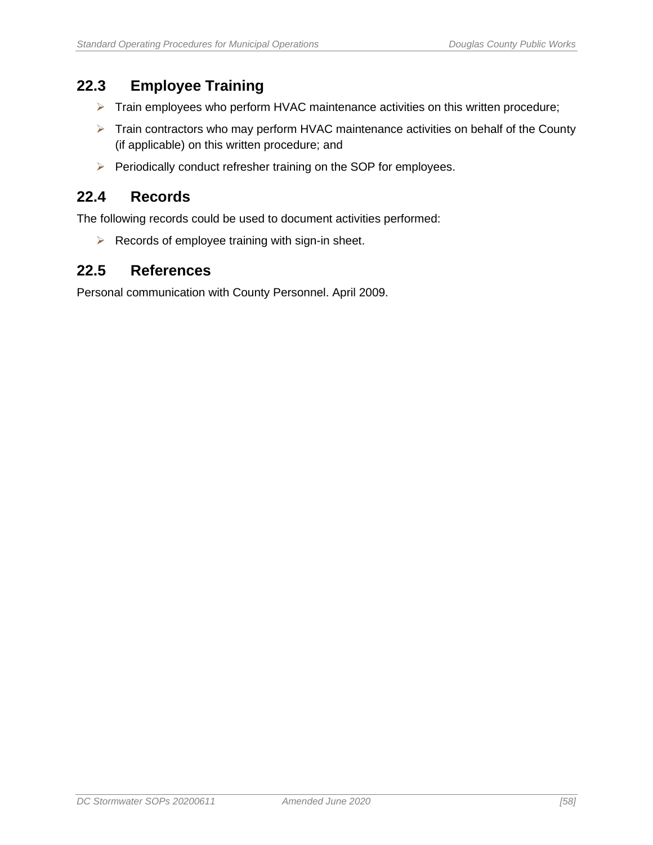## <span id="page-65-0"></span>**22.3 Employee Training**

- ➢ Train employees who perform HVAC maintenance activities on this written procedure;
- ➢ Train contractors who may perform HVAC maintenance activities on behalf of the County (if applicable) on this written procedure; and
- ➢ Periodically conduct refresher training on the SOP for employees.

### <span id="page-65-1"></span>**22.4 Records**

The following records could be used to document activities performed:

 $\triangleright$  Records of employee training with sign-in sheet.

#### <span id="page-65-2"></span>**22.5 References**

Personal communication with County Personnel. April 2009.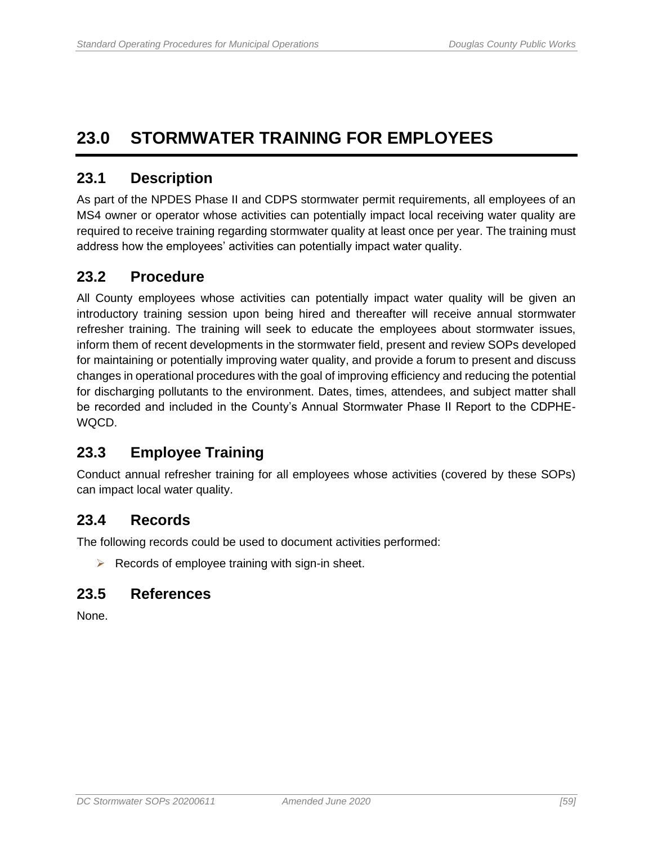## <span id="page-66-0"></span>**23.0 STORMWATER TRAINING FOR EMPLOYEES**

## <span id="page-66-1"></span>**23.1 Description**

As part of the NPDES Phase II and CDPS stormwater permit requirements, all employees of an MS4 owner or operator whose activities can potentially impact local receiving water quality are required to receive training regarding stormwater quality at least once per year. The training must address how the employees' activities can potentially impact water quality.

## <span id="page-66-2"></span>**23.2 Procedure**

All County employees whose activities can potentially impact water quality will be given an introductory training session upon being hired and thereafter will receive annual stormwater refresher training. The training will seek to educate the employees about stormwater issues, inform them of recent developments in the stormwater field, present and review SOPs developed for maintaining or potentially improving water quality, and provide a forum to present and discuss changes in operational procedures with the goal of improving efficiency and reducing the potential for discharging pollutants to the environment. Dates, times, attendees, and subject matter shall be recorded and included in the County's Annual Stormwater Phase II Report to the CDPHE-WQCD.

## <span id="page-66-3"></span>**23.3 Employee Training**

Conduct annual refresher training for all employees whose activities (covered by these SOPs) can impact local water quality.

### <span id="page-66-4"></span>**23.4 Records**

The following records could be used to document activities performed:

 $\triangleright$  Records of employee training with sign-in sheet.

## <span id="page-66-5"></span>**23.5 References**

None.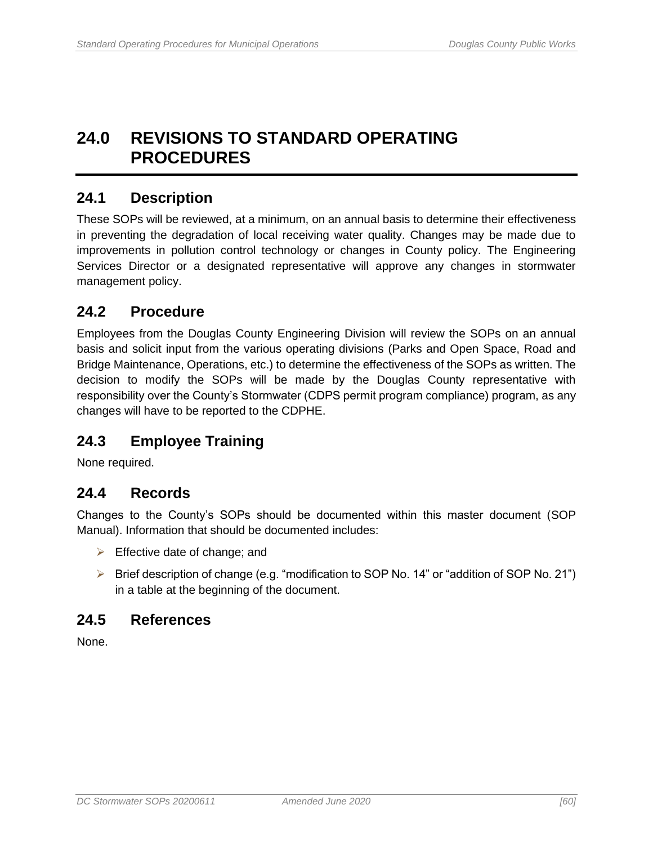## <span id="page-67-0"></span>**24.0 REVISIONS TO STANDARD OPERATING PROCEDURES**

### <span id="page-67-1"></span>**24.1 Description**

These SOPs will be reviewed, at a minimum, on an annual basis to determine their effectiveness in preventing the degradation of local receiving water quality. Changes may be made due to improvements in pollution control technology or changes in County policy. The Engineering Services Director or a designated representative will approve any changes in stormwater management policy.

### <span id="page-67-2"></span>**24.2 Procedure**

Employees from the Douglas County Engineering Division will review the SOPs on an annual basis and solicit input from the various operating divisions (Parks and Open Space, Road and Bridge Maintenance, Operations, etc.) to determine the effectiveness of the SOPs as written. The decision to modify the SOPs will be made by the Douglas County representative with responsibility over the County's Stormwater (CDPS permit program compliance) program, as any changes will have to be reported to the CDPHE.

## <span id="page-67-3"></span>**24.3 Employee Training**

None required.

### <span id="page-67-4"></span>**24.4 Records**

Changes to the County's SOPs should be documented within this master document (SOP Manual). Information that should be documented includes:

- $\triangleright$  Effective date of change; and
- ➢ Brief description of change (e.g. "modification to SOP No. 14" or "addition of SOP No. 21") in a table at the beginning of the document.

### <span id="page-67-5"></span>**24.5 References**

None.